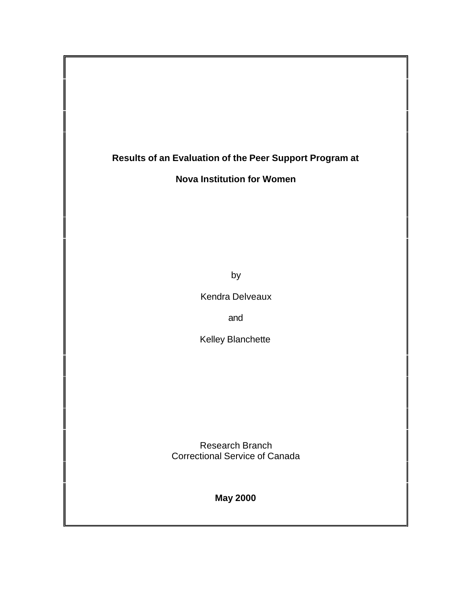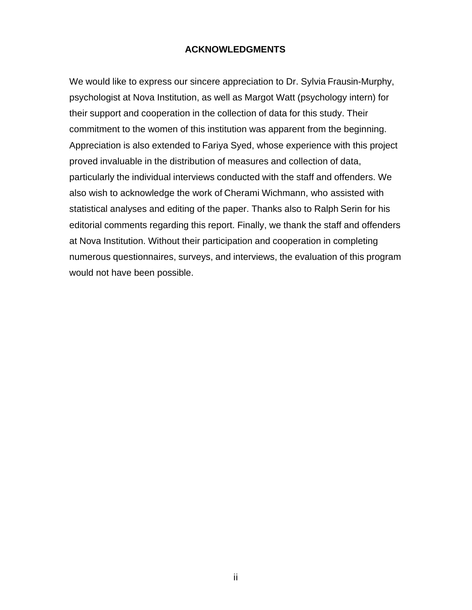## **ACKNOWLEDGMENTS**

We would like to express our sincere appreciation to Dr. Sylvia Frausin-Murphy, psychologist at Nova Institution, as well as Margot Watt (psychology intern) for their support and cooperation in the collection of data for this study. Their commitment to the women of this institution was apparent from the beginning. Appreciation is also extended to Fariya Syed, whose experience with this project proved invaluable in the distribution of measures and collection of data, particularly the individual interviews conducted with the staff and offenders. We also wish to acknowledge the work of Cherami Wichmann, who assisted with statistical analyses and editing of the paper. Thanks also to Ralph Serin for his editorial comments regarding this report. Finally, we thank the staff and offenders at Nova Institution. Without their participation and cooperation in completing numerous questionnaires, surveys, and interviews, the evaluation of this program would not have been possible.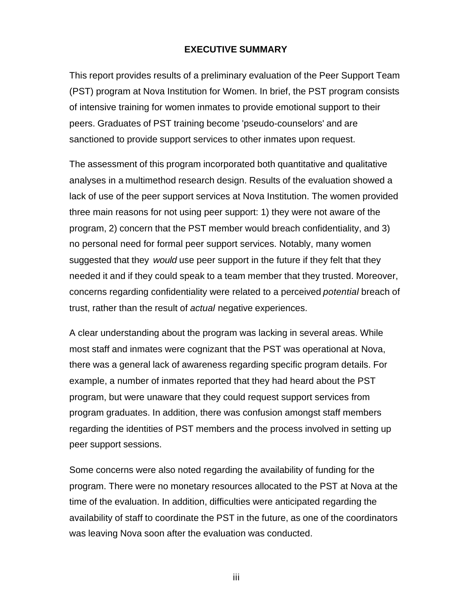#### **EXECUTIVE SUMMARY**

This report provides results of a preliminary evaluation of the Peer Support Team (PST) program at Nova Institution for Women. In brief, the PST program consists of intensive training for women inmates to provide emotional support to their peers. Graduates of PST training become 'pseudo-counselors' and are sanctioned to provide support services to other inmates upon request.

The assessment of this program incorporated both quantitative and qualitative analyses in a multimethod research design. Results of the evaluation showed a lack of use of the peer support services at Nova Institution. The women provided three main reasons for not using peer support: 1) they were not aware of the program, 2) concern that the PST member would breach confidentiality, and 3) no personal need for formal peer support services. Notably, many women suggested that they *would* use peer support in the future if they felt that they needed it and if they could speak to a team member that they trusted. Moreover, concerns regarding confidentiality were related to a perceived *potential* breach of trust, rather than the result of *actual* negative experiences.

A clear understanding about the program was lacking in several areas. While most staff and inmates were cognizant that the PST was operational at Nova, there was a general lack of awareness regarding specific program details. For example, a number of inmates reported that they had heard about the PST program, but were unaware that they could request support services from program graduates. In addition, there was confusion amongst staff members regarding the identities of PST members and the process involved in setting up peer support sessions.

Some concerns were also noted regarding the availability of funding for the program. There were no monetary resources allocated to the PST at Nova at the time of the evaluation. In addition, difficulties were anticipated regarding the availability of staff to coordinate the PST in the future, as one of the coordinators was leaving Nova soon after the evaluation was conducted.

iii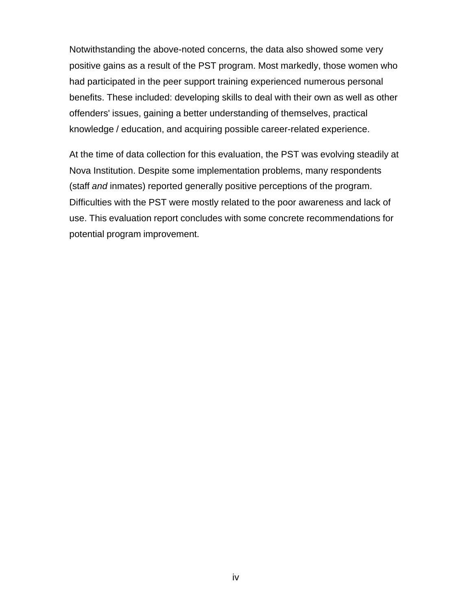Notwithstanding the above-noted concerns, the data also showed some very positive gains as a result of the PST program. Most markedly, those women who had participated in the peer support training experienced numerous personal benefits. These included: developing skills to deal with their own as well as other offenders' issues, gaining a better understanding of themselves, practical knowledge / education, and acquiring possible career-related experience.

At the time of data collection for this evaluation, the PST was evolving steadily at Nova Institution. Despite some implementation problems, many respondents (staff *and* inmates) reported generally positive perceptions of the program. Difficulties with the PST were mostly related to the poor awareness and lack of use. This evaluation report concludes with some concrete recommendations for potential program improvement.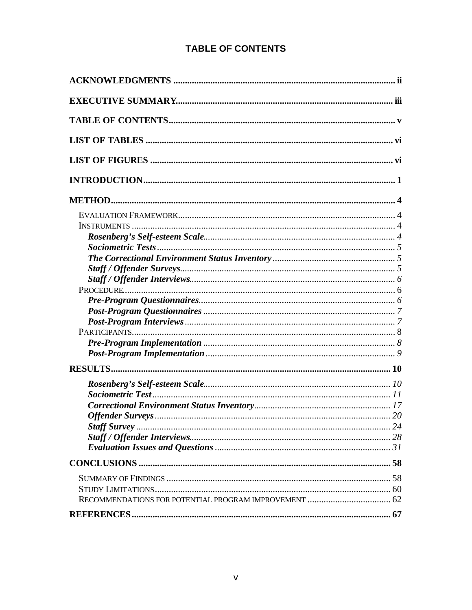# **TABLE OF CONTENTS**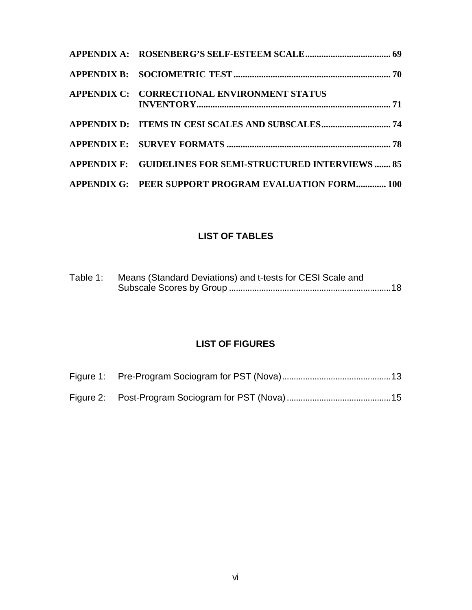| APPENDIX C: CORRECTIONAL ENVIRONMENT STATUS               |  |
|-----------------------------------------------------------|--|
|                                                           |  |
|                                                           |  |
| APPENDIX F: GUIDELINES FOR SEMI-STRUCTURED INTERVIEWS  85 |  |
| APPENDIX G: PEER SUPPORT PROGRAM EVALUATION FORM 100      |  |

# **LIST OF TABLES**

| Table 1: Means (Standard Deviations) and t-tests for CESI Scale and |  |
|---------------------------------------------------------------------|--|
|                                                                     |  |

# **LIST OF FIGURES**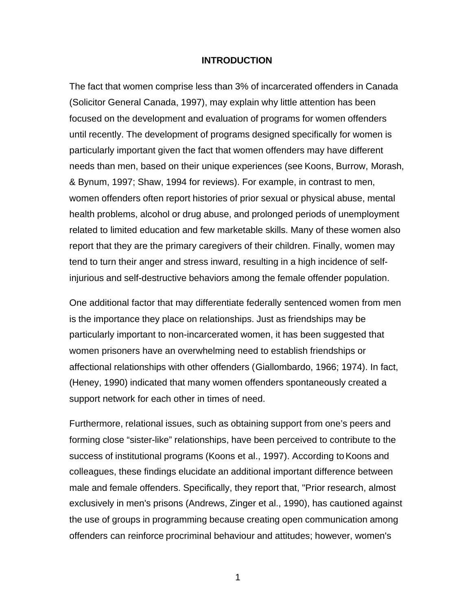#### **INTRODUCTION**

The fact that women comprise less than 3% of incarcerated offenders in Canada (Solicitor General Canada, 1997), may explain why little attention has been focused on the development and evaluation of programs for women offenders until recently. The development of programs designed specifically for women is particularly important given the fact that women offenders may have different needs than men, based on their unique experiences (see Koons, Burrow, Morash, & Bynum, 1997; Shaw, 1994 for reviews). For example, in contrast to men, women offenders often report histories of prior sexual or physical abuse, mental health problems, alcohol or drug abuse, and prolonged periods of unemployment related to limited education and few marketable skills. Many of these women also report that they are the primary caregivers of their children. Finally, women may tend to turn their anger and stress inward, resulting in a high incidence of selfinjurious and self-destructive behaviors among the female offender population.

One additional factor that may differentiate federally sentenced women from men is the importance they place on relationships. Just as friendships may be particularly important to non-incarcerated women, it has been suggested that women prisoners have an overwhelming need to establish friendships or affectional relationships with other offenders (Giallombardo, 1966; 1974). In fact, (Heney, 1990) indicated that many women offenders spontaneously created a support network for each other in times of need.

Furthermore, relational issues, such as obtaining support from one's peers and forming close "sister-like" relationships, have been perceived to contribute to the success of institutional programs (Koons et al., 1997). According to Koons and colleagues, these findings elucidate an additional important difference between male and female offenders. Specifically, they report that, "Prior research, almost exclusively in men's prisons (Andrews, Zinger et al., 1990), has cautioned against the use of groups in programming because creating open communication among offenders can reinforce procriminal behaviour and attitudes; however, women's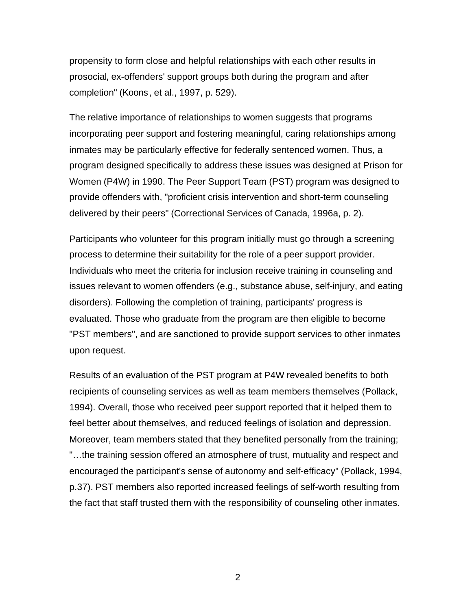propensity to form close and helpful relationships with each other results in prosocial, ex-offenders' support groups both during the program and after completion" (Koons, et al., 1997, p. 529).

The relative importance of relationships to women suggests that programs incorporating peer support and fostering meaningful, caring relationships among inmates may be particularly effective for federally sentenced women. Thus, a program designed specifically to address these issues was designed at Prison for Women (P4W) in 1990. The Peer Support Team (PST) program was designed to provide offenders with, "proficient crisis intervention and short-term counseling delivered by their peers" (Correctional Services of Canada, 1996a, p. 2).

Participants who volunteer for this program initially must go through a screening process to determine their suitability for the role of a peer support provider. Individuals who meet the criteria for inclusion receive training in counseling and issues relevant to women offenders (e.g., substance abuse, self-injury, and eating disorders). Following the completion of training, participants' progress is evaluated. Those who graduate from the program are then eligible to become "PST members", and are sanctioned to provide support services to other inmates upon request.

Results of an evaluation of the PST program at P4W revealed benefits to both recipients of counseling services as well as team members themselves (Pollack, 1994). Overall, those who received peer support reported that it helped them to feel better about themselves, and reduced feelings of isolation and depression. Moreover, team members stated that they benefited personally from the training; "…the training session offered an atmosphere of trust, mutuality and respect and encouraged the participant's sense of autonomy and self-efficacy" (Pollack, 1994, p.37). PST members also reported increased feelings of self-worth resulting from the fact that staff trusted them with the responsibility of counseling other inmates.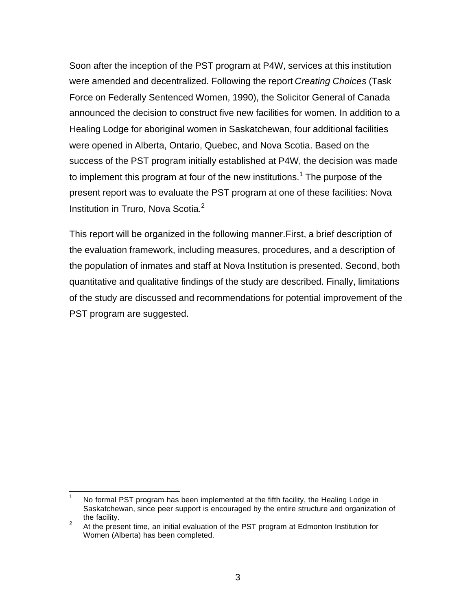Soon after the inception of the PST program at P4W, services at this institution were amended and decentralized. Following the report *Creating Choices* (Task Force on Federally Sentenced Women, 1990), the Solicitor General of Canada announced the decision to construct five new facilities for women. In addition to a Healing Lodge for aboriginal women in Saskatchewan, four additional facilities were opened in Alberta, Ontario, Quebec, and Nova Scotia. Based on the success of the PST program initially established at P4W, the decision was made to implement this program at four of the new institutions.<sup>1</sup> The purpose of the present report was to evaluate the PST program at one of these facilities: Nova Institution in Truro, Nova Scotia.<sup>2</sup>

This report will be organized in the following manner.First, a brief description of the evaluation framework, including measures, procedures, and a description of the population of inmates and staff at Nova Institution is presented. Second, both quantitative and qualitative findings of the study are described. Finally, limitations of the study are discussed and recommendations for potential improvement of the PST program are suggested.

 $\mathbf{1}$ No formal PST program has been implemented at the fifth facility, the Healing Lodge in Saskatchewan, since peer support is encouraged by the entire structure and organization of the facility.

<sup>2</sup> At the present time, an initial evaluation of the PST program at Edmonton Institution for Women (Alberta) has been completed.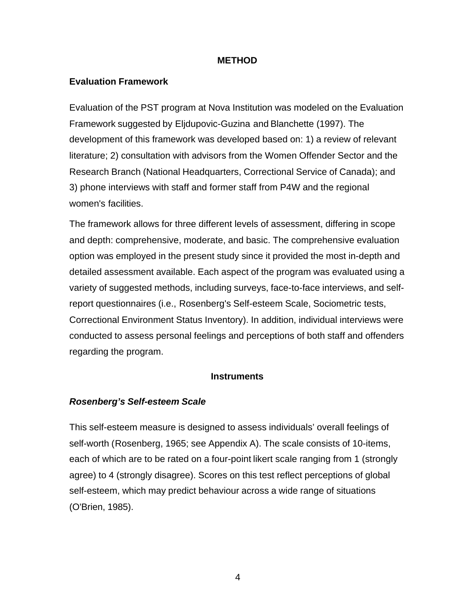#### **METHOD**

#### **Evaluation Framework**

Evaluation of the PST program at Nova Institution was modeled on the Evaluation Framework suggested by Eljdupovic-Guzina and Blanchette (1997). The development of this framework was developed based on: 1) a review of relevant literature; 2) consultation with advisors from the Women Offender Sector and the Research Branch (National Headquarters, Correctional Service of Canada); and 3) phone interviews with staff and former staff from P4W and the regional women's facilities.

The framework allows for three different levels of assessment, differing in scope and depth: comprehensive, moderate, and basic. The comprehensive evaluation option was employed in the present study since it provided the most in-depth and detailed assessment available. Each aspect of the program was evaluated using a variety of suggested methods, including surveys, face-to-face interviews, and selfreport questionnaires (i.e., Rosenberg's Self-esteem Scale, Sociometric tests, Correctional Environment Status Inventory). In addition, individual interviews were conducted to assess personal feelings and perceptions of both staff and offenders regarding the program.

#### **Instruments**

#### *Rosenberg's Self-esteem Scale*

This self-esteem measure is designed to assess individuals' overall feelings of self-worth (Rosenberg, 1965; see Appendix A). The scale consists of 10-items, each of which are to be rated on a four-point likert scale ranging from 1 (strongly agree) to 4 (strongly disagree). Scores on this test reflect perceptions of global self-esteem, which may predict behaviour across a wide range of situations (O'Brien, 1985).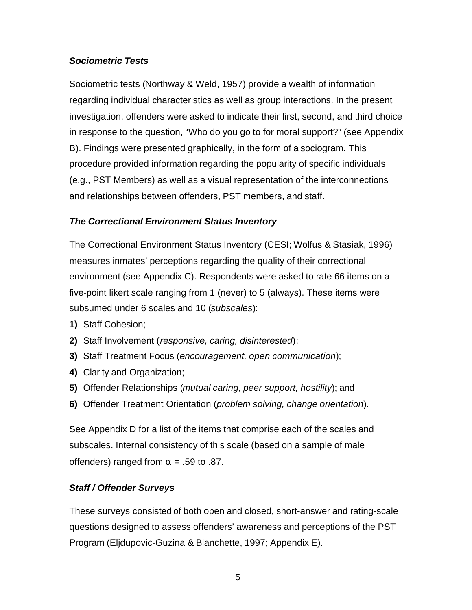## *Sociometric Tests*

Sociometric tests (Northway & Weld, 1957) provide a wealth of information regarding individual characteristics as well as group interactions. In the present investigation, offenders were asked to indicate their first, second, and third choice in response to the question, "Who do you go to for moral support?" (see Appendix B). Findings were presented graphically, in the form of a sociogram. This procedure provided information regarding the popularity of specific individuals (e.g., PST Members) as well as a visual representation of the interconnections and relationships between offenders, PST members, and staff.

## *The Correctional Environment Status Inventory*

The Correctional Environment Status Inventory (CESI; Wolfus & Stasiak, 1996) measures inmates' perceptions regarding the quality of their correctional environment (see Appendix C). Respondents were asked to rate 66 items on a five-point likert scale ranging from 1 (never) to 5 (always). These items were subsumed under 6 scales and 10 (*subscales*):

- **1)** Staff Cohesion;
- **2)** Staff Involvement (*responsive, caring, disinterested*);
- **3)** Staff Treatment Focus (*encouragement, open communication*);
- **4)** Clarity and Organization;
- **5)** Offender Relationships (*mutual caring, peer support, hostility*); and
- **6)** Offender Treatment Orientation (*problem solving, change orientation*).

See Appendix D for a list of the items that comprise each of the scales and subscales. Internal consistency of this scale (based on a sample of male offenders) ranged from  $\alpha$  = .59 to .87.

#### *Staff / Offender Surveys*

These surveys consisted of both open and closed, short-answer and rating-scale questions designed to assess offenders' awareness and perceptions of the PST Program (Eljdupovic-Guzina & Blanchette, 1997; Appendix E).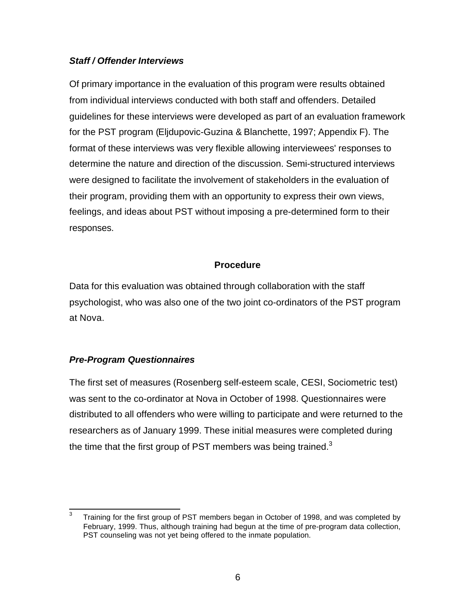## *Staff / Offender Interviews*

Of primary importance in the evaluation of this program were results obtained from individual interviews conducted with both staff and offenders. Detailed guidelines for these interviews were developed as part of an evaluation framework for the PST program (Eljdupovic-Guzina & Blanchette, 1997; Appendix F). The format of these interviews was very flexible allowing interviewees' responses to determine the nature and direction of the discussion. Semi-structured interviews were designed to facilitate the involvement of stakeholders in the evaluation of their program, providing them with an opportunity to express their own views, feelings, and ideas about PST without imposing a pre-determined form to their responses.

## **Procedure**

Data for this evaluation was obtained through collaboration with the staff psychologist, who was also one of the two joint co-ordinators of the PST program at Nova.

## *Pre-Program Questionnaires*

The first set of measures (Rosenberg self-esteem scale, CESI, Sociometric test) was sent to the co-ordinator at Nova in October of 1998. Questionnaires were distributed to all offenders who were willing to participate and were returned to the researchers as of January 1999. These initial measures were completed during the time that the first group of PST members was being trained.<sup>3</sup>

<sup>—&</sup>lt;br>3 Training for the first group of PST members began in October of 1998, and was completed by February, 1999. Thus, although training had begun at the time of pre-program data collection, PST counseling was not yet being offered to the inmate population.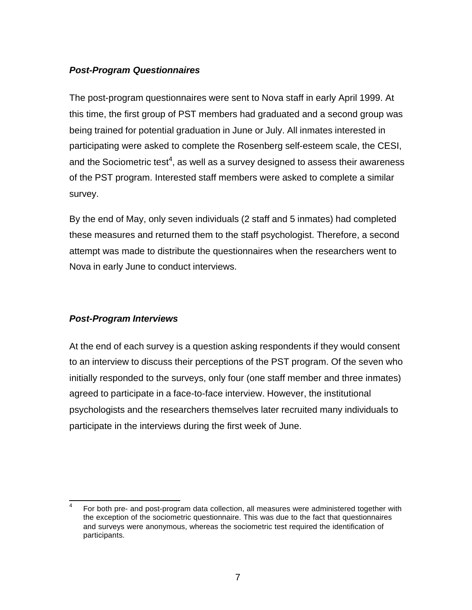## *Post-Program Questionnaires*

The post-program questionnaires were sent to Nova staff in early April 1999. At this time, the first group of PST members had graduated and a second group was being trained for potential graduation in June or July. All inmates interested in participating were asked to complete the Rosenberg self-esteem scale, the CESI, and the Sociometric test<sup>4</sup>, as well as a survey designed to assess their awareness of the PST program. Interested staff members were asked to complete a similar survey.

By the end of May, only seven individuals (2 staff and 5 inmates) had completed these measures and returned them to the staff psychologist. Therefore, a second attempt was made to distribute the questionnaires when the researchers went to Nova in early June to conduct interviews.

## *Post-Program Interviews*

At the end of each survey is a question asking respondents if they would consent to an interview to discuss their perceptions of the PST program. Of the seven who initially responded to the surveys, only four (one staff member and three inmates) agreed to participate in a face-to-face interview. However, the institutional psychologists and the researchers themselves later recruited many individuals to participate in the interviews during the first week of June.

 $\overline{\phantom{a}}$ 4 For both pre- and post-program data collection, all measures were administered together with the exception of the sociometric questionnaire. This was due to the fact that questionnaires and surveys were anonymous, whereas the sociometric test required the identification of participants.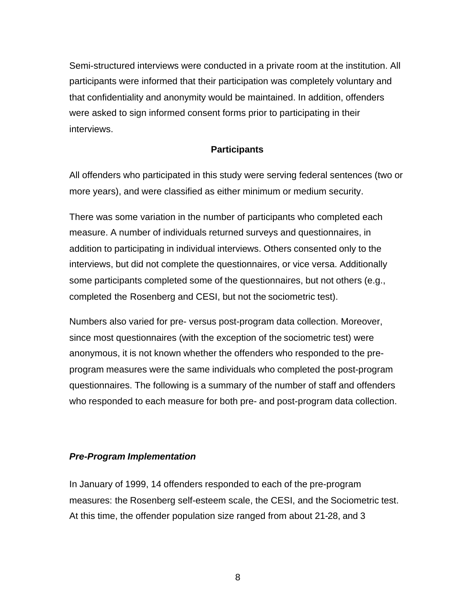Semi-structured interviews were conducted in a private room at the institution. All participants were informed that their participation was completely voluntary and that confidentiality and anonymity would be maintained. In addition, offenders were asked to sign informed consent forms prior to participating in their interviews.

#### **Participants**

All offenders who participated in this study were serving federal sentences (two or more years), and were classified as either minimum or medium security.

There was some variation in the number of participants who completed each measure. A number of individuals returned surveys and questionnaires, in addition to participating in individual interviews. Others consented only to the interviews, but did not complete the questionnaires, or vice versa. Additionally some participants completed some of the questionnaires, but not others (e.g., completed the Rosenberg and CESI, but not the sociometric test).

Numbers also varied for pre- versus post-program data collection. Moreover, since most questionnaires (with the exception of the sociometric test) were anonymous, it is not known whether the offenders who responded to the preprogram measures were the same individuals who completed the post-program questionnaires. The following is a summary of the number of staff and offenders who responded to each measure for both pre- and post-program data collection.

#### *Pre-Program Implementation*

In January of 1999, 14 offenders responded to each of the pre-program measures: the Rosenberg self-esteem scale, the CESI, and the Sociometric test. At this time, the offender population size ranged from about 21-28, and 3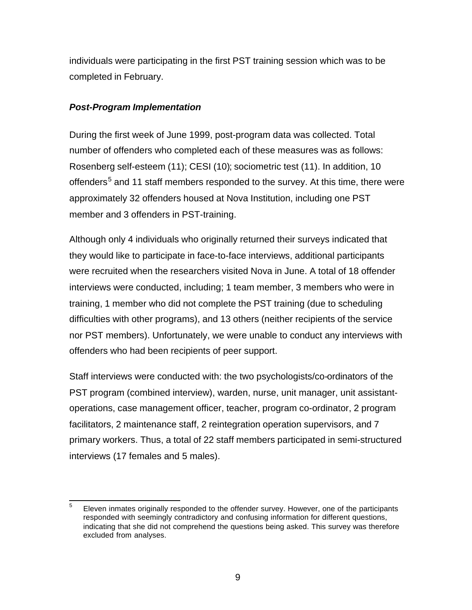individuals were participating in the first PST training session which was to be completed in February.

## *Post-Program Implementation*

During the first week of June 1999, post-program data was collected. Total number of offenders who completed each of these measures was as follows: Rosenberg self-esteem (11); CESI (10); sociometric test (11). In addition, 10 offenders<sup>5</sup> and 11 staff members responded to the survey. At this time, there were approximately 32 offenders housed at Nova Institution, including one PST member and 3 offenders in PST-training.

Although only 4 individuals who originally returned their surveys indicated that they would like to participate in face-to-face interviews, additional participants were recruited when the researchers visited Nova in June. A total of 18 offender interviews were conducted, including; 1 team member, 3 members who were in training, 1 member who did not complete the PST training (due to scheduling difficulties with other programs), and 13 others (neither recipients of the service nor PST members). Unfortunately, we were unable to conduct any interviews with offenders who had been recipients of peer support.

Staff interviews were conducted with: the two psychologists/co-ordinators of the PST program (combined interview), warden, nurse, unit manager, unit assistantoperations, case management officer, teacher, program co-ordinator, 2 program facilitators, 2 maintenance staff, 2 reintegration operation supervisors, and 7 primary workers. Thus, a total of 22 staff members participated in semi-structured interviews (17 females and 5 males).

 5 Eleven inmates originally responded to the offender survey. However, one of the participants responded with seemingly contradictory and confusing information for different questions, indicating that she did not comprehend the questions being asked. This survey was therefore excluded from analyses.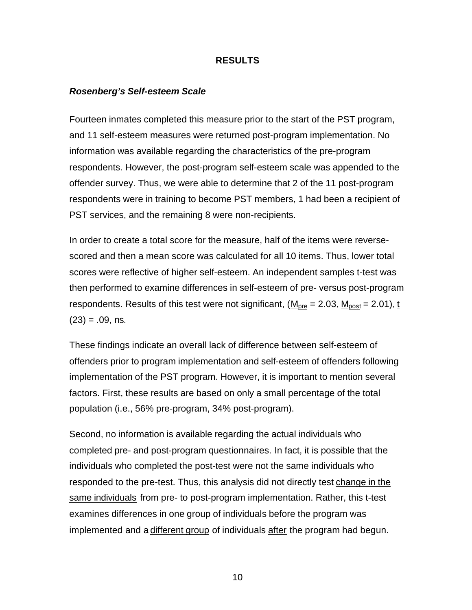#### **RESULTS**

#### *Rosenberg's Self-esteem Scale*

Fourteen inmates completed this measure prior to the start of the PST program, and 11 self-esteem measures were returned post-program implementation. No information was available regarding the characteristics of the pre-program respondents. However, the post-program self-esteem scale was appended to the offender survey. Thus, we were able to determine that 2 of the 11 post-program respondents were in training to become PST members, 1 had been a recipient of PST services, and the remaining 8 were non-recipients.

In order to create a total score for the measure, half of the items were reversescored and then a mean score was calculated for all 10 items. Thus, lower total scores were reflective of higher self-esteem. An independent samples t-test was then performed to examine differences in self-esteem of pre- versus post-program respondents. Results of this test were not significant,  $(M_{pre} = 2.03, M_{post} = 2.01)$ , t  $(23) = .09$ , ns.

These findings indicate an overall lack of difference between self-esteem of offenders prior to program implementation and self-esteem of offenders following implementation of the PST program. However, it is important to mention several factors. First, these results are based on only a small percentage of the total population (i.e., 56% pre-program, 34% post-program).

Second, no information is available regarding the actual individuals who completed pre- and post-program questionnaires. In fact, it is possible that the individuals who completed the post-test were not the same individuals who responded to the pre-test. Thus, this analysis did not directly test change in the same individuals from pre- to post-program implementation. Rather, this t-test examines differences in one group of individuals before the program was implemented and a different group of individuals after the program had begun.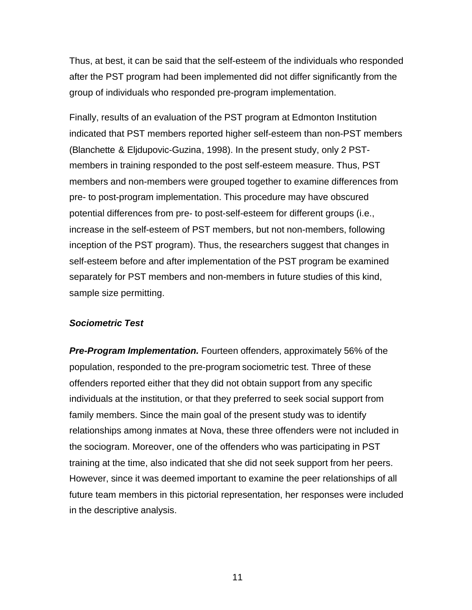Thus, at best, it can be said that the self-esteem of the individuals who responded after the PST program had been implemented did not differ significantly from the group of individuals who responded pre-program implementation.

Finally, results of an evaluation of the PST program at Edmonton Institution indicated that PST members reported higher self-esteem than non-PST members (Blanchette & Eljdupovic-Guzina, 1998). In the present study, only 2 PSTmembers in training responded to the post self-esteem measure. Thus, PST members and non-members were grouped together to examine differences from pre- to post-program implementation. This procedure may have obscured potential differences from pre- to post-self-esteem for different groups (i.e., increase in the self-esteem of PST members, but not non-members, following inception of the PST program). Thus, the researchers suggest that changes in self-esteem before and after implementation of the PST program be examined separately for PST members and non-members in future studies of this kind, sample size permitting.

#### *Sociometric Test*

*Pre-Program Implementation.* Fourteen offenders, approximately 56% of the population, responded to the pre-program sociometric test. Three of these offenders reported either that they did not obtain support from any specific individuals at the institution, or that they preferred to seek social support from family members. Since the main goal of the present study was to identify relationships among inmates at Nova, these three offenders were not included in the sociogram. Moreover, one of the offenders who was participating in PST training at the time, also indicated that she did not seek support from her peers. However, since it was deemed important to examine the peer relationships of all future team members in this pictorial representation, her responses were included in the descriptive analysis.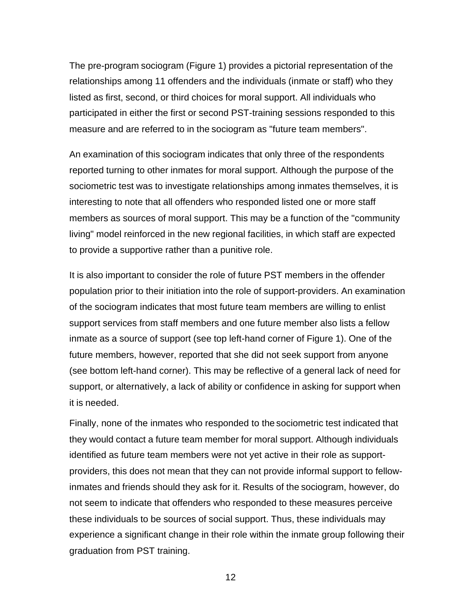The pre-program sociogram (Figure 1) provides a pictorial representation of the relationships among 11 offenders and the individuals (inmate or staff) who they listed as first, second, or third choices for moral support. All individuals who participated in either the first or second PST-training sessions responded to this measure and are referred to in the sociogram as "future team members".

An examination of this sociogram indicates that only three of the respondents reported turning to other inmates for moral support. Although the purpose of the sociometric test was to investigate relationships among inmates themselves, it is interesting to note that all offenders who responded listed one or more staff members as sources of moral support. This may be a function of the "community living" model reinforced in the new regional facilities, in which staff are expected to provide a supportive rather than a punitive role.

It is also important to consider the role of future PST members in the offender population prior to their initiation into the role of support-providers. An examination of the sociogram indicates that most future team members are willing to enlist support services from staff members and one future member also lists a fellow inmate as a source of support (see top left-hand corner of Figure 1). One of the future members, however, reported that she did not seek support from anyone (see bottom left-hand corner). This may be reflective of a general lack of need for support, or alternatively, a lack of ability or confidence in asking for support when it is needed.

Finally, none of the inmates who responded to the sociometric test indicated that they would contact a future team member for moral support. Although individuals identified as future team members were not yet active in their role as supportproviders, this does not mean that they can not provide informal support to fellowinmates and friends should they ask for it. Results of the sociogram, however, do not seem to indicate that offenders who responded to these measures perceive these individuals to be sources of social support. Thus, these individuals may experience a significant change in their role within the inmate group following their graduation from PST training.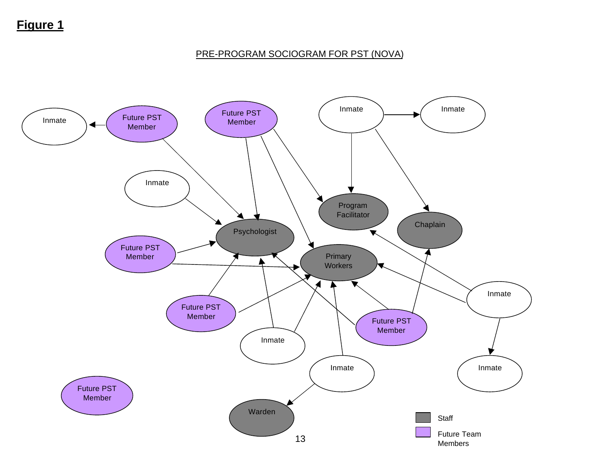# **Figure 1**

## PRE-PROGRAM SOCIOGRAM FOR PST (NOVA)

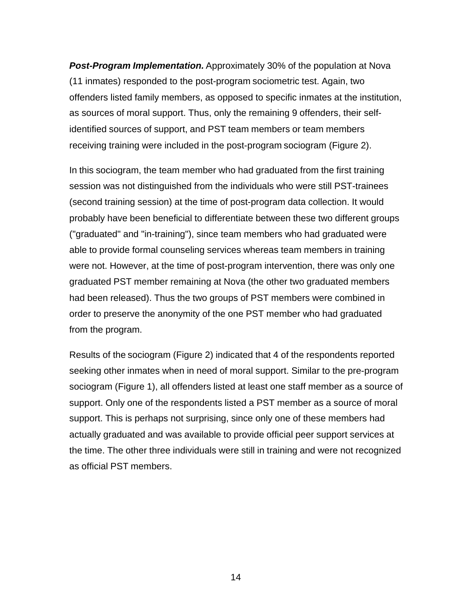*Post-Program Implementation.* Approximately 30% of the population at Nova (11 inmates) responded to the post-program sociometric test. Again, two offenders listed family members, as opposed to specific inmates at the institution, as sources of moral support. Thus, only the remaining 9 offenders, their selfidentified sources of support, and PST team members or team members receiving training were included in the post-program sociogram (Figure 2).

In this sociogram, the team member who had graduated from the first training session was not distinguished from the individuals who were still PST-trainees (second training session) at the time of post-program data collection. It would probably have been beneficial to differentiate between these two different groups ("graduated" and "in-training"), since team members who had graduated were able to provide formal counseling services whereas team members in training were not. However, at the time of post-program intervention, there was only one graduated PST member remaining at Nova (the other two graduated members had been released). Thus the two groups of PST members were combined in order to preserve the anonymity of the one PST member who had graduated from the program.

Results of the sociogram (Figure 2) indicated that 4 of the respondents reported seeking other inmates when in need of moral support. Similar to the pre-program sociogram (Figure 1), all offenders listed at least one staff member as a source of support. Only one of the respondents listed a PST member as a source of moral support. This is perhaps not surprising, since only one of these members had actually graduated and was available to provide official peer support services at the time. The other three individuals were still in training and were not recognized as official PST members.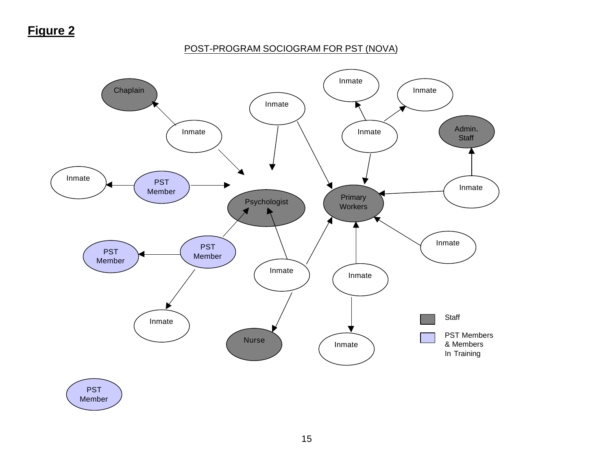#### POST-PROGRAM SOCIOGRAM FOR PST (NOVA)

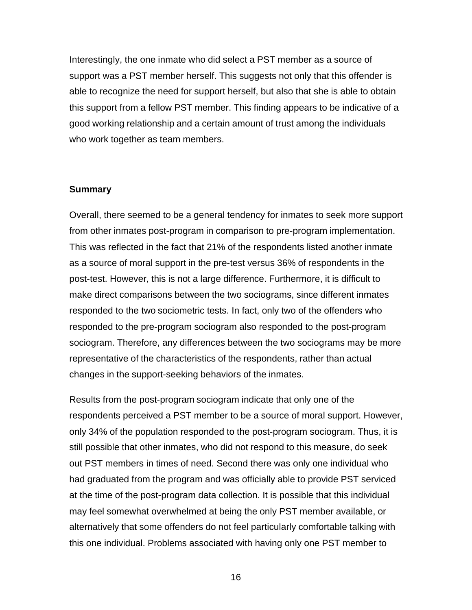Interestingly, the one inmate who did select a PST member as a source of support was a PST member herself. This suggests not only that this offender is able to recognize the need for support herself, but also that she is able to obtain this support from a fellow PST member. This finding appears to be indicative of a good working relationship and a certain amount of trust among the individuals who work together as team members.

#### **Summary**

Overall, there seemed to be a general tendency for inmates to seek more support from other inmates post-program in comparison to pre-program implementation. This was reflected in the fact that 21% of the respondents listed another inmate as a source of moral support in the pre-test versus 36% of respondents in the post-test. However, this is not a large difference. Furthermore, it is difficult to make direct comparisons between the two sociograms, since different inmates responded to the two sociometric tests. In fact, only two of the offenders who responded to the pre-program sociogram also responded to the post-program sociogram. Therefore, any differences between the two sociograms may be more representative of the characteristics of the respondents, rather than actual changes in the support-seeking behaviors of the inmates.

Results from the post-program sociogram indicate that only one of the respondents perceived a PST member to be a source of moral support. However, only 34% of the population responded to the post-program sociogram. Thus, it is still possible that other inmates, who did not respond to this measure, do seek out PST members in times of need. Second there was only one individual who had graduated from the program and was officially able to provide PST serviced at the time of the post-program data collection. It is possible that this individual may feel somewhat overwhelmed at being the only PST member available, or alternatively that some offenders do not feel particularly comfortable talking with this one individual. Problems associated with having only one PST member to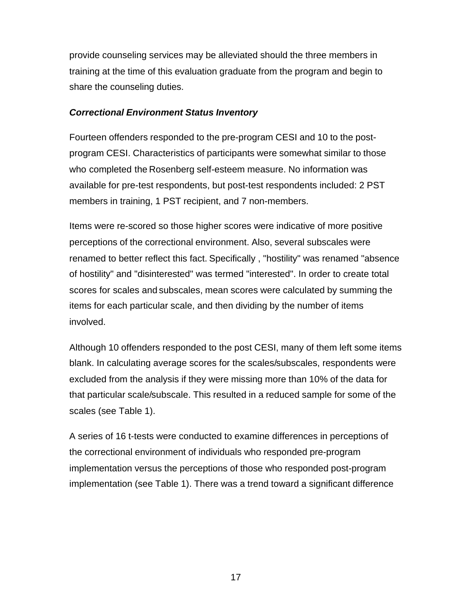provide counseling services may be alleviated should the three members in training at the time of this evaluation graduate from the program and begin to share the counseling duties.

#### *Correctional Environment Status Inventory*

Fourteen offenders responded to the pre-program CESI and 10 to the postprogram CESI. Characteristics of participants were somewhat similar to those who completed the Rosenberg self-esteem measure. No information was available for pre-test respondents, but post-test respondents included: 2 PST members in training, 1 PST recipient, and 7 non-members.

Items were re-scored so those higher scores were indicative of more positive perceptions of the correctional environment. Also, several subscales were renamed to better reflect this fact. Specifically , "hostility" was renamed "absence of hostility" and "disinterested" was termed "interested". In order to create total scores for scales and subscales, mean scores were calculated by summing the items for each particular scale, and then dividing by the number of items involved.

Although 10 offenders responded to the post CESI, many of them left some items blank. In calculating average scores for the scales/subscales, respondents were excluded from the analysis if they were missing more than 10% of the data for that particular scale/subscale. This resulted in a reduced sample for some of the scales (see Table 1).

A series of 16 t-tests were conducted to examine differences in perceptions of the correctional environment of individuals who responded pre-program implementation versus the perceptions of those who responded post-program implementation (see Table 1). There was a trend toward a significant difference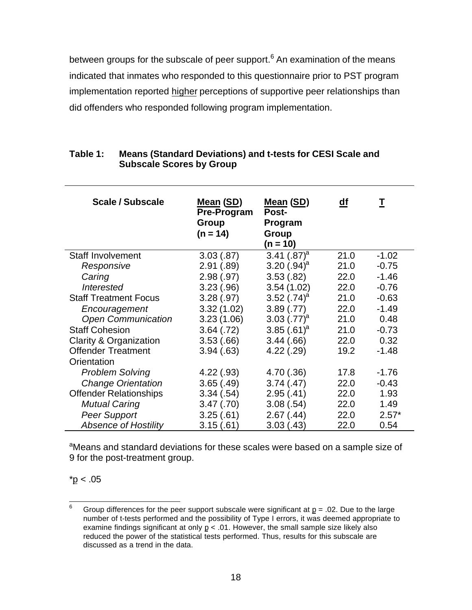between groups for the subscale of peer support.<sup>6</sup> An examination of the means indicated that inmates who responded to this questionnaire prior to PST program implementation reported higher perceptions of supportive peer relationships than did offenders who responded following program implementation.

| <b>Scale / Subscale</b>       | <b>Mean (SD)</b><br><b>Pre-Program</b><br>Group<br>$(n = 14)$ | Mean (SD)<br>Post-<br>Program<br>Group<br>$(n = 10)$ | df   | T       |
|-------------------------------|---------------------------------------------------------------|------------------------------------------------------|------|---------|
| <b>Staff Involvement</b>      | 3.03(.87)                                                     | 3.41 $(.87)^a$                                       | 21.0 | $-1.02$ |
| Responsive                    | 2.91(.89)                                                     | 3.20 $(.94)^a$                                       | 21.0 | $-0.75$ |
| Caring                        | 2.98(.97)                                                     | 3.53(.82)                                            | 22.0 | $-1.46$ |
| <b>Interested</b>             | 3.23(.96)                                                     | 3.54(1.02)                                           | 22.0 | $-0.76$ |
| <b>Staff Treatment Focus</b>  | 3.28(.97)                                                     | 3.52 $(.74)^a$                                       | 21.0 | $-0.63$ |
| Encouragement                 | 3.32(1.02)                                                    | 3.89(.77)                                            | 22.0 | $-1.49$ |
| <b>Open Communication</b>     | 3.23(1.06)                                                    | 3.03 $(.77)^a$                                       | 21.0 | 0.48    |
| <b>Staff Cohesion</b>         | 3.64(.72)                                                     | 3.85 $(.61)^a$                                       | 21.0 | $-0.73$ |
| Clarity & Organization        | 3.53(.66)                                                     | 3.44(.66)                                            | 22.0 | 0.32    |
| <b>Offender Treatment</b>     | 3.94(.63)                                                     | 4.22(.29)                                            | 19.2 | $-1.48$ |
| Orientation                   |                                                               |                                                      |      |         |
| <b>Problem Solving</b>        | 4.22(.93)                                                     | 4.70 (.36)                                           | 17.8 | $-1.76$ |
| <b>Change Orientation</b>     | 3.65(.49)                                                     | 3.74(0.47)                                           | 22.0 | $-0.43$ |
| <b>Offender Relationships</b> | 3.34(.54)                                                     | 2.95(.41)                                            | 22.0 | 1.93    |
| <b>Mutual Caring</b>          | 3.47(.70)                                                     | 3.08(.54)                                            | 22.0 | 1.49    |
| <b>Peer Support</b>           | 3.25(.61)                                                     | 2.67(.44)                                            | 22.0 | $2.57*$ |
| <b>Absence of Hostility</b>   | 3.15(.61)                                                     | 3.03(0.43)                                           | 22.0 | 0.54    |

#### **Table 1: Means (Standard Deviations) and t-tests for CESI Scale and Subscale Scores by Group**

<sup>a</sup>Means and standard deviations for these scales were based on a sample size of 9 for the post-treatment group.

 $*p < .05$ 

 $6\overline{6}$ Group differences for the peer support subscale were significant at  $p = .02$ . Due to the large number of t-tests performed and the possibility of Type I errors, it was deemed appropriate to examine findings significant at only  $p < 0.01$ . However, the small sample size likely also reduced the power of the statistical tests performed. Thus, results for this subscale are discussed as a trend in the data.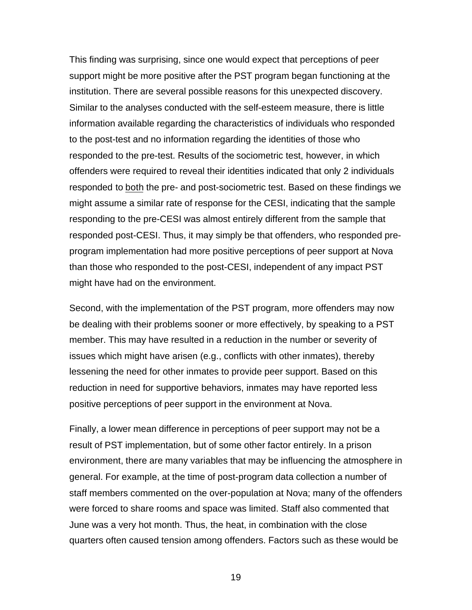This finding was surprising, since one would expect that perceptions of peer support might be more positive after the PST program began functioning at the institution. There are several possible reasons for this unexpected discovery. Similar to the analyses conducted with the self-esteem measure, there is little information available regarding the characteristics of individuals who responded to the post-test and no information regarding the identities of those who responded to the pre-test. Results of the sociometric test, however, in which offenders were required to reveal their identities indicated that only 2 individuals responded to both the pre- and post-sociometric test. Based on these findings we might assume a similar rate of response for the CESI, indicating that the sample responding to the pre-CESI was almost entirely different from the sample that responded post-CESI. Thus, it may simply be that offenders, who responded preprogram implementation had more positive perceptions of peer support at Nova than those who responded to the post-CESI, independent of any impact PST might have had on the environment.

Second, with the implementation of the PST program, more offenders may now be dealing with their problems sooner or more effectively, by speaking to a PST member. This may have resulted in a reduction in the number or severity of issues which might have arisen (e.g., conflicts with other inmates), thereby lessening the need for other inmates to provide peer support. Based on this reduction in need for supportive behaviors, inmates may have reported less positive perceptions of peer support in the environment at Nova.

Finally, a lower mean difference in perceptions of peer support may not be a result of PST implementation, but of some other factor entirely. In a prison environment, there are many variables that may be influencing the atmosphere in general. For example, at the time of post-program data collection a number of staff members commented on the over-population at Nova; many of the offenders were forced to share rooms and space was limited. Staff also commented that June was a very hot month. Thus, the heat, in combination with the close quarters often caused tension among offenders. Factors such as these would be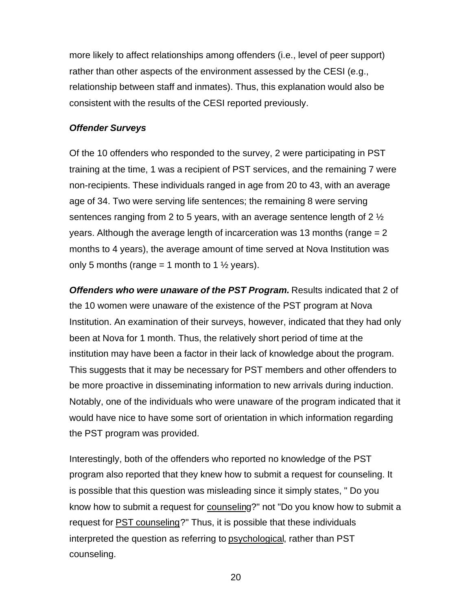more likely to affect relationships among offenders (i.e., level of peer support) rather than other aspects of the environment assessed by the CESI (e.g., relationship between staff and inmates). Thus, this explanation would also be consistent with the results of the CESI reported previously.

#### *Offender Surveys*

Of the 10 offenders who responded to the survey, 2 were participating in PST training at the time, 1 was a recipient of PST services, and the remaining 7 were non-recipients. These individuals ranged in age from 20 to 43, with an average age of 34. Two were serving life sentences; the remaining 8 were serving sentences ranging from 2 to 5 years, with an average sentence length of 2  $\frac{1}{2}$ years. Although the average length of incarceration was 13 months (range  $= 2$ ) months to 4 years), the average amount of time served at Nova Institution was only 5 months (range = 1 month to 1  $\frac{1}{2}$  years).

*Offenders who were unaware of the PST Program.* Results indicated that 2 of the 10 women were unaware of the existence of the PST program at Nova Institution. An examination of their surveys, however, indicated that they had only been at Nova for 1 month. Thus, the relatively short period of time at the institution may have been a factor in their lack of knowledge about the program. This suggests that it may be necessary for PST members and other offenders to be more proactive in disseminating information to new arrivals during induction. Notably, one of the individuals who were unaware of the program indicated that it would have nice to have some sort of orientation in which information regarding the PST program was provided.

Interestingly, both of the offenders who reported no knowledge of the PST program also reported that they knew how to submit a request for counseling. It is possible that this question was misleading since it simply states, " Do you know how to submit a request for counseling?" not "Do you know how to submit a request for PST counseling?" Thus, it is possible that these individuals interpreted the question as referring to psychological, rather than PST counseling.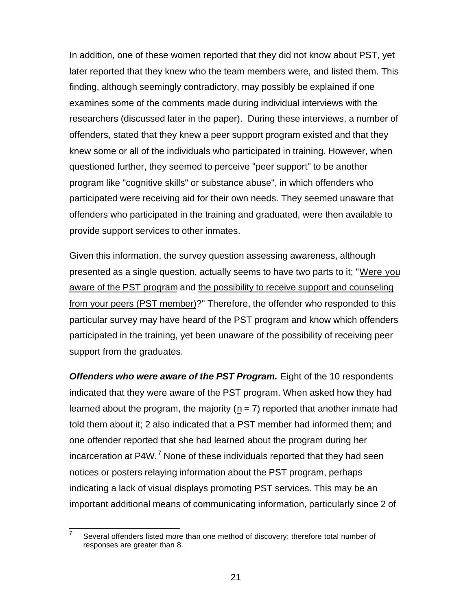In addition, one of these women reported that they did not know about PST, yet later reported that they knew who the team members were, and listed them. This finding, although seemingly contradictory, may possibly be explained if one examines some of the comments made during individual interviews with the researchers (discussed later in the paper). During these interviews, a number of offenders, stated that they knew a peer support program existed and that they knew some or all of the individuals who participated in training. However, when questioned further, they seemed to perceive "peer support" to be another program like "cognitive skills" or substance abuse", in which offenders who participated were receiving aid for their own needs. They seemed unaware that offenders who participated in the training and graduated, were then available to provide support services to other inmates.

Given this information, the survey question assessing awareness, although presented as a single question, actually seems to have two parts to it; "Were you aware of the PST program and the possibility to receive support and counseling from your peers (PST member)?" Therefore, the offender who responded to this particular survey may have heard of the PST program and know which offenders participated in the training, yet been unaware of the possibility of receiving peer support from the graduates.

*Offenders who were aware of the PST Program.* Eight of the 10 respondents indicated that they were aware of the PST program. When asked how they had learned about the program, the majority ( $n = 7$ ) reported that another inmate had told them about it; 2 also indicated that a PST member had informed them; and one offender reported that she had learned about the program during her incarceration at P4W.<sup>7</sup> None of these individuals reported that they had seen notices or posters relaying information about the PST program, perhaps indicating a lack of visual displays promoting PST services. This may be an important additional means of communicating information, particularly since 2 of

 $\overline{a}$ 7 Several offenders listed more than one method of discovery; therefore total number of responses are greater than 8.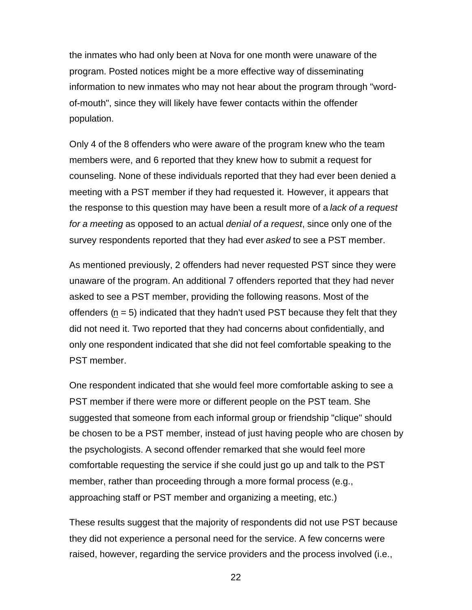the inmates who had only been at Nova for one month were unaware of the program. Posted notices might be a more effective way of disseminating information to new inmates who may not hear about the program through "wordof-mouth", since they will likely have fewer contacts within the offender population.

Only 4 of the 8 offenders who were aware of the program knew who the team members were, and 6 reported that they knew how to submit a request for counseling. None of these individuals reported that they had ever been denied a meeting with a PST member if they had requested it. However, it appears that the response to this question may have been a result more of a *lack of a request for a meeting* as opposed to an actual *denial of a request*, since only one of the survey respondents reported that they had ever *asked* to see a PST member.

As mentioned previously, 2 offenders had never requested PST since they were unaware of the program. An additional 7 offenders reported that they had never asked to see a PST member, providing the following reasons. Most of the offenders  $(n = 5)$  indicated that they hadn't used PST because they felt that they did not need it. Two reported that they had concerns about confidentially, and only one respondent indicated that she did not feel comfortable speaking to the PST member.

One respondent indicated that she would feel more comfortable asking to see a PST member if there were more or different people on the PST team. She suggested that someone from each informal group or friendship "clique" should be chosen to be a PST member, instead of just having people who are chosen by the psychologists. A second offender remarked that she would feel more comfortable requesting the service if she could just go up and talk to the PST member, rather than proceeding through a more formal process (e.g., approaching staff or PST member and organizing a meeting, etc.)

These results suggest that the majority of respondents did not use PST because they did not experience a personal need for the service. A few concerns were raised, however, regarding the service providers and the process involved (i.e.,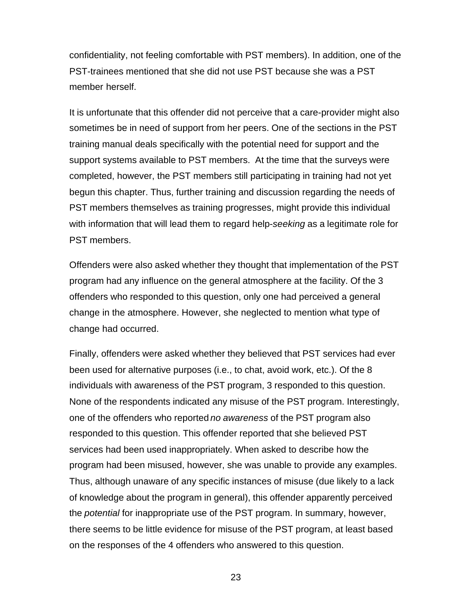confidentiality, not feeling comfortable with PST members). In addition, one of the PST-trainees mentioned that she did not use PST because she was a PST member herself.

It is unfortunate that this offender did not perceive that a care-provider might also sometimes be in need of support from her peers. One of the sections in the PST training manual deals specifically with the potential need for support and the support systems available to PST members. At the time that the surveys were completed, however, the PST members still participating in training had not yet begun this chapter. Thus, further training and discussion regarding the needs of PST members themselves as training progresses, might provide this individual with information that will lead them to regard help-*seeking* as a legitimate role for PST members.

Offenders were also asked whether they thought that implementation of the PST program had any influence on the general atmosphere at the facility. Of the 3 offenders who responded to this question, only one had perceived a general change in the atmosphere. However, she neglected to mention what type of change had occurred.

Finally, offenders were asked whether they believed that PST services had ever been used for alternative purposes (i.e., to chat, avoid work, etc.). Of the 8 individuals with awareness of the PST program, 3 responded to this question. None of the respondents indicated any misuse of the PST program. Interestingly, one of the offenders who reported *no awareness* of the PST program also responded to this question. This offender reported that she believed PST services had been used inappropriately. When asked to describe how the program had been misused, however, she was unable to provide any examples. Thus, although unaware of any specific instances of misuse (due likely to a lack of knowledge about the program in general), this offender apparently perceived the *potential* for inappropriate use of the PST program. In summary, however, there seems to be little evidence for misuse of the PST program, at least based on the responses of the 4 offenders who answered to this question.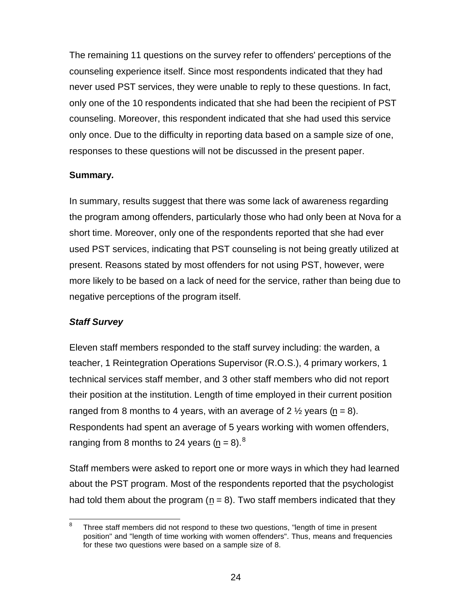The remaining 11 questions on the survey refer to offenders' perceptions of the counseling experience itself. Since most respondents indicated that they had never used PST services, they were unable to reply to these questions. In fact, only one of the 10 respondents indicated that she had been the recipient of PST counseling. Moreover, this respondent indicated that she had used this service only once. Due to the difficulty in reporting data based on a sample size of one, responses to these questions will not be discussed in the present paper.

## **Summary***.*

In summary, results suggest that there was some lack of awareness regarding the program among offenders, particularly those who had only been at Nova for a short time. Moreover, only one of the respondents reported that she had ever used PST services, indicating that PST counseling is not being greatly utilized at present. Reasons stated by most offenders for not using PST, however, were more likely to be based on a lack of need for the service, rather than being due to negative perceptions of the program itself.

#### *Staff Survey*

Eleven staff members responded to the staff survey including: the warden, a teacher, 1 Reintegration Operations Supervisor (R.O.S.), 4 primary workers, 1 technical services staff member, and 3 other staff members who did not report their position at the institution. Length of time employed in their current position ranged from 8 months to 4 years, with an average of 2  $\frac{1}{2}$  years (n = 8). Respondents had spent an average of 5 years working with women offenders, ranging from 8 months to 24 years ( $n = 8$ ).<sup>8</sup>

Staff members were asked to report one or more ways in which they had learned about the PST program. Most of the respondents reported that the psychologist had told them about the program  $(n = 8)$ . Two staff members indicated that they

<sup>-&</sup>lt;br>8 Three staff members did not respond to these two questions, "length of time in present position" and "length of time working with women offenders". Thus, means and frequencies for these two questions were based on a sample size of 8.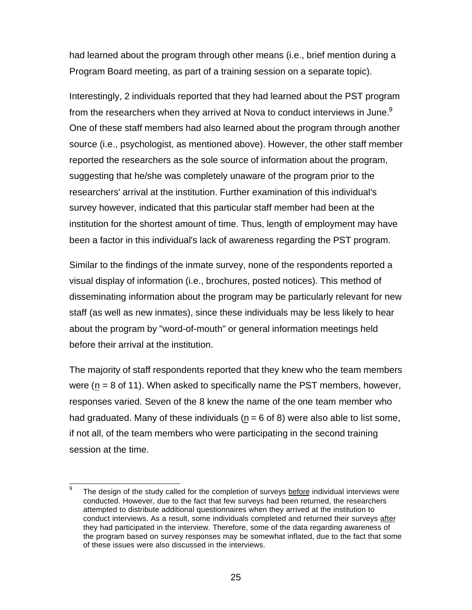had learned about the program through other means (i.e., brief mention during a Program Board meeting, as part of a training session on a separate topic).

Interestingly, 2 individuals reported that they had learned about the PST program from the researchers when they arrived at Nova to conduct interviews in June.<sup>9</sup> One of these staff members had also learned about the program through another source (i.e., psychologist, as mentioned above). However, the other staff member reported the researchers as the sole source of information about the program, suggesting that he/she was completely unaware of the program prior to the researchers' arrival at the institution. Further examination of this individual's survey however, indicated that this particular staff member had been at the institution for the shortest amount of time. Thus, length of employment may have been a factor in this individual's lack of awareness regarding the PST program.

Similar to the findings of the inmate survey, none of the respondents reported a visual display of information (i.e., brochures, posted notices). This method of disseminating information about the program may be particularly relevant for new staff (as well as new inmates), since these individuals may be less likely to hear about the program by "word-of-mouth" or general information meetings held before their arrival at the institution.

The majority of staff respondents reported that they knew who the team members were ( $n = 8$  of 11). When asked to specifically name the PST members, however, responses varied. Seven of the 8 knew the name of the one team member who had graduated. Many of these individuals ( $n = 6$  of 8) were also able to list some, if not all, of the team members who were participating in the second training session at the time.

<sup>—&</sup>lt;br>9 The design of the study called for the completion of surveys before individual interviews were conducted. However, due to the fact that few surveys had been returned, the researchers attempted to distribute additional questionnaires when they arrived at the institution to conduct interviews. As a result, some individuals completed and returned their surveys after they had participated in the interview. Therefore, some of the data regarding awareness of the program based on survey responses may be somewhat inflated, due to the fact that some of these issues were also discussed in the interviews.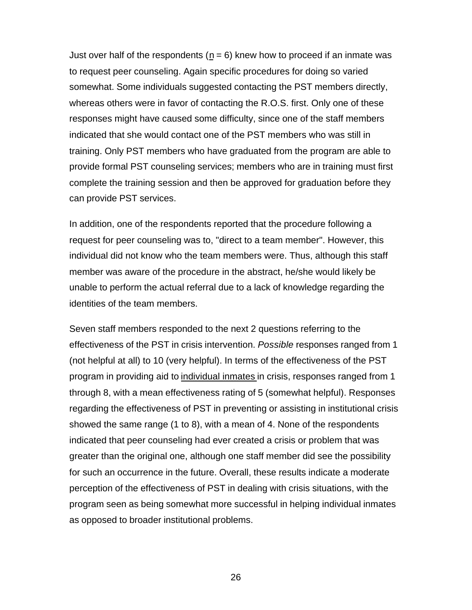Just over half of the respondents ( $n = 6$ ) knew how to proceed if an inmate was to request peer counseling. Again specific procedures for doing so varied somewhat. Some individuals suggested contacting the PST members directly, whereas others were in favor of contacting the R.O.S. first. Only one of these responses might have caused some difficulty, since one of the staff members indicated that she would contact one of the PST members who was still in training. Only PST members who have graduated from the program are able to provide formal PST counseling services; members who are in training must first complete the training session and then be approved for graduation before they can provide PST services.

In addition, one of the respondents reported that the procedure following a request for peer counseling was to, "direct to a team member". However, this individual did not know who the team members were. Thus, although this staff member was aware of the procedure in the abstract, he/she would likely be unable to perform the actual referral due to a lack of knowledge regarding the identities of the team members.

Seven staff members responded to the next 2 questions referring to the effectiveness of the PST in crisis intervention. *Possible* responses ranged from 1 (not helpful at all) to 10 (very helpful). In terms of the effectiveness of the PST program in providing aid to individual inmates in crisis, responses ranged from 1 through 8, with a mean effectiveness rating of 5 (somewhat helpful). Responses regarding the effectiveness of PST in preventing or assisting in institutional crisis showed the same range (1 to 8), with a mean of 4. None of the respondents indicated that peer counseling had ever created a crisis or problem that was greater than the original one, although one staff member did see the possibility for such an occurrence in the future. Overall, these results indicate a moderate perception of the effectiveness of PST in dealing with crisis situations, with the program seen as being somewhat more successful in helping individual inmates as opposed to broader institutional problems.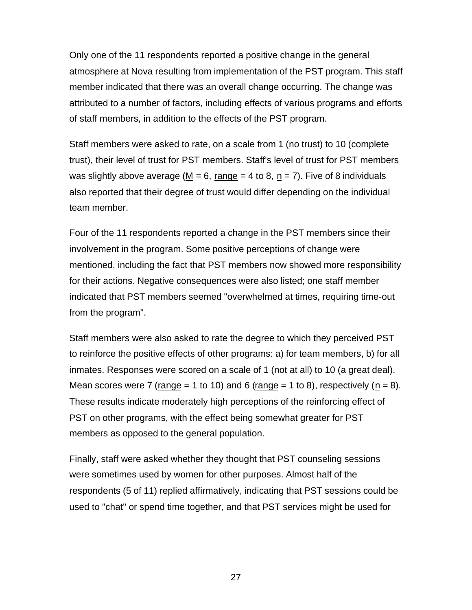Only one of the 11 respondents reported a positive change in the general atmosphere at Nova resulting from implementation of the PST program. This staff member indicated that there was an overall change occurring. The change was attributed to a number of factors, including effects of various programs and efforts of staff members, in addition to the effects of the PST program.

Staff members were asked to rate, on a scale from 1 (no trust) to 10 (complete trust), their level of trust for PST members. Staff's level of trust for PST members was slightly above average (M = 6, range = 4 to 8, n = 7). Five of 8 individuals also reported that their degree of trust would differ depending on the individual team member.

Four of the 11 respondents reported a change in the PST members since their involvement in the program. Some positive perceptions of change were mentioned, including the fact that PST members now showed more responsibility for their actions. Negative consequences were also listed; one staff member indicated that PST members seemed "overwhelmed at times, requiring time-out from the program".

Staff members were also asked to rate the degree to which they perceived PST to reinforce the positive effects of other programs: a) for team members, b) for all inmates. Responses were scored on a scale of 1 (not at all) to 10 (a great deal). Mean scores were 7 (range = 1 to 10) and 6 (range = 1 to 8), respectively (n = 8). These results indicate moderately high perceptions of the reinforcing effect of PST on other programs, with the effect being somewhat greater for PST members as opposed to the general population.

Finally, staff were asked whether they thought that PST counseling sessions were sometimes used by women for other purposes. Almost half of the respondents (5 of 11) replied affirmatively, indicating that PST sessions could be used to "chat" or spend time together, and that PST services might be used for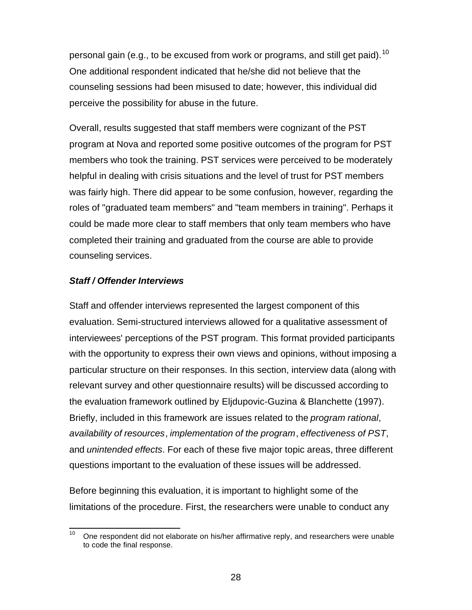personal gain (e.g., to be excused from work or programs, and still get paid).<sup>10</sup> One additional respondent indicated that he/she did not believe that the counseling sessions had been misused to date; however, this individual did perceive the possibility for abuse in the future.

Overall, results suggested that staff members were cognizant of the PST program at Nova and reported some positive outcomes of the program for PST members who took the training. PST services were perceived to be moderately helpful in dealing with crisis situations and the level of trust for PST members was fairly high. There did appear to be some confusion, however, regarding the roles of "graduated team members" and "team members in training". Perhaps it could be made more clear to staff members that only team members who have completed their training and graduated from the course are able to provide counseling services.

## *Staff / Offender Interviews*

Staff and offender interviews represented the largest component of this evaluation. Semi-structured interviews allowed for a qualitative assessment of interviewees' perceptions of the PST program. This format provided participants with the opportunity to express their own views and opinions, without imposing a particular structure on their responses. In this section, interview data (along with relevant survey and other questionnaire results) will be discussed according to the evaluation framework outlined by Eljdupovic-Guzina & Blanchette (1997). Briefly, included in this framework are issues related to the *program rational*, *availability of resources*, *implementation of the program*, *effectiveness of PST*, and *unintended effects*. For each of these five major topic areas, three different questions important to the evaluation of these issues will be addressed.

Before beginning this evaluation, it is important to highlight some of the limitations of the procedure. First, the researchers were unable to conduct any

 $10$ <sup>10</sup> One respondent did not elaborate on his/her affirmative reply, and researchers were unable to code the final response.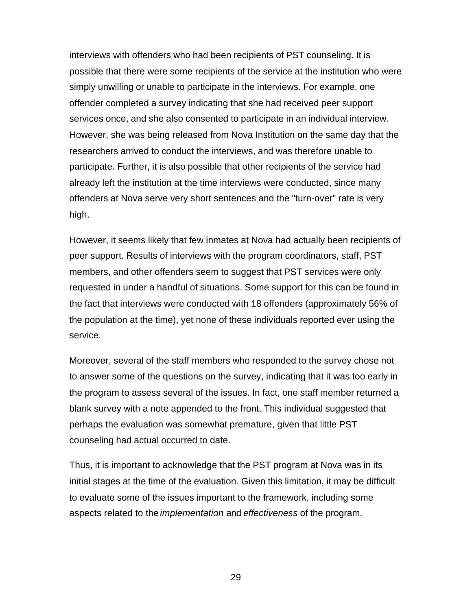interviews with offenders who had been recipients of PST counseling. It is possible that there were some recipients of the service at the institution who were simply unwilling or unable to participate in the interviews. For example, one offender completed a survey indicating that she had received peer support services once, and she also consented to participate in an individual interview. However, she was being released from Nova Institution on the same day that the researchers arrived to conduct the interviews, and was therefore unable to participate. Further, it is also possible that other recipients of the service had already left the institution at the time interviews were conducted, since many offenders at Nova serve very short sentences and the "turn-over" rate is very high.

However, it seems likely that few inmates at Nova had actually been recipients of peer support. Results of interviews with the program coordinators, staff, PST members, and other offenders seem to suggest that PST services were only requested in under a handful of situations. Some support for this can be found in the fact that interviews were conducted with 18 offenders (approximately 56% of the population at the time), yet none of these individuals reported ever using the service.

Moreover, several of the staff members who responded to the survey chose not to answer some of the questions on the survey, indicating that it was too early in the program to assess several of the issues. In fact, one staff member returned a blank survey with a note appended to the front. This individual suggested that perhaps the evaluation was somewhat premature, given that little PST counseling had actual occurred to date.

Thus, it is important to acknowledge that the PST program at Nova was in its initial stages at the time of the evaluation. Given this limitation, it may be difficult to evaluate some of the issues important to the framework, including some aspects related to the *implementation* and *effectiveness* of the program.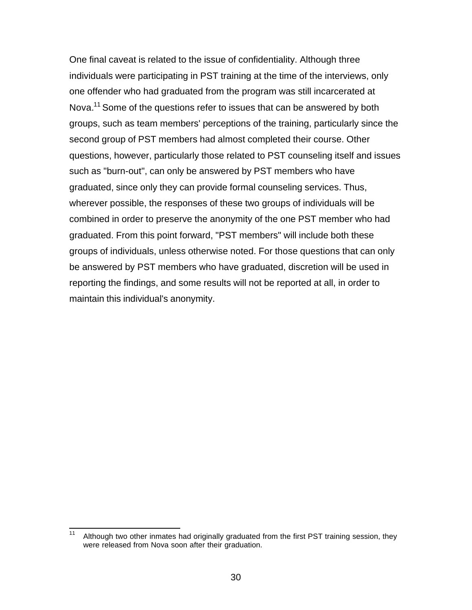One final caveat is related to the issue of confidentiality. Although three individuals were participating in PST training at the time of the interviews, only one offender who had graduated from the program was still incarcerated at Nova.<sup>11</sup> Some of the questions refer to issues that can be answered by both groups, such as team members' perceptions of the training, particularly since the second group of PST members had almost completed their course. Other questions, however, particularly those related to PST counseling itself and issues such as "burn-out", can only be answered by PST members who have graduated, since only they can provide formal counseling services. Thus, wherever possible, the responses of these two groups of individuals will be combined in order to preserve the anonymity of the one PST member who had graduated. From this point forward, "PST members" will include both these groups of individuals, unless otherwise noted. For those questions that can only be answered by PST members who have graduated, discretion will be used in reporting the findings, and some results will not be reported at all, in order to maintain this individual's anonymity.

 $11$ Although two other inmates had originally graduated from the first PST training session, they were released from Nova soon after their graduation.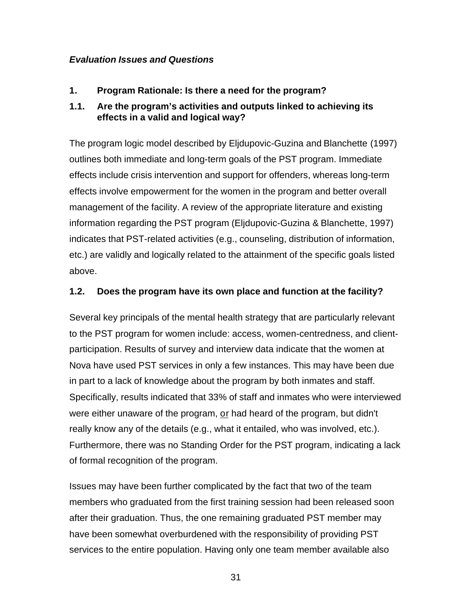## *Evaluation Issues and Questions*

**1. Program Rationale: Is there a need for the program?**

# **1.1. Are the program's activities and outputs linked to achieving its effects in a valid and logical way?**

The program logic model described by Eljdupovic-Guzina and Blanchette (1997) outlines both immediate and long-term goals of the PST program. Immediate effects include crisis intervention and support for offenders, whereas long-term effects involve empowerment for the women in the program and better overall management of the facility. A review of the appropriate literature and existing information regarding the PST program (Eljdupovic-Guzina & Blanchette, 1997) indicates that PST-related activities (e.g., counseling, distribution of information, etc.) are validly and logically related to the attainment of the specific goals listed above.

## **1.2. Does the program have its own place and function at the facility?**

Several key principals of the mental health strategy that are particularly relevant to the PST program for women include: access, women-centredness, and clientparticipation. Results of survey and interview data indicate that the women at Nova have used PST services in only a few instances. This may have been due in part to a lack of knowledge about the program by both inmates and staff. Specifically, results indicated that 33% of staff and inmates who were interviewed were either unaware of the program, or had heard of the program, but didn't really know any of the details (e.g., what it entailed, who was involved, etc.). Furthermore, there was no Standing Order for the PST program, indicating a lack of formal recognition of the program.

Issues may have been further complicated by the fact that two of the team members who graduated from the first training session had been released soon after their graduation. Thus, the one remaining graduated PST member may have been somewhat overburdened with the responsibility of providing PST services to the entire population. Having only one team member available also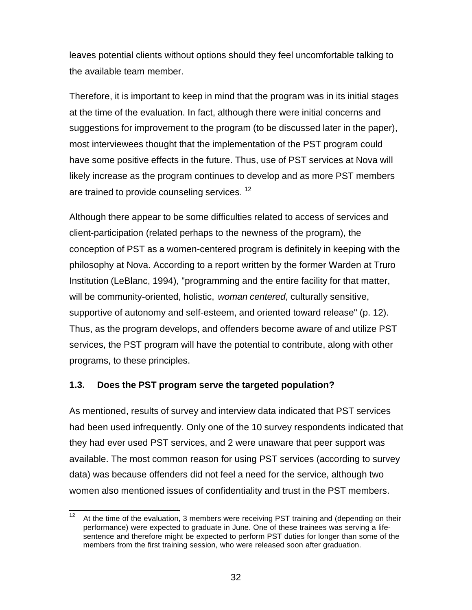leaves potential clients without options should they feel uncomfortable talking to the available team member.

Therefore, it is important to keep in mind that the program was in its initial stages at the time of the evaluation. In fact, although there were initial concerns and suggestions for improvement to the program (to be discussed later in the paper), most interviewees thought that the implementation of the PST program could have some positive effects in the future. Thus, use of PST services at Nova will likely increase as the program continues to develop and as more PST members are trained to provide counseling services.<sup>12</sup>

Although there appear to be some difficulties related to access of services and client-participation (related perhaps to the newness of the program), the conception of PST as a women-centered program is definitely in keeping with the philosophy at Nova. According to a report written by the former Warden at Truro Institution (LeBlanc, 1994), "programming and the entire facility for that matter, will be community-oriented, holistic, *woman centered*, culturally sensitive, supportive of autonomy and self-esteem, and oriented toward release" (p. 12). Thus, as the program develops, and offenders become aware of and utilize PST services, the PST program will have the potential to contribute, along with other programs, to these principles.

# **1.3. Does the PST program serve the targeted population?**

As mentioned, results of survey and interview data indicated that PST services had been used infrequently. Only one of the 10 survey respondents indicated that they had ever used PST services, and 2 were unaware that peer support was available. The most common reason for using PST services (according to survey data) was because offenders did not feel a need for the service, although two women also mentioned issues of confidentiality and trust in the PST members.

 $12<sup>2</sup>$ At the time of the evaluation, 3 members were receiving PST training and (depending on their performance) were expected to graduate in June. One of these trainees was serving a lifesentence and therefore might be expected to perform PST duties for longer than some of the members from the first training session, who were released soon after graduation.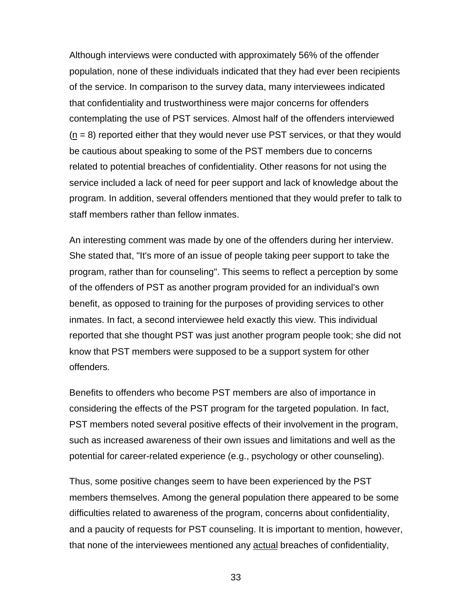Although interviews were conducted with approximately 56% of the offender population, none of these individuals indicated that they had ever been recipients of the service. In comparison to the survey data, many interviewees indicated that confidentiality and trustworthiness were major concerns for offenders contemplating the use of PST services. Almost half of the offenders interviewed  $(n = 8)$  reported either that they would never use PST services, or that they would be cautious about speaking to some of the PST members due to concerns related to potential breaches of confidentiality. Other reasons for not using the service included a lack of need for peer support and lack of knowledge about the program. In addition, several offenders mentioned that they would prefer to talk to staff members rather than fellow inmates.

An interesting comment was made by one of the offenders during her interview. She stated that, "It's more of an issue of people taking peer support to take the program, rather than for counseling". This seems to reflect a perception by some of the offenders of PST as another program provided for an individual's own benefit, as opposed to training for the purposes of providing services to other inmates. In fact, a second interviewee held exactly this view. This individual reported that she thought PST was just another program people took; she did not know that PST members were supposed to be a support system for other offenders.

Benefits to offenders who become PST members are also of importance in considering the effects of the PST program for the targeted population. In fact, PST members noted several positive effects of their involvement in the program, such as increased awareness of their own issues and limitations and well as the potential for career-related experience (e.g., psychology or other counseling).

Thus, some positive changes seem to have been experienced by the PST members themselves. Among the general population there appeared to be some difficulties related to awareness of the program, concerns about confidentiality, and a paucity of requests for PST counseling. It is important to mention, however, that none of the interviewees mentioned any actual breaches of confidentiality,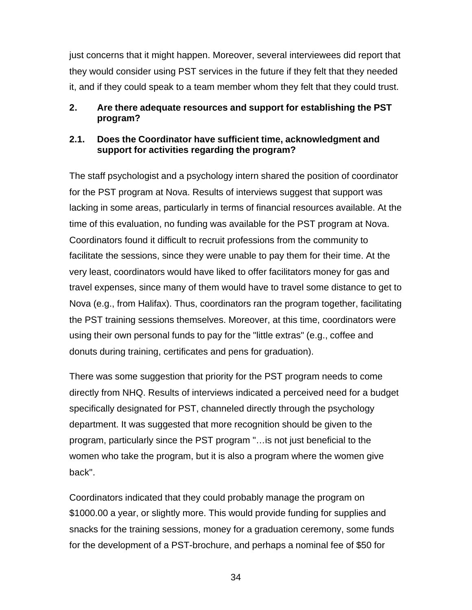just concerns that it might happen. Moreover, several interviewees did report that they would consider using PST services in the future if they felt that they needed it, and if they could speak to a team member whom they felt that they could trust.

## **2. Are there adequate resources and support for establishing the PST program?**

## **2.1. Does the Coordinator have sufficient time, acknowledgment and support for activities regarding the program?**

The staff psychologist and a psychology intern shared the position of coordinator for the PST program at Nova. Results of interviews suggest that support was lacking in some areas, particularly in terms of financial resources available. At the time of this evaluation, no funding was available for the PST program at Nova. Coordinators found it difficult to recruit professions from the community to facilitate the sessions, since they were unable to pay them for their time. At the very least, coordinators would have liked to offer facilitators money for gas and travel expenses, since many of them would have to travel some distance to get to Nova (e.g., from Halifax). Thus, coordinators ran the program together, facilitating the PST training sessions themselves. Moreover, at this time, coordinators were using their own personal funds to pay for the "little extras" (e.g., coffee and donuts during training, certificates and pens for graduation).

There was some suggestion that priority for the PST program needs to come directly from NHQ. Results of interviews indicated a perceived need for a budget specifically designated for PST, channeled directly through the psychology department. It was suggested that more recognition should be given to the program, particularly since the PST program "…is not just beneficial to the women who take the program, but it is also a program where the women give back".

Coordinators indicated that they could probably manage the program on \$1000.00 a year, or slightly more. This would provide funding for supplies and snacks for the training sessions, money for a graduation ceremony, some funds for the development of a PST-brochure, and perhaps a nominal fee of \$50 for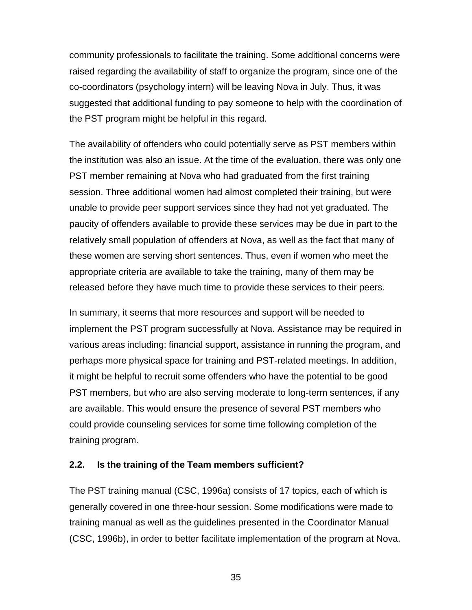community professionals to facilitate the training. Some additional concerns were raised regarding the availability of staff to organize the program, since one of the co-coordinators (psychology intern) will be leaving Nova in July. Thus, it was suggested that additional funding to pay someone to help with the coordination of the PST program might be helpful in this regard.

The availability of offenders who could potentially serve as PST members within the institution was also an issue. At the time of the evaluation, there was only one PST member remaining at Nova who had graduated from the first training session. Three additional women had almost completed their training, but were unable to provide peer support services since they had not yet graduated. The paucity of offenders available to provide these services may be due in part to the relatively small population of offenders at Nova, as well as the fact that many of these women are serving short sentences. Thus, even if women who meet the appropriate criteria are available to take the training, many of them may be released before they have much time to provide these services to their peers.

In summary, it seems that more resources and support will be needed to implement the PST program successfully at Nova. Assistance may be required in various areas including: financial support, assistance in running the program, and perhaps more physical space for training and PST-related meetings. In addition, it might be helpful to recruit some offenders who have the potential to be good PST members, but who are also serving moderate to long-term sentences, if any are available. This would ensure the presence of several PST members who could provide counseling services for some time following completion of the training program.

#### **2.2. Is the training of the Team members sufficient?**

The PST training manual (CSC, 1996a) consists of 17 topics, each of which is generally covered in one three-hour session. Some modifications were made to training manual as well as the guidelines presented in the Coordinator Manual (CSC, 1996b), in order to better facilitate implementation of the program at Nova.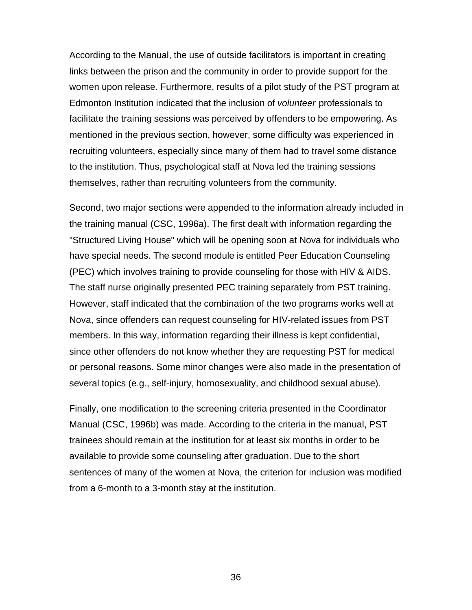According to the Manual, the use of outside facilitators is important in creating links between the prison and the community in order to provide support for the women upon release. Furthermore, results of a pilot study of the PST program at Edmonton Institution indicated that the inclusion of *volunteer* professionals to facilitate the training sessions was perceived by offenders to be empowering. As mentioned in the previous section, however, some difficulty was experienced in recruiting volunteers, especially since many of them had to travel some distance to the institution. Thus, psychological staff at Nova led the training sessions themselves, rather than recruiting volunteers from the community.

Second, two major sections were appended to the information already included in the training manual (CSC, 1996a). The first dealt with information regarding the "Structured Living House" which will be opening soon at Nova for individuals who have special needs. The second module is entitled Peer Education Counseling (PEC) which involves training to provide counseling for those with HIV & AIDS. The staff nurse originally presented PEC training separately from PST training. However, staff indicated that the combination of the two programs works well at Nova, since offenders can request counseling for HIV-related issues from PST members. In this way, information regarding their illness is kept confidential, since other offenders do not know whether they are requesting PST for medical or personal reasons. Some minor changes were also made in the presentation of several topics (e.g., self-injury, homosexuality, and childhood sexual abuse).

Finally, one modification to the screening criteria presented in the Coordinator Manual (CSC, 1996b) was made. According to the criteria in the manual, PST trainees should remain at the institution for at least six months in order to be available to provide some counseling after graduation. Due to the short sentences of many of the women at Nova, the criterion for inclusion was modified from a 6-month to a 3-month stay at the institution.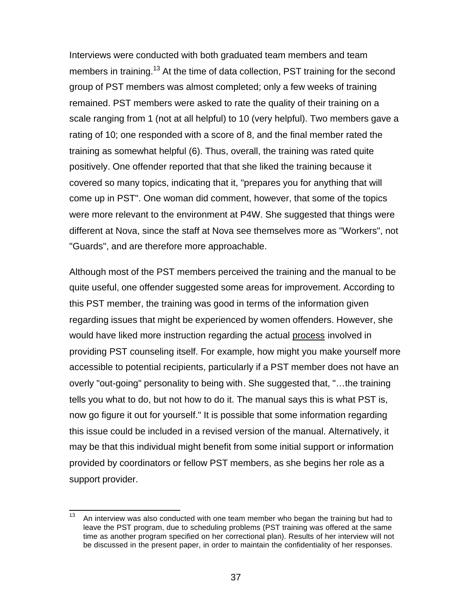Interviews were conducted with both graduated team members and team members in training.<sup>13</sup> At the time of data collection, PST training for the second group of PST members was almost completed; only a few weeks of training remained. PST members were asked to rate the quality of their training on a scale ranging from 1 (not at all helpful) to 10 (very helpful). Two members gave a rating of 10; one responded with a score of 8, and the final member rated the training as somewhat helpful (6). Thus, overall, the training was rated quite positively. One offender reported that that she liked the training because it covered so many topics, indicating that it, "prepares you for anything that will come up in PST". One woman did comment, however, that some of the topics were more relevant to the environment at P4W. She suggested that things were different at Nova, since the staff at Nova see themselves more as "Workers", not "Guards", and are therefore more approachable.

Although most of the PST members perceived the training and the manual to be quite useful, one offender suggested some areas for improvement. According to this PST member, the training was good in terms of the information given regarding issues that might be experienced by women offenders. However, she would have liked more instruction regarding the actual process involved in providing PST counseling itself. For example, how might you make yourself more accessible to potential recipients, particularly if a PST member does not have an overly "out-going" personality to being with. She suggested that, "…the training tells you what to do, but not how to do it. The manual says this is what PST is, now go figure it out for yourself." It is possible that some information regarding this issue could be included in a revised version of the manual. Alternatively, it may be that this individual might benefit from some initial support or information provided by coordinators or fellow PST members, as she begins her role as a support provider.

 $13$ <sup>13</sup> An interview was also conducted with one team member who began the training but had to leave the PST program, due to scheduling problems (PST training was offered at the same time as another program specified on her correctional plan). Results of her interview will not be discussed in the present paper, in order to maintain the confidentiality of her responses.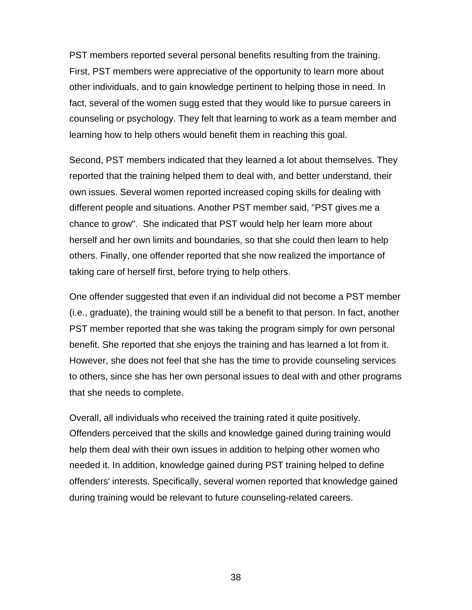PST members reported several personal benefits resulting from the training. First, PST members were appreciative of the opportunity to learn more about other individuals, and to gain knowledge pertinent to helping those in need. In fact, several of the women sugg ested that they would like to pursue careers in counseling or psychology. They felt that learning to work as a team member and learning how to help others would benefit them in reaching this goal.

Second, PST members indicated that they learned a lot about themselves. They reported that the training helped them to deal with, and better understand, their own issues. Several women reported increased coping skills for dealing with different people and situations. Another PST member said, "PST gives me a chance to grow". She indicated that PST would help her learn more about herself and her own limits and boundaries, so that she could then learn to help others. Finally, one offender reported that she now realized the importance of taking care of herself first, before trying to help others.

One offender suggested that even if an individual did not become a PST member (i.e., graduate), the training would still be a benefit to that person. In fact, another PST member reported that she was taking the program simply for own personal benefit. She reported that she enjoys the training and has learned a lot from it. However, she does not feel that she has the time to provide counseling services to others, since she has her own personal issues to deal with and other programs that she needs to complete.

Overall, all individuals who received the training rated it quite positively. Offenders perceived that the skills and knowledge gained during training would help them deal with their own issues in addition to helping other women who needed it. In addition, knowledge gained during PST training helped to define offenders' interests. Specifically, several women reported that knowledge gained during training would be relevant to future counseling-related careers.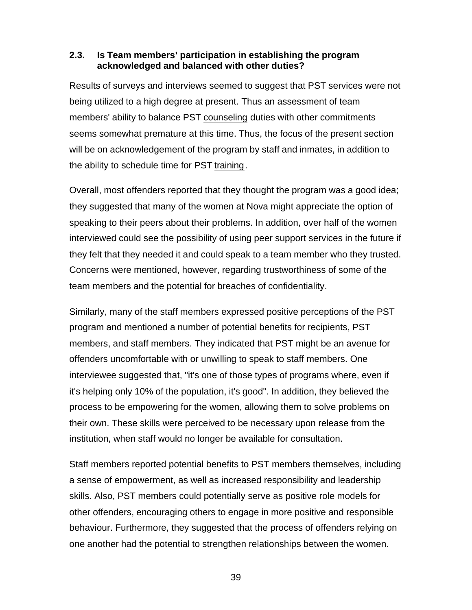#### **2.3. Is Team members' participation in establishing the program acknowledged and balanced with other duties?**

Results of surveys and interviews seemed to suggest that PST services were not being utilized to a high degree at present. Thus an assessment of team members' ability to balance PST counseling duties with other commitments seems somewhat premature at this time. Thus, the focus of the present section will be on acknowledgement of the program by staff and inmates, in addition to the ability to schedule time for PST training.

Overall, most offenders reported that they thought the program was a good idea; they suggested that many of the women at Nova might appreciate the option of speaking to their peers about their problems. In addition, over half of the women interviewed could see the possibility of using peer support services in the future if they felt that they needed it and could speak to a team member who they trusted. Concerns were mentioned, however, regarding trustworthiness of some of the team members and the potential for breaches of confidentiality.

Similarly, many of the staff members expressed positive perceptions of the PST program and mentioned a number of potential benefits for recipients, PST members, and staff members. They indicated that PST might be an avenue for offenders uncomfortable with or unwilling to speak to staff members. One interviewee suggested that, "it's one of those types of programs where, even if it's helping only 10% of the population, it's good". In addition, they believed the process to be empowering for the women, allowing them to solve problems on their own. These skills were perceived to be necessary upon release from the institution, when staff would no longer be available for consultation.

Staff members reported potential benefits to PST members themselves, including a sense of empowerment, as well as increased responsibility and leadership skills. Also, PST members could potentially serve as positive role models for other offenders, encouraging others to engage in more positive and responsible behaviour. Furthermore, they suggested that the process of offenders relying on one another had the potential to strengthen relationships between the women.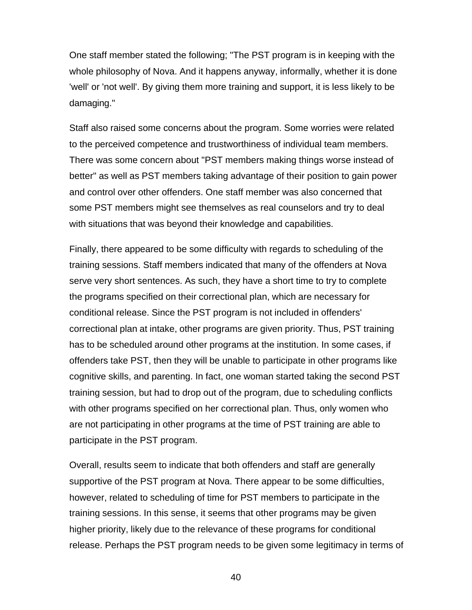One staff member stated the following; "The PST program is in keeping with the whole philosophy of Nova. And it happens anyway, informally, whether it is done 'well' or 'not well'. By giving them more training and support, it is less likely to be damaging."

Staff also raised some concerns about the program. Some worries were related to the perceived competence and trustworthiness of individual team members. There was some concern about "PST members making things worse instead of better" as well as PST members taking advantage of their position to gain power and control over other offenders. One staff member was also concerned that some PST members might see themselves as real counselors and try to deal with situations that was beyond their knowledge and capabilities.

Finally, there appeared to be some difficulty with regards to scheduling of the training sessions. Staff members indicated that many of the offenders at Nova serve very short sentences. As such, they have a short time to try to complete the programs specified on their correctional plan, which are necessary for conditional release. Since the PST program is not included in offenders' correctional plan at intake, other programs are given priority. Thus, PST training has to be scheduled around other programs at the institution. In some cases, if offenders take PST, then they will be unable to participate in other programs like cognitive skills, and parenting. In fact, one woman started taking the second PST training session, but had to drop out of the program, due to scheduling conflicts with other programs specified on her correctional plan. Thus, only women who are not participating in other programs at the time of PST training are able to participate in the PST program.

Overall, results seem to indicate that both offenders and staff are generally supportive of the PST program at Nova. There appear to be some difficulties, however, related to scheduling of time for PST members to participate in the training sessions. In this sense, it seems that other programs may be given higher priority, likely due to the relevance of these programs for conditional release. Perhaps the PST program needs to be given some legitimacy in terms of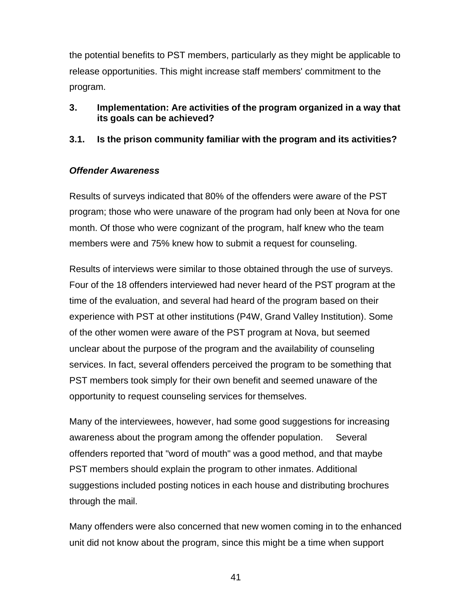the potential benefits to PST members, particularly as they might be applicable to release opportunities. This might increase staff members' commitment to the program.

## **3. Implementation: Are activities of the program organized in a way that its goals can be achieved?**

# **3.1. Is the prison community familiar with the program and its activities?**

## *Offender Awareness*

Results of surveys indicated that 80% of the offenders were aware of the PST program; those who were unaware of the program had only been at Nova for one month. Of those who were cognizant of the program, half knew who the team members were and 75% knew how to submit a request for counseling.

Results of interviews were similar to those obtained through the use of surveys. Four of the 18 offenders interviewed had never heard of the PST program at the time of the evaluation, and several had heard of the program based on their experience with PST at other institutions (P4W, Grand Valley Institution). Some of the other women were aware of the PST program at Nova, but seemed unclear about the purpose of the program and the availability of counseling services. In fact, several offenders perceived the program to be something that PST members took simply for their own benefit and seemed unaware of the opportunity to request counseling services for themselves.

Many of the interviewees, however, had some good suggestions for increasing awareness about the program among the offender population. Several offenders reported that "word of mouth" was a good method, and that maybe PST members should explain the program to other inmates. Additional suggestions included posting notices in each house and distributing brochures through the mail.

Many offenders were also concerned that new women coming in to the enhanced unit did not know about the program, since this might be a time when support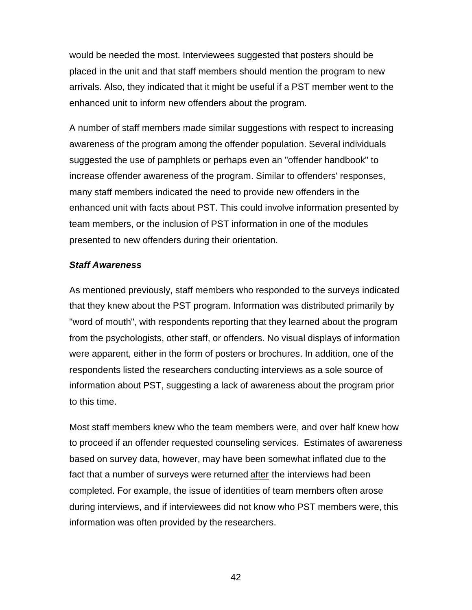would be needed the most. Interviewees suggested that posters should be placed in the unit and that staff members should mention the program to new arrivals. Also, they indicated that it might be useful if a PST member went to the enhanced unit to inform new offenders about the program.

A number of staff members made similar suggestions with respect to increasing awareness of the program among the offender population. Several individuals suggested the use of pamphlets or perhaps even an "offender handbook" to increase offender awareness of the program. Similar to offenders' responses, many staff members indicated the need to provide new offenders in the enhanced unit with facts about PST. This could involve information presented by team members, or the inclusion of PST information in one of the modules presented to new offenders during their orientation.

### *Staff Awareness*

As mentioned previously, staff members who responded to the surveys indicated that they knew about the PST program. Information was distributed primarily by "word of mouth", with respondents reporting that they learned about the program from the psychologists, other staff, or offenders. No visual displays of information were apparent, either in the form of posters or brochures. In addition, one of the respondents listed the researchers conducting interviews as a sole source of information about PST, suggesting a lack of awareness about the program prior to this time.

Most staff members knew who the team members were, and over half knew how to proceed if an offender requested counseling services. Estimates of awareness based on survey data, however, may have been somewhat inflated due to the fact that a number of surveys were returned after the interviews had been completed. For example, the issue of identities of team members often arose during interviews, and if interviewees did not know who PST members were, this information was often provided by the researchers.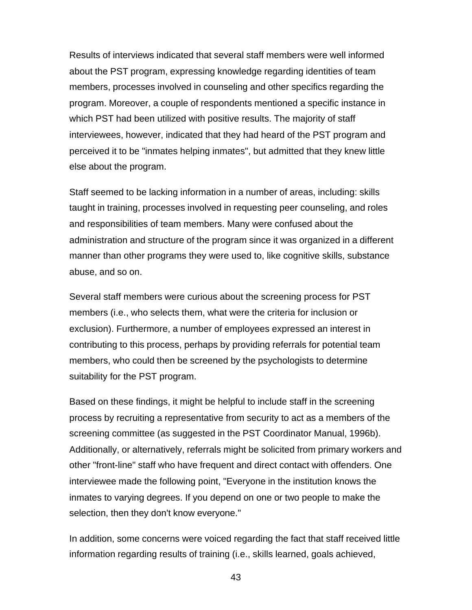Results of interviews indicated that several staff members were well informed about the PST program, expressing knowledge regarding identities of team members, processes involved in counseling and other specifics regarding the program. Moreover, a couple of respondents mentioned a specific instance in which PST had been utilized with positive results. The majority of staff interviewees, however, indicated that they had heard of the PST program and perceived it to be "inmates helping inmates", but admitted that they knew little else about the program.

Staff seemed to be lacking information in a number of areas, including: skills taught in training, processes involved in requesting peer counseling, and roles and responsibilities of team members. Many were confused about the administration and structure of the program since it was organized in a different manner than other programs they were used to, like cognitive skills, substance abuse, and so on.

Several staff members were curious about the screening process for PST members (i.e., who selects them, what were the criteria for inclusion or exclusion). Furthermore, a number of employees expressed an interest in contributing to this process, perhaps by providing referrals for potential team members, who could then be screened by the psychologists to determine suitability for the PST program.

Based on these findings, it might be helpful to include staff in the screening process by recruiting a representative from security to act as a members of the screening committee (as suggested in the PST Coordinator Manual, 1996b). Additionally, or alternatively, referrals might be solicited from primary workers and other "front-line" staff who have frequent and direct contact with offenders. One interviewee made the following point, "Everyone in the institution knows the inmates to varying degrees. If you depend on one or two people to make the selection, then they don't know everyone."

In addition, some concerns were voiced regarding the fact that staff received little information regarding results of training (i.e., skills learned, goals achieved,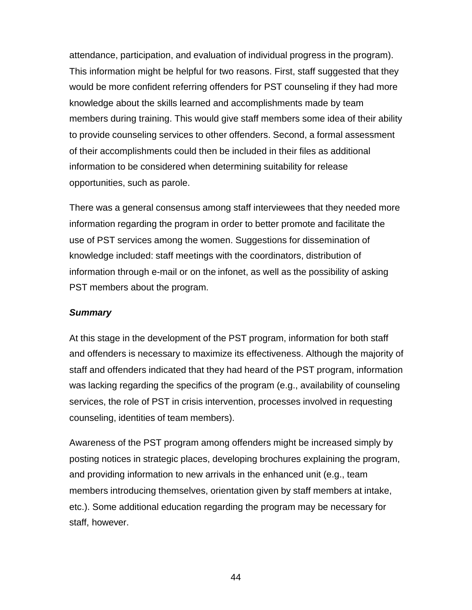attendance, participation, and evaluation of individual progress in the program). This information might be helpful for two reasons. First, staff suggested that they would be more confident referring offenders for PST counseling if they had more knowledge about the skills learned and accomplishments made by team members during training. This would give staff members some idea of their ability to provide counseling services to other offenders. Second, a formal assessment of their accomplishments could then be included in their files as additional information to be considered when determining suitability for release opportunities, such as parole.

There was a general consensus among staff interviewees that they needed more information regarding the program in order to better promote and facilitate the use of PST services among the women. Suggestions for dissemination of knowledge included: staff meetings with the coordinators, distribution of information through e-mail or on the infonet, as well as the possibility of asking PST members about the program.

### *Summary*

At this stage in the development of the PST program, information for both staff and offenders is necessary to maximize its effectiveness. Although the majority of staff and offenders indicated that they had heard of the PST program, information was lacking regarding the specifics of the program (e.g., availability of counseling services, the role of PST in crisis intervention, processes involved in requesting counseling, identities of team members).

Awareness of the PST program among offenders might be increased simply by posting notices in strategic places, developing brochures explaining the program, and providing information to new arrivals in the enhanced unit (e.g., team members introducing themselves, orientation given by staff members at intake, etc.). Some additional education regarding the program may be necessary for staff, however.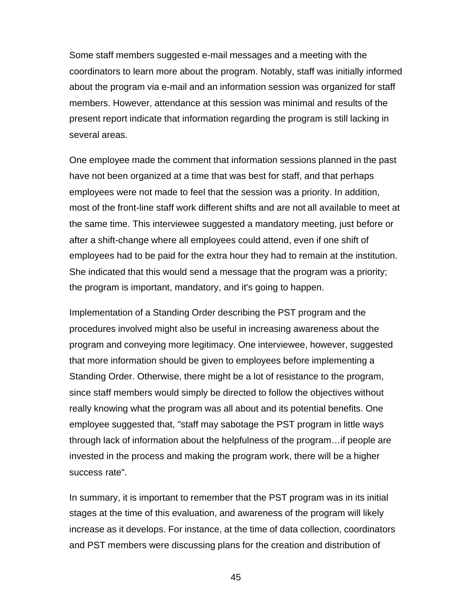Some staff members suggested e-mail messages and a meeting with the coordinators to learn more about the program. Notably, staff was initially informed about the program via e-mail and an information session was organized for staff members. However, attendance at this session was minimal and results of the present report indicate that information regarding the program is still lacking in several areas.

One employee made the comment that information sessions planned in the past have not been organized at a time that was best for staff, and that perhaps employees were not made to feel that the session was a priority. In addition, most of the front-line staff work different shifts and are not all available to meet at the same time. This interviewee suggested a mandatory meeting, just before or after a shift-change where all employees could attend, even if one shift of employees had to be paid for the extra hour they had to remain at the institution. She indicated that this would send a message that the program was a priority; the program is important, mandatory, and it's going to happen.

Implementation of a Standing Order describing the PST program and the procedures involved might also be useful in increasing awareness about the program and conveying more legitimacy. One interviewee, however, suggested that more information should be given to employees before implementing a Standing Order. Otherwise, there might be a lot of resistance to the program, since staff members would simply be directed to follow the objectives without really knowing what the program was all about and its potential benefits. One employee suggested that, "staff may sabotage the PST program in little ways through lack of information about the helpfulness of the program…if people are invested in the process and making the program work, there will be a higher success rate".

In summary, it is important to remember that the PST program was in its initial stages at the time of this evaluation, and awareness of the program will likely increase as it develops. For instance, at the time of data collection, coordinators and PST members were discussing plans for the creation and distribution of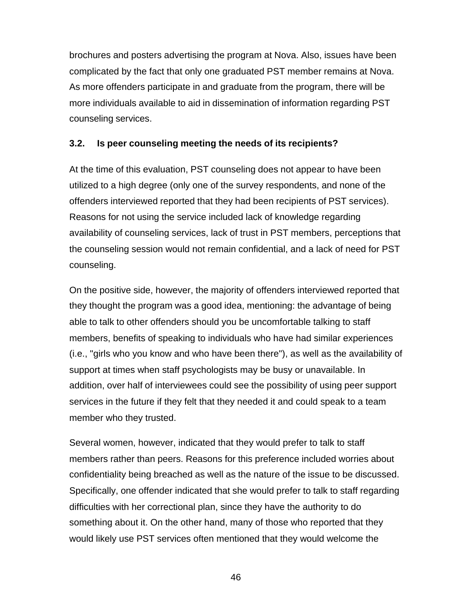brochures and posters advertising the program at Nova. Also, issues have been complicated by the fact that only one graduated PST member remains at Nova. As more offenders participate in and graduate from the program, there will be more individuals available to aid in dissemination of information regarding PST counseling services.

## **3.2. Is peer counseling meeting the needs of its recipients?**

At the time of this evaluation, PST counseling does not appear to have been utilized to a high degree (only one of the survey respondents, and none of the offenders interviewed reported that they had been recipients of PST services). Reasons for not using the service included lack of knowledge regarding availability of counseling services, lack of trust in PST members, perceptions that the counseling session would not remain confidential, and a lack of need for PST counseling.

On the positive side, however, the majority of offenders interviewed reported that they thought the program was a good idea, mentioning: the advantage of being able to talk to other offenders should you be uncomfortable talking to staff members, benefits of speaking to individuals who have had similar experiences (i.e., "girls who you know and who have been there"), as well as the availability of support at times when staff psychologists may be busy or unavailable. In addition, over half of interviewees could see the possibility of using peer support services in the future if they felt that they needed it and could speak to a team member who they trusted.

Several women, however, indicated that they would prefer to talk to staff members rather than peers. Reasons for this preference included worries about confidentiality being breached as well as the nature of the issue to be discussed. Specifically, one offender indicated that she would prefer to talk to staff regarding difficulties with her correctional plan, since they have the authority to do something about it. On the other hand, many of those who reported that they would likely use PST services often mentioned that they would welcome the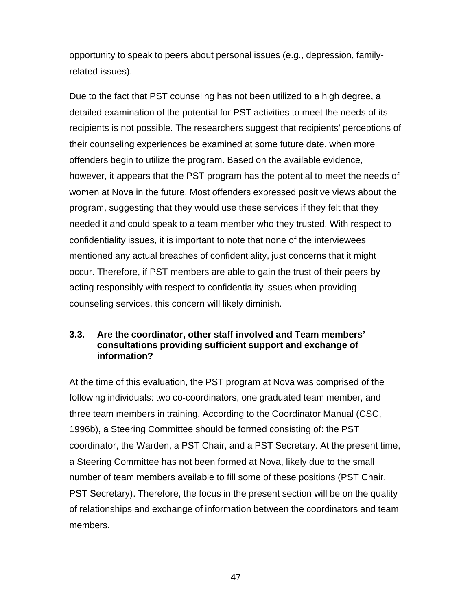opportunity to speak to peers about personal issues (e.g., depression, familyrelated issues).

Due to the fact that PST counseling has not been utilized to a high degree, a detailed examination of the potential for PST activities to meet the needs of its recipients is not possible. The researchers suggest that recipients' perceptions of their counseling experiences be examined at some future date, when more offenders begin to utilize the program. Based on the available evidence, however, it appears that the PST program has the potential to meet the needs of women at Nova in the future. Most offenders expressed positive views about the program, suggesting that they would use these services if they felt that they needed it and could speak to a team member who they trusted. With respect to confidentiality issues, it is important to note that none of the interviewees mentioned any actual breaches of confidentiality, just concerns that it might occur. Therefore, if PST members are able to gain the trust of their peers by acting responsibly with respect to confidentiality issues when providing counseling services, this concern will likely diminish.

#### **3.3. Are the coordinator, other staff involved and Team members' consultations providing sufficient support and exchange of information?**

At the time of this evaluation, the PST program at Nova was comprised of the following individuals: two co-coordinators, one graduated team member, and three team members in training. According to the Coordinator Manual (CSC, 1996b), a Steering Committee should be formed consisting of: the PST coordinator, the Warden, a PST Chair, and a PST Secretary. At the present time, a Steering Committee has not been formed at Nova, likely due to the small number of team members available to fill some of these positions (PST Chair, PST Secretary). Therefore, the focus in the present section will be on the quality of relationships and exchange of information between the coordinators and team members.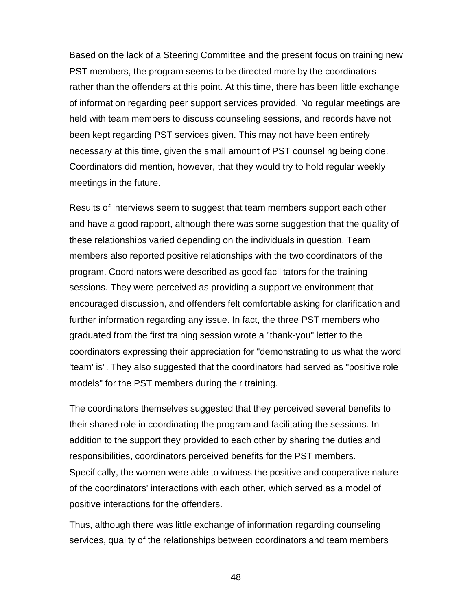Based on the lack of a Steering Committee and the present focus on training new PST members, the program seems to be directed more by the coordinators rather than the offenders at this point. At this time, there has been little exchange of information regarding peer support services provided. No regular meetings are held with team members to discuss counseling sessions, and records have not been kept regarding PST services given. This may not have been entirely necessary at this time, given the small amount of PST counseling being done. Coordinators did mention, however, that they would try to hold regular weekly meetings in the future.

Results of interviews seem to suggest that team members support each other and have a good rapport, although there was some suggestion that the quality of these relationships varied depending on the individuals in question. Team members also reported positive relationships with the two coordinators of the program. Coordinators were described as good facilitators for the training sessions. They were perceived as providing a supportive environment that encouraged discussion, and offenders felt comfortable asking for clarification and further information regarding any issue. In fact, the three PST members who graduated from the first training session wrote a "thank-you" letter to the coordinators expressing their appreciation for "demonstrating to us what the word 'team' is". They also suggested that the coordinators had served as "positive role models" for the PST members during their training.

The coordinators themselves suggested that they perceived several benefits to their shared role in coordinating the program and facilitating the sessions. In addition to the support they provided to each other by sharing the duties and responsibilities, coordinators perceived benefits for the PST members. Specifically, the women were able to witness the positive and cooperative nature of the coordinators' interactions with each other, which served as a model of positive interactions for the offenders.

Thus, although there was little exchange of information regarding counseling services, quality of the relationships between coordinators and team members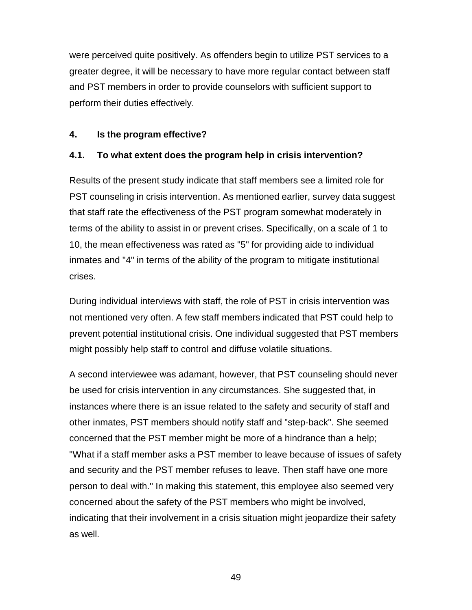were perceived quite positively. As offenders begin to utilize PST services to a greater degree, it will be necessary to have more regular contact between staff and PST members in order to provide counselors with sufficient support to perform their duties effectively.

## **4. Is the program effective?**

# **4.1. To what extent does the program help in crisis intervention?**

Results of the present study indicate that staff members see a limited role for PST counseling in crisis intervention. As mentioned earlier, survey data suggest that staff rate the effectiveness of the PST program somewhat moderately in terms of the ability to assist in or prevent crises. Specifically, on a scale of 1 to 10, the mean effectiveness was rated as "5" for providing aide to individual inmates and "4" in terms of the ability of the program to mitigate institutional crises.

During individual interviews with staff, the role of PST in crisis intervention was not mentioned very often. A few staff members indicated that PST could help to prevent potential institutional crisis. One individual suggested that PST members might possibly help staff to control and diffuse volatile situations.

A second interviewee was adamant, however, that PST counseling should never be used for crisis intervention in any circumstances. She suggested that, in instances where there is an issue related to the safety and security of staff and other inmates, PST members should notify staff and "step-back". She seemed concerned that the PST member might be more of a hindrance than a help; "What if a staff member asks a PST member to leave because of issues of safety and security and the PST member refuses to leave. Then staff have one more person to deal with." In making this statement, this employee also seemed very concerned about the safety of the PST members who might be involved, indicating that their involvement in a crisis situation might jeopardize their safety as well.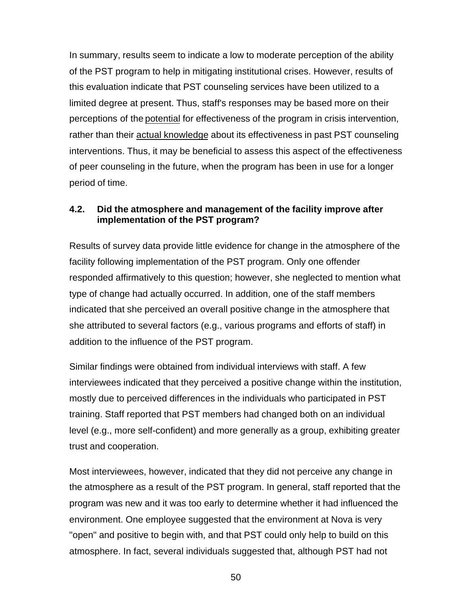In summary, results seem to indicate a low to moderate perception of the ability of the PST program to help in mitigating institutional crises. However, results of this evaluation indicate that PST counseling services have been utilized to a limited degree at present. Thus, staff's responses may be based more on their perceptions of the potential for effectiveness of the program in crisis intervention, rather than their actual knowledge about its effectiveness in past PST counseling interventions. Thus, it may be beneficial to assess this aspect of the effectiveness of peer counseling in the future, when the program has been in use for a longer period of time.

## **4.2. Did the atmosphere and management of the facility improve after implementation of the PST program?**

Results of survey data provide little evidence for change in the atmosphere of the facility following implementation of the PST program. Only one offender responded affirmatively to this question; however, she neglected to mention what type of change had actually occurred. In addition, one of the staff members indicated that she perceived an overall positive change in the atmosphere that she attributed to several factors (e.g., various programs and efforts of staff) in addition to the influence of the PST program.

Similar findings were obtained from individual interviews with staff. A few interviewees indicated that they perceived a positive change within the institution, mostly due to perceived differences in the individuals who participated in PST training. Staff reported that PST members had changed both on an individual level (e.g., more self-confident) and more generally as a group, exhibiting greater trust and cooperation.

Most interviewees, however, indicated that they did not perceive any change in the atmosphere as a result of the PST program. In general, staff reported that the program was new and it was too early to determine whether it had influenced the environment. One employee suggested that the environment at Nova is very "open" and positive to begin with, and that PST could only help to build on this atmosphere. In fact, several individuals suggested that, although PST had not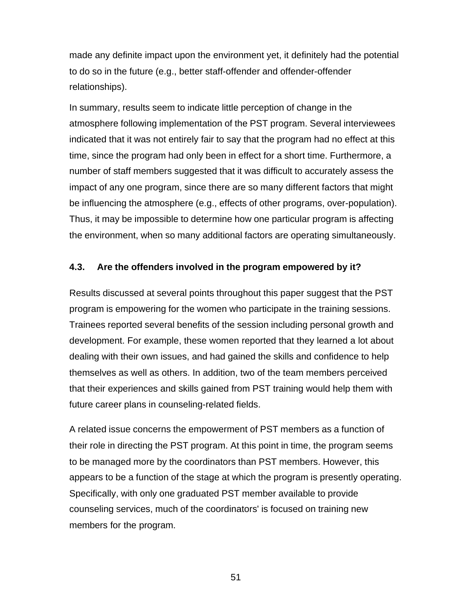made any definite impact upon the environment yet, it definitely had the potential to do so in the future (e.g., better staff-offender and offender-offender relationships).

In summary, results seem to indicate little perception of change in the atmosphere following implementation of the PST program. Several interviewees indicated that it was not entirely fair to say that the program had no effect at this time, since the program had only been in effect for a short time. Furthermore, a number of staff members suggested that it was difficult to accurately assess the impact of any one program, since there are so many different factors that might be influencing the atmosphere (e.g., effects of other programs, over-population). Thus, it may be impossible to determine how one particular program is affecting the environment, when so many additional factors are operating simultaneously.

### **4.3. Are the offenders involved in the program empowered by it?**

Results discussed at several points throughout this paper suggest that the PST program is empowering for the women who participate in the training sessions. Trainees reported several benefits of the session including personal growth and development. For example, these women reported that they learned a lot about dealing with their own issues, and had gained the skills and confidence to help themselves as well as others. In addition, two of the team members perceived that their experiences and skills gained from PST training would help them with future career plans in counseling-related fields.

A related issue concerns the empowerment of PST members as a function of their role in directing the PST program. At this point in time, the program seems to be managed more by the coordinators than PST members. However, this appears to be a function of the stage at which the program is presently operating. Specifically, with only one graduated PST member available to provide counseling services, much of the coordinators' is focused on training new members for the program.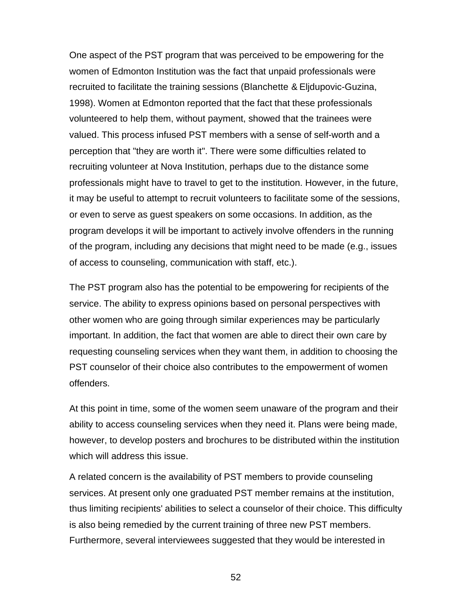One aspect of the PST program that was perceived to be empowering for the women of Edmonton Institution was the fact that unpaid professionals were recruited to facilitate the training sessions (Blanchette & Eljdupovic-Guzina, 1998). Women at Edmonton reported that the fact that these professionals volunteered to help them, without payment, showed that the trainees were valued. This process infused PST members with a sense of self-worth and a perception that "they are worth it". There were some difficulties related to recruiting volunteer at Nova Institution, perhaps due to the distance some professionals might have to travel to get to the institution. However, in the future, it may be useful to attempt to recruit volunteers to facilitate some of the sessions, or even to serve as guest speakers on some occasions. In addition, as the program develops it will be important to actively involve offenders in the running of the program, including any decisions that might need to be made (e.g., issues of access to counseling, communication with staff, etc.).

The PST program also has the potential to be empowering for recipients of the service. The ability to express opinions based on personal perspectives with other women who are going through similar experiences may be particularly important. In addition, the fact that women are able to direct their own care by requesting counseling services when they want them, in addition to choosing the PST counselor of their choice also contributes to the empowerment of women offenders.

At this point in time, some of the women seem unaware of the program and their ability to access counseling services when they need it. Plans were being made, however, to develop posters and brochures to be distributed within the institution which will address this issue.

A related concern is the availability of PST members to provide counseling services. At present only one graduated PST member remains at the institution, thus limiting recipients' abilities to select a counselor of their choice. This difficulty is also being remedied by the current training of three new PST members. Furthermore, several interviewees suggested that they would be interested in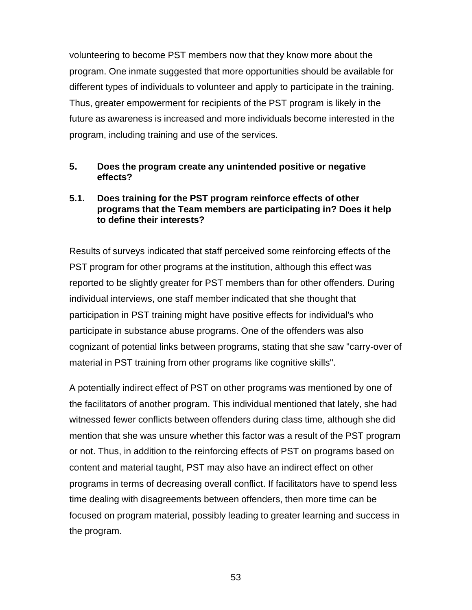volunteering to become PST members now that they know more about the program. One inmate suggested that more opportunities should be available for different types of individuals to volunteer and apply to participate in the training. Thus, greater empowerment for recipients of the PST program is likely in the future as awareness is increased and more individuals become interested in the program, including training and use of the services.

### **5. Does the program create any unintended positive or negative effects?**

## **5.1. Does training for the PST program reinforce effects of other programs that the Team members are participating in? Does it help to define their interests?**

Results of surveys indicated that staff perceived some reinforcing effects of the PST program for other programs at the institution, although this effect was reported to be slightly greater for PST members than for other offenders. During individual interviews, one staff member indicated that she thought that participation in PST training might have positive effects for individual's who participate in substance abuse programs. One of the offenders was also cognizant of potential links between programs, stating that she saw "carry-over of material in PST training from other programs like cognitive skills".

A potentially indirect effect of PST on other programs was mentioned by one of the facilitators of another program. This individual mentioned that lately, she had witnessed fewer conflicts between offenders during class time, although she did mention that she was unsure whether this factor was a result of the PST program or not. Thus, in addition to the reinforcing effects of PST on programs based on content and material taught, PST may also have an indirect effect on other programs in terms of decreasing overall conflict. If facilitators have to spend less time dealing with disagreements between offenders, then more time can be focused on program material, possibly leading to greater learning and success in the program.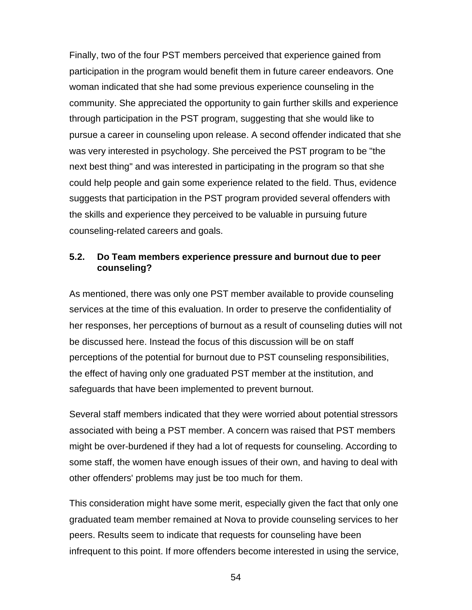Finally, two of the four PST members perceived that experience gained from participation in the program would benefit them in future career endeavors. One woman indicated that she had some previous experience counseling in the community. She appreciated the opportunity to gain further skills and experience through participation in the PST program, suggesting that she would like to pursue a career in counseling upon release. A second offender indicated that she was very interested in psychology. She perceived the PST program to be "the next best thing" and was interested in participating in the program so that she could help people and gain some experience related to the field. Thus, evidence suggests that participation in the PST program provided several offenders with the skills and experience they perceived to be valuable in pursuing future counseling-related careers and goals.

## **5.2. Do Team members experience pressure and burnout due to peer counseling?**

As mentioned, there was only one PST member available to provide counseling services at the time of this evaluation. In order to preserve the confidentiality of her responses, her perceptions of burnout as a result of counseling duties will not be discussed here. Instead the focus of this discussion will be on staff perceptions of the potential for burnout due to PST counseling responsibilities, the effect of having only one graduated PST member at the institution, and safeguards that have been implemented to prevent burnout.

Several staff members indicated that they were worried about potential stressors associated with being a PST member. A concern was raised that PST members might be over-burdened if they had a lot of requests for counseling. According to some staff, the women have enough issues of their own, and having to deal with other offenders' problems may just be too much for them.

This consideration might have some merit, especially given the fact that only one graduated team member remained at Nova to provide counseling services to her peers. Results seem to indicate that requests for counseling have been infrequent to this point. If more offenders become interested in using the service,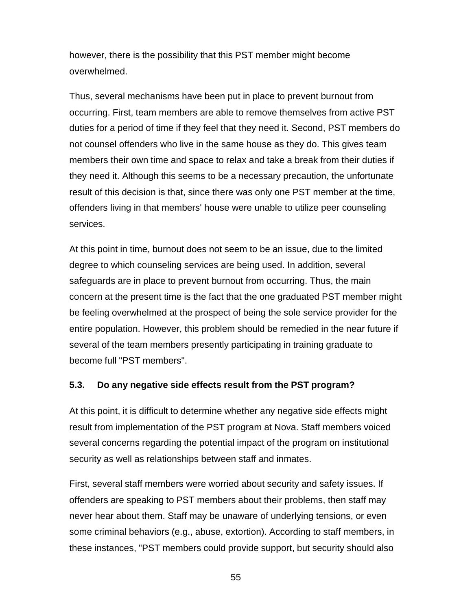however, there is the possibility that this PST member might become overwhelmed.

Thus, several mechanisms have been put in place to prevent burnout from occurring. First, team members are able to remove themselves from active PST duties for a period of time if they feel that they need it. Second, PST members do not counsel offenders who live in the same house as they do. This gives team members their own time and space to relax and take a break from their duties if they need it. Although this seems to be a necessary precaution, the unfortunate result of this decision is that, since there was only one PST member at the time, offenders living in that members' house were unable to utilize peer counseling services.

At this point in time, burnout does not seem to be an issue, due to the limited degree to which counseling services are being used. In addition, several safeguards are in place to prevent burnout from occurring. Thus, the main concern at the present time is the fact that the one graduated PST member might be feeling overwhelmed at the prospect of being the sole service provider for the entire population. However, this problem should be remedied in the near future if several of the team members presently participating in training graduate to become full "PST members".

# **5.3. Do any negative side effects result from the PST program?**

At this point, it is difficult to determine whether any negative side effects might result from implementation of the PST program at Nova. Staff members voiced several concerns regarding the potential impact of the program on institutional security as well as relationships between staff and inmates.

First, several staff members were worried about security and safety issues. If offenders are speaking to PST members about their problems, then staff may never hear about them. Staff may be unaware of underlying tensions, or even some criminal behaviors (e.g., abuse, extortion). According to staff members, in these instances, "PST members could provide support, but security should also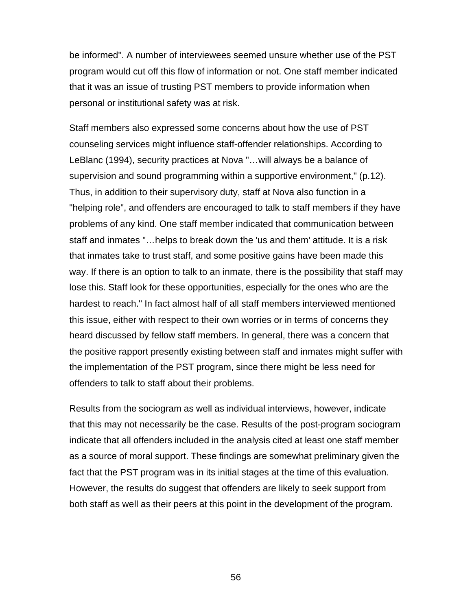be informed". A number of interviewees seemed unsure whether use of the PST program would cut off this flow of information or not. One staff member indicated that it was an issue of trusting PST members to provide information when personal or institutional safety was at risk.

Staff members also expressed some concerns about how the use of PST counseling services might influence staff-offender relationships. According to LeBlanc (1994), security practices at Nova "…will always be a balance of supervision and sound programming within a supportive environment," (p.12). Thus, in addition to their supervisory duty, staff at Nova also function in a "helping role", and offenders are encouraged to talk to staff members if they have problems of any kind. One staff member indicated that communication between staff and inmates "…helps to break down the 'us and them' attitude. It is a risk that inmates take to trust staff, and some positive gains have been made this way. If there is an option to talk to an inmate, there is the possibility that staff may lose this. Staff look for these opportunities, especially for the ones who are the hardest to reach." In fact almost half of all staff members interviewed mentioned this issue, either with respect to their own worries or in terms of concerns they heard discussed by fellow staff members. In general, there was a concern that the positive rapport presently existing between staff and inmates might suffer with the implementation of the PST program, since there might be less need for offenders to talk to staff about their problems.

Results from the sociogram as well as individual interviews, however, indicate that this may not necessarily be the case. Results of the post-program sociogram indicate that all offenders included in the analysis cited at least one staff member as a source of moral support. These findings are somewhat preliminary given the fact that the PST program was in its initial stages at the time of this evaluation. However, the results do suggest that offenders are likely to seek support from both staff as well as their peers at this point in the development of the program.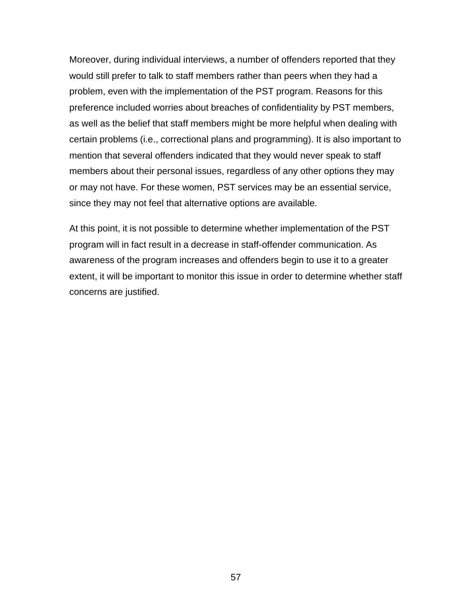Moreover, during individual interviews, a number of offenders reported that they would still prefer to talk to staff members rather than peers when they had a problem, even with the implementation of the PST program. Reasons for this preference included worries about breaches of confidentiality by PST members, as well as the belief that staff members might be more helpful when dealing with certain problems (i.e., correctional plans and programming). It is also important to mention that several offenders indicated that they would never speak to staff members about their personal issues, regardless of any other options they may or may not have. For these women, PST services may be an essential service, since they may not feel that alternative options are available.

At this point, it is not possible to determine whether implementation of the PST program will in fact result in a decrease in staff-offender communication. As awareness of the program increases and offenders begin to use it to a greater extent, it will be important to monitor this issue in order to determine whether staff concerns are justified.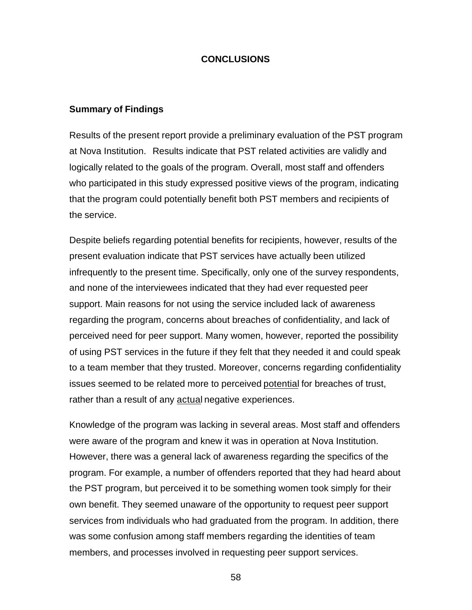#### **CONCLUSIONS**

#### **Summary of Findings**

Results of the present report provide a preliminary evaluation of the PST program at Nova Institution. Results indicate that PST related activities are validly and logically related to the goals of the program. Overall, most staff and offenders who participated in this study expressed positive views of the program, indicating that the program could potentially benefit both PST members and recipients of the service.

Despite beliefs regarding potential benefits for recipients, however, results of the present evaluation indicate that PST services have actually been utilized infrequently to the present time. Specifically, only one of the survey respondents, and none of the interviewees indicated that they had ever requested peer support. Main reasons for not using the service included lack of awareness regarding the program, concerns about breaches of confidentiality, and lack of perceived need for peer support. Many women, however, reported the possibility of using PST services in the future if they felt that they needed it and could speak to a team member that they trusted. Moreover, concerns regarding confidentiality issues seemed to be related more to perceived potential for breaches of trust, rather than a result of any actual negative experiences.

Knowledge of the program was lacking in several areas. Most staff and offenders were aware of the program and knew it was in operation at Nova Institution. However, there was a general lack of awareness regarding the specifics of the program. For example, a number of offenders reported that they had heard about the PST program, but perceived it to be something women took simply for their own benefit. They seemed unaware of the opportunity to request peer support services from individuals who had graduated from the program. In addition, there was some confusion among staff members regarding the identities of team members, and processes involved in requesting peer support services.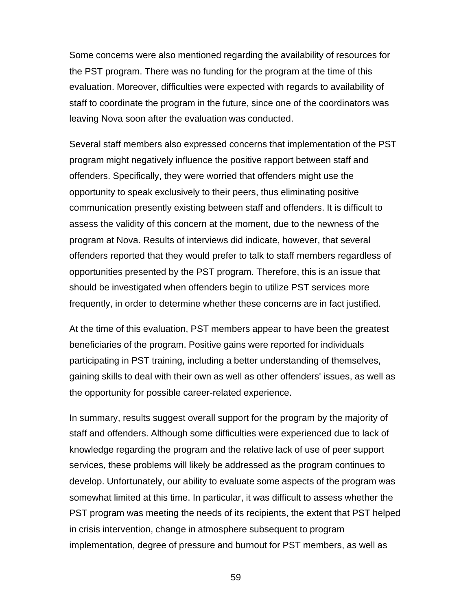Some concerns were also mentioned regarding the availability of resources for the PST program. There was no funding for the program at the time of this evaluation. Moreover, difficulties were expected with regards to availability of staff to coordinate the program in the future, since one of the coordinators was leaving Nova soon after the evaluation was conducted.

Several staff members also expressed concerns that implementation of the PST program might negatively influence the positive rapport between staff and offenders. Specifically, they were worried that offenders might use the opportunity to speak exclusively to their peers, thus eliminating positive communication presently existing between staff and offenders. It is difficult to assess the validity of this concern at the moment, due to the newness of the program at Nova. Results of interviews did indicate, however, that several offenders reported that they would prefer to talk to staff members regardless of opportunities presented by the PST program. Therefore, this is an issue that should be investigated when offenders begin to utilize PST services more frequently, in order to determine whether these concerns are in fact justified.

At the time of this evaluation, PST members appear to have been the greatest beneficiaries of the program. Positive gains were reported for individuals participating in PST training, including a better understanding of themselves, gaining skills to deal with their own as well as other offenders' issues, as well as the opportunity for possible career-related experience.

In summary, results suggest overall support for the program by the majority of staff and offenders. Although some difficulties were experienced due to lack of knowledge regarding the program and the relative lack of use of peer support services, these problems will likely be addressed as the program continues to develop. Unfortunately, our ability to evaluate some aspects of the program was somewhat limited at this time. In particular, it was difficult to assess whether the PST program was meeting the needs of its recipients, the extent that PST helped in crisis intervention, change in atmosphere subsequent to program implementation, degree of pressure and burnout for PST members, as well as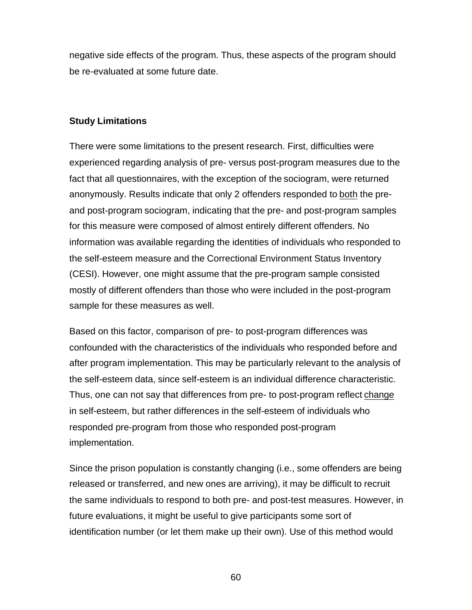negative side effects of the program. Thus, these aspects of the program should be re-evaluated at some future date.

#### **Study Limitations**

There were some limitations to the present research. First, difficulties were experienced regarding analysis of pre- versus post-program measures due to the fact that all questionnaires, with the exception of the sociogram, were returned anonymously. Results indicate that only 2 offenders responded to both the preand post-program sociogram, indicating that the pre- and post-program samples for this measure were composed of almost entirely different offenders. No information was available regarding the identities of individuals who responded to the self-esteem measure and the Correctional Environment Status Inventory (CESI). However, one might assume that the pre-program sample consisted mostly of different offenders than those who were included in the post-program sample for these measures as well.

Based on this factor, comparison of pre- to post-program differences was confounded with the characteristics of the individuals who responded before and after program implementation. This may be particularly relevant to the analysis of the self-esteem data, since self-esteem is an individual difference characteristic. Thus, one can not say that differences from pre- to post-program reflect change in self-esteem, but rather differences in the self-esteem of individuals who responded pre-program from those who responded post-program implementation.

Since the prison population is constantly changing (i.e., some offenders are being released or transferred, and new ones are arriving), it may be difficult to recruit the same individuals to respond to both pre- and post-test measures. However, in future evaluations, it might be useful to give participants some sort of identification number (or let them make up their own). Use of this method would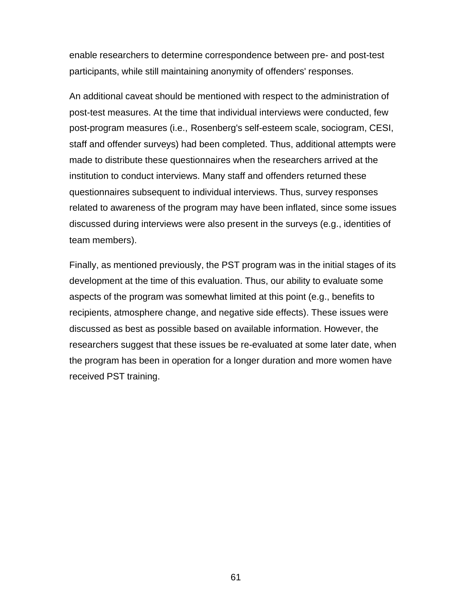enable researchers to determine correspondence between pre- and post-test participants, while still maintaining anonymity of offenders' responses.

An additional caveat should be mentioned with respect to the administration of post-test measures. At the time that individual interviews were conducted, few post-program measures (i.e., Rosenberg's self-esteem scale, sociogram, CESI, staff and offender surveys) had been completed. Thus, additional attempts were made to distribute these questionnaires when the researchers arrived at the institution to conduct interviews. Many staff and offenders returned these questionnaires subsequent to individual interviews. Thus, survey responses related to awareness of the program may have been inflated, since some issues discussed during interviews were also present in the surveys (e.g., identities of team members).

Finally, as mentioned previously, the PST program was in the initial stages of its development at the time of this evaluation. Thus, our ability to evaluate some aspects of the program was somewhat limited at this point (e.g., benefits to recipients, atmosphere change, and negative side effects). These issues were discussed as best as possible based on available information. However, the researchers suggest that these issues be re-evaluated at some later date, when the program has been in operation for a longer duration and more women have received PST training.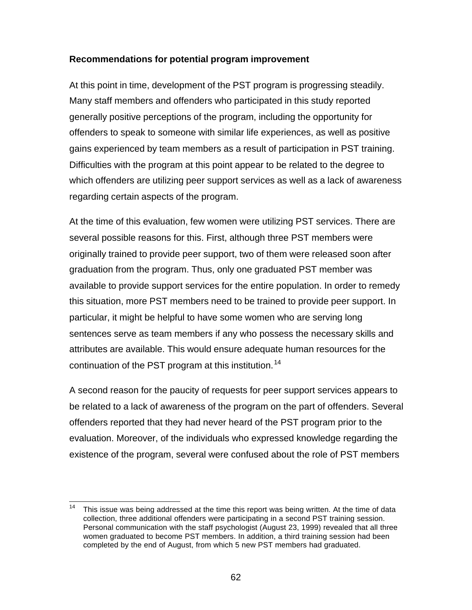# **Recommendations for potential program improvement**

At this point in time, development of the PST program is progressing steadily. Many staff members and offenders who participated in this study reported generally positive perceptions of the program, including the opportunity for offenders to speak to someone with similar life experiences, as well as positive gains experienced by team members as a result of participation in PST training. Difficulties with the program at this point appear to be related to the degree to which offenders are utilizing peer support services as well as a lack of awareness regarding certain aspects of the program.

At the time of this evaluation, few women were utilizing PST services. There are several possible reasons for this. First, although three PST members were originally trained to provide peer support, two of them were released soon after graduation from the program. Thus, only one graduated PST member was available to provide support services for the entire population. In order to remedy this situation, more PST members need to be trained to provide peer support. In particular, it might be helpful to have some women who are serving long sentences serve as team members if any who possess the necessary skills and attributes are available. This would ensure adequate human resources for the continuation of the PST program at this institution.<sup>14</sup>

A second reason for the paucity of requests for peer support services appears to be related to a lack of awareness of the program on the part of offenders. Several offenders reported that they had never heard of the PST program prior to the evaluation. Moreover, of the individuals who expressed knowledge regarding the existence of the program, several were confused about the role of PST members

 $\overline{\phantom{a}}$  $14$  This issue was being addressed at the time this report was being written. At the time of data collection, three additional offenders were participating in a second PST training session. Personal communication with the staff psychologist (August 23, 1999) revealed that all three women graduated to become PST members. In addition, a third training session had been completed by the end of August, from which 5 new PST members had graduated.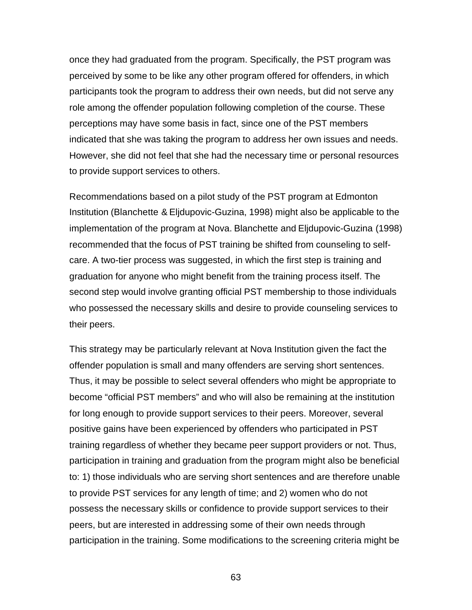once they had graduated from the program. Specifically, the PST program was perceived by some to be like any other program offered for offenders, in which participants took the program to address their own needs, but did not serve any role among the offender population following completion of the course. These perceptions may have some basis in fact, since one of the PST members indicated that she was taking the program to address her own issues and needs. However, she did not feel that she had the necessary time or personal resources to provide support services to others.

Recommendations based on a pilot study of the PST program at Edmonton Institution (Blanchette & Eljdupovic-Guzina, 1998) might also be applicable to the implementation of the program at Nova. Blanchette and Eljdupovic-Guzina (1998) recommended that the focus of PST training be shifted from counseling to selfcare. A two-tier process was suggested, in which the first step is training and graduation for anyone who might benefit from the training process itself. The second step would involve granting official PST membership to those individuals who possessed the necessary skills and desire to provide counseling services to their peers.

This strategy may be particularly relevant at Nova Institution given the fact the offender population is small and many offenders are serving short sentences. Thus, it may be possible to select several offenders who might be appropriate to become "official PST members" and who will also be remaining at the institution for long enough to provide support services to their peers. Moreover, several positive gains have been experienced by offenders who participated in PST training regardless of whether they became peer support providers or not. Thus, participation in training and graduation from the program might also be beneficial to: 1) those individuals who are serving short sentences and are therefore unable to provide PST services for any length of time; and 2) women who do not possess the necessary skills or confidence to provide support services to their peers, but are interested in addressing some of their own needs through participation in the training. Some modifications to the screening criteria might be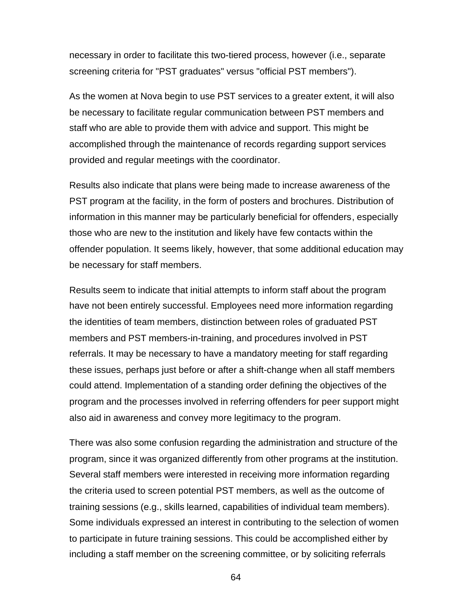necessary in order to facilitate this two-tiered process, however (i.e., separate screening criteria for "PST graduates" versus "official PST members").

As the women at Nova begin to use PST services to a greater extent, it will also be necessary to facilitate regular communication between PST members and staff who are able to provide them with advice and support. This might be accomplished through the maintenance of records regarding support services provided and regular meetings with the coordinator.

Results also indicate that plans were being made to increase awareness of the PST program at the facility, in the form of posters and brochures. Distribution of information in this manner may be particularly beneficial for offenders, especially those who are new to the institution and likely have few contacts within the offender population. It seems likely, however, that some additional education may be necessary for staff members.

Results seem to indicate that initial attempts to inform staff about the program have not been entirely successful. Employees need more information regarding the identities of team members, distinction between roles of graduated PST members and PST members-in-training, and procedures involved in PST referrals. It may be necessary to have a mandatory meeting for staff regarding these issues, perhaps just before or after a shift-change when all staff members could attend. Implementation of a standing order defining the objectives of the program and the processes involved in referring offenders for peer support might also aid in awareness and convey more legitimacy to the program.

There was also some confusion regarding the administration and structure of the program, since it was organized differently from other programs at the institution. Several staff members were interested in receiving more information regarding the criteria used to screen potential PST members, as well as the outcome of training sessions (e.g., skills learned, capabilities of individual team members). Some individuals expressed an interest in contributing to the selection of women to participate in future training sessions. This could be accomplished either by including a staff member on the screening committee, or by soliciting referrals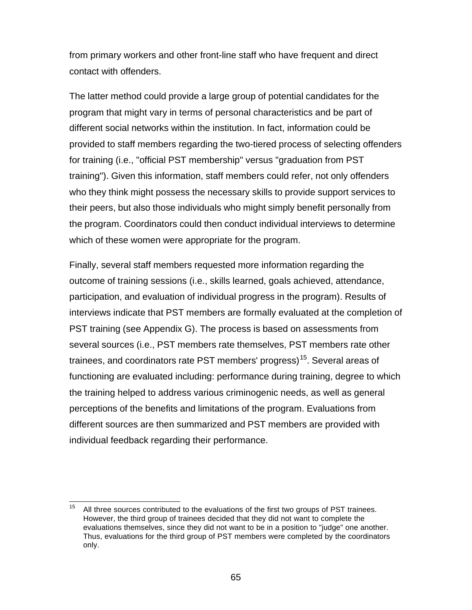from primary workers and other front-line staff who have frequent and direct contact with offenders.

The latter method could provide a large group of potential candidates for the program that might vary in terms of personal characteristics and be part of different social networks within the institution. In fact, information could be provided to staff members regarding the two-tiered process of selecting offenders for training (i.e., "official PST membership" versus "graduation from PST training"). Given this information, staff members could refer, not only offenders who they think might possess the necessary skills to provide support services to their peers, but also those individuals who might simply benefit personally from the program. Coordinators could then conduct individual interviews to determine which of these women were appropriate for the program.

Finally, several staff members requested more information regarding the outcome of training sessions (i.e., skills learned, goals achieved, attendance, participation, and evaluation of individual progress in the program). Results of interviews indicate that PST members are formally evaluated at the completion of PST training (see Appendix G). The process is based on assessments from several sources (i.e., PST members rate themselves, PST members rate other trainees, and coordinators rate PST members' progress)<sup>15</sup>. Several areas of functioning are evaluated including: performance during training, degree to which the training helped to address various criminogenic needs, as well as general perceptions of the benefits and limitations of the program. Evaluations from different sources are then summarized and PST members are provided with individual feedback regarding their performance.

 $15<sup>15</sup>$ All three sources contributed to the evaluations of the first two groups of PST trainees. However, the third group of trainees decided that they did not want to complete the evaluations themselves, since they did not want to be in a position to "judge" one another. Thus, evaluations for the third group of PST members were completed by the coordinators only.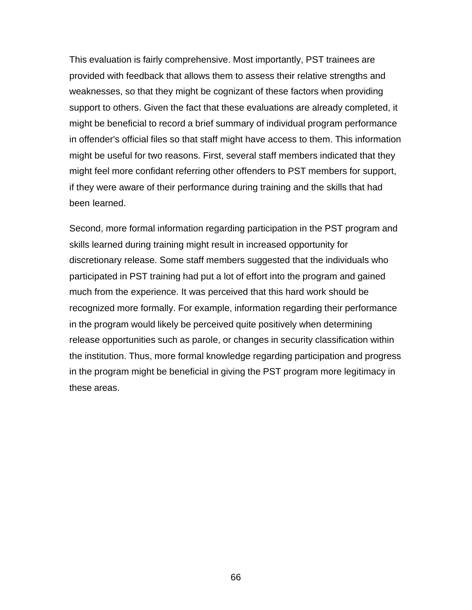This evaluation is fairly comprehensive. Most importantly, PST trainees are provided with feedback that allows them to assess their relative strengths and weaknesses, so that they might be cognizant of these factors when providing support to others. Given the fact that these evaluations are already completed, it might be beneficial to record a brief summary of individual program performance in offender's official files so that staff might have access to them. This information might be useful for two reasons. First, several staff members indicated that they might feel more confidant referring other offenders to PST members for support, if they were aware of their performance during training and the skills that had been learned.

Second, more formal information regarding participation in the PST program and skills learned during training might result in increased opportunity for discretionary release. Some staff members suggested that the individuals who participated in PST training had put a lot of effort into the program and gained much from the experience. It was perceived that this hard work should be recognized more formally. For example, information regarding their performance in the program would likely be perceived quite positively when determining release opportunities such as parole, or changes in security classification within the institution. Thus, more formal knowledge regarding participation and progress in the program might be beneficial in giving the PST program more legitimacy in these areas.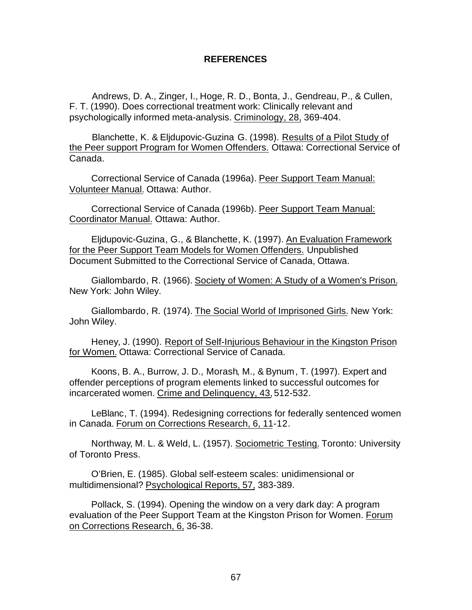#### **REFERENCES**

Andrews, D. A., Zinger, I., Hoge, R. D., Bonta, J., Gendreau, P., & Cullen, F. T. (1990). Does correctional treatment work: Clinically relevant and psychologically informed meta-analysis. Criminology, 28, 369-404.

Blanchette, K. & Eljdupovic-Guzina G. (1998). Results of a Pilot Study of the Peer support Program for Women Offenders. Ottawa: Correctional Service of Canada.

Correctional Service of Canada (1996a). Peer Support Team Manual: Volunteer Manual. Ottawa: Author.

Correctional Service of Canada (1996b). Peer Support Team Manual: Coordinator Manual. Ottawa: Author.

Eljdupovic-Guzina, G., & Blanchette, K. (1997). An Evaluation Framework for the Peer Support Team Models for Women Offenders. Unpublished Document Submitted to the Correctional Service of Canada, Ottawa.

Giallombardo, R. (1966). Society of Women: A Study of a Women's Prison. New York: John Wiley.

Giallombardo, R. (1974). The Social World of Imprisoned Girls. New York: John Wiley.

Heney, J. (1990). Report of Self-Injurious Behaviour in the Kingston Prison for Women. Ottawa: Correctional Service of Canada.

Koons, B. A., Burrow, J. D., Morash, M., & Bynum, T. (1997). Expert and offender perceptions of program elements linked to successful outcomes for incarcerated women. Crime and Delinquency, 43, 512-532.

LeBlanc, T. (1994). Redesigning corrections for federally sentenced women in Canada. Forum on Corrections Research, 6, 11-12.

Northway, M. L. & Weld, L. (1957). Sociometric Testing. Toronto: University of Toronto Press.

O'Brien, E. (1985). Global self-esteem scales: unidimensional or multidimensional? Psychological Reports, 57, 383-389.

Pollack, S. (1994). Opening the window on a very dark day: A program evaluation of the Peer Support Team at the Kingston Prison for Women. Forum on Corrections Research, 6, 36-38.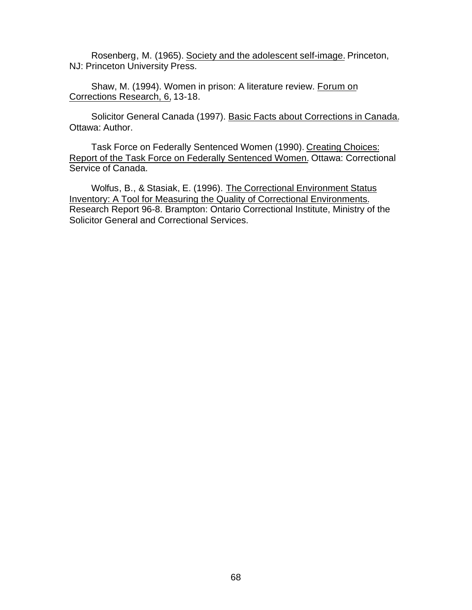Rosenberg, M. (1965). Society and the adolescent self-image. Princeton, NJ: Princeton University Press.

Shaw, M. (1994). Women in prison: A literature review. Forum on Corrections Research, 6, 13-18.

Solicitor General Canada (1997). Basic Facts about Corrections in Canada. Ottawa: Author.

Task Force on Federally Sentenced Women (1990). Creating Choices: Report of the Task Force on Federally Sentenced Women. Ottawa: Correctional Service of Canada.

Wolfus, B., & Stasiak, E. (1996). The Correctional Environment Status Inventory: A Tool for Measuring the Quality of Correctional Environments. Research Report 96-8. Brampton: Ontario Correctional Institute, Ministry of the Solicitor General and Correctional Services.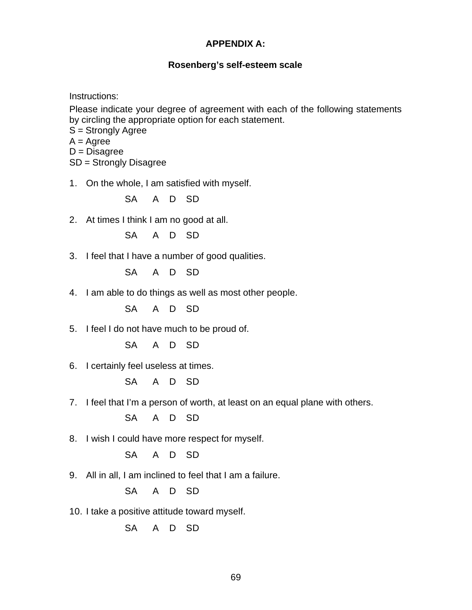#### **APPENDIX A:**

#### **Rosenberg's self-esteem scale**

Instructions:

Please indicate your degree of agreement with each of the following statements by circling the appropriate option for each statement.

S = Strongly Agree

 $A = \text{Agree}$ 

 $D = Disagree$ 

SD = Strongly Disagree

1. On the whole, I am satisfied with myself.

SA A D SD

2. At times I think I am no good at all.

SA A D SD

3. I feel that I have a number of good qualities.

SA A D SD

4. I am able to do things as well as most other people.

SA A D SD

5. I feel I do not have much to be proud of.

SA A D SD

6. I certainly feel useless at times.

SA A D SD

7. I feel that I'm a person of worth, at least on an equal plane with others.

SA A D SD

8. I wish I could have more respect for myself.

SA A D SD

9. All in all, I am inclined to feel that I am a failure.

SA A D SD

10. I take a positive attitude toward myself.

SA A D SD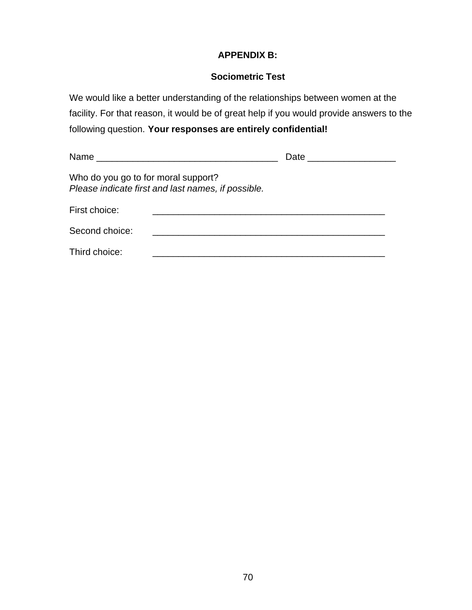# **APPENDIX B:**

#### **Sociometric Test**

We would like a better understanding of the relationships between women at the facility. For that reason, it would be of great help if you would provide answers to the following question. **Your responses are entirely confidential!**

|                |                                                                                           | Date <u>_____________</u> |  |  |  |  |  |  |
|----------------|-------------------------------------------------------------------------------------------|---------------------------|--|--|--|--|--|--|
|                | Who do you go to for moral support?<br>Please indicate first and last names, if possible. |                           |  |  |  |  |  |  |
| First choice:  |                                                                                           |                           |  |  |  |  |  |  |
| Second choice: |                                                                                           |                           |  |  |  |  |  |  |
| Third choice:  |                                                                                           |                           |  |  |  |  |  |  |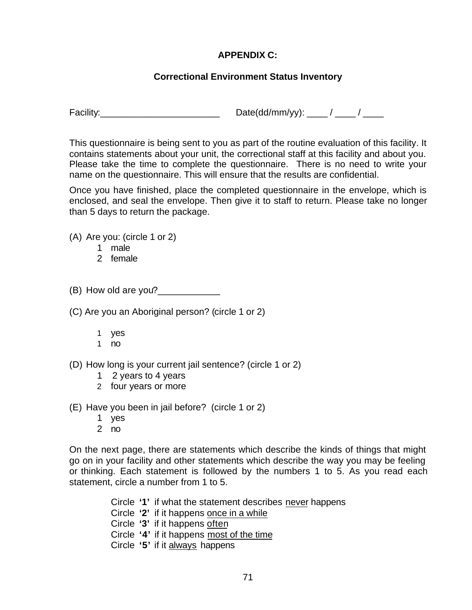# **APPENDIX C:**

# **Correctional Environment Status Inventory**

Facility: \_\_\_\_\_\_\_\_\_\_\_\_\_\_\_\_\_\_\_\_\_\_\_\_\_\_\_\_\_\_\_\_\_ Date(dd/mm/yy): \_\_\_\_ / \_\_\_\_ / \_\_\_\_\_

This questionnaire is being sent to you as part of the routine evaluation of this facility. It contains statements about your unit, the correctional staff at this facility and about you. Please take the time to complete the questionnaire. There is no need to write your name on the questionnaire. This will ensure that the results are confidential.

Once you have finished, place the completed questionnaire in the envelope, which is enclosed, and seal the envelope. Then give it to staff to return. Please take no longer than 5 days to return the package.

(A) Are you: (circle 1 or 2)

- 1 male
- 2 female

(B) How old are you?

(C) Are you an Aboriginal person? (circle 1 or 2)

- 1 yes
- 1 no
- (D) How long is your current jail sentence? (circle 1 or 2)
	- 1 2 years to 4 years
	- 2 four years or more

(E) Have you been in jail before? (circle 1 or 2)

- 1 yes
- 2 no

On the next page, there are statements which describe the kinds of things that might go on in your facility and other statements which describe the way you may be feeling or thinking. Each statement is followed by the numbers 1 to 5. As you read each statement, circle a number from 1 to 5.

Circle **'1'** if what the statement describes never happens

- Circle **'2'** if it happens once in a while
- Circle **'3'** if it happens often
- Circle **'4'** if it happens most of the time
- Circle **'5'** if it always happens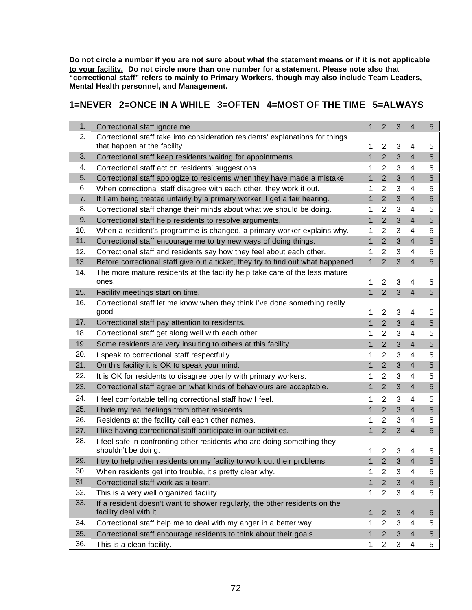**Do not circle a number if you are not sure about what the statement means or if it is not applicable to your facility. Do not circle more than one number for a statement. Please note also that "correctional staff" refers to mainly to Primary Workers, though may also include Team Leaders, Mental Health personnel, and Management.**

# **1=NEVER 2=ONCE IN A WHILE 3=OFTEN 4=MOST OF THE TIME 5=ALWAYS**

| 1.<br>Correctional staff ignore me.<br>1                                                                                 | 2                | 3          | 4              | 5 |
|--------------------------------------------------------------------------------------------------------------------------|------------------|------------|----------------|---|
| 2.<br>Correctional staff take into consideration residents' explanations for things<br>that happen at the facility.<br>1 | 2                | 3          | 4              | 5 |
| 3.<br>Correctional staff keep residents waiting for appointments.<br>$\mathbf{1}$                                        | $\overline{2}$   | 3          | $\overline{4}$ | 5 |
| 4.<br>Correctional staff act on residents' suggestions.<br>1                                                             | 2                | 3          | 4              | 5 |
| 5.<br>Correctional staff apologize to residents when they have made a mistake.<br>$\mathbf{1}$                           | $\overline{2}$   | 3          | $\overline{4}$ | 5 |
| 6.<br>When correctional staff disagree with each other, they work it out.<br>1                                           | 2                | 3          | 4              | 5 |
| 7.<br>1<br>If I am being treated unfairly by a primary worker, I get a fair hearing.                                     | 2                | 3          | $\overline{4}$ | 5 |
| 8.<br>Correctional staff change their minds about what we should be doing.<br>1                                          | 2                | 3          | 4              | 5 |
| 9.<br>Correctional staff help residents to resolve arguments.<br>$\mathbf{1}$                                            | $\overline{2}$   | 3          | $\overline{4}$ | 5 |
| 10.<br>When a resident's programme is changed, a primary worker explains why.<br>1                                       | $\overline{2}$   | 3          | 4              | 5 |
| 11.<br>1<br>Correctional staff encourage me to try new ways of doing things.                                             | $\overline{2}$   | 3          | $\overline{4}$ | 5 |
| 12.<br>Correctional staff and residents say how they feel about each other.<br>1                                         | $\overline{2}$   | 3          | 4              | 5 |
| 13.<br>Before correctional staff give out a ticket, they try to find out what happened.<br>$\mathbf{1}$                  | $\overline{2}$   | 3          | $\overline{4}$ | 5 |
| The more mature residents at the facility help take care of the less mature<br>14.                                       |                  |            |                |   |
| ones.<br>1                                                                                                               | $\overline{2}$   | 3          | 4              | 5 |
| 15.<br>$\mathbf{1}$<br>Facility meetings start on time.                                                                  | $\overline{2}$   | 3          | $\overline{4}$ | 5 |
| 16.<br>Correctional staff let me know when they think I've done something really<br>good.<br>1                           | $\overline{2}$   | 3          | 4              | 5 |
| 17.<br>Correctional staff pay attention to residents.<br>$\mathbf{1}$                                                    | $\overline{2}$   | 3          | $\overline{4}$ | 5 |
| 18.<br>Correctional staff get along well with each other.<br>1                                                           | 2                | 3          | 4              | 5 |
| 19.<br>Some residents are very insulting to others at this facility.<br>$\mathbf{1}$                                     | $\overline{2}$   | 3          | $\overline{4}$ | 5 |
| 20.<br>I speak to correctional staff respectfully.<br>1                                                                  | $\overline{2}$   | 3          | 4              | 5 |
| 21.<br>On this facility it is OK to speak your mind.<br>$\mathbf{1}$                                                     | $\overline{2}$   | 3          | $\overline{4}$ | 5 |
| 22.<br>It is OK for residents to disagree openly with primary workers.<br>1                                              | $\overline{2}$   | 3          | 4              | 5 |
| 23.<br>Correctional staff agree on what kinds of behaviours are acceptable.<br>1                                         | $\overline{2}$   | 3          | $\overline{4}$ | 5 |
| 24.<br>I feel comfortable telling correctional staff how I feel.<br>1                                                    | 2                | 3          | 4              | 5 |
| 25.<br>I hide my real feelings from other residents.<br>$\mathbf{1}$                                                     | $\overline{2}$   | 3          | $\overline{4}$ | 5 |
| 26.<br>Residents at the facility call each other names.<br>1                                                             | 2                | 3          | 4              | 5 |
| 27.<br>I like having correctional staff participate in our activities.<br>1                                              | $\overline{2}$   | 3          | $\overline{4}$ | 5 |
| 28.<br>I feel safe in confronting other residents who are doing something they<br>shouldn't be doing.<br>1               | $\overline{2}$   | 3          | 4              | 5 |
| 29.<br>I try to help other residents on my facility to work out their problems.<br>$\mathbf{1}$                          | $\overline{2}$   | 3          | $\overline{4}$ | 5 |
| 30.<br>When residents get into trouble, it's pretty clear why.<br>1                                                      | $\boldsymbol{2}$ | 3          | 4              | 5 |
| 31.<br>Correctional staff work as a team.<br>$\mathbf{1}$                                                                | $\overline{2}$   | 3          | $\overline{4}$ | 5 |
| 32.<br>This is a very well organized facility.<br>1                                                                      | $\overline{2}$   | 3          | 4              | 5 |
| 33.<br>If a resident doesn't want to shower regularly, the other residents on the<br>facility deal with it.<br>1         | $\overline{2}$   | $\sqrt{3}$ | 4              | 5 |
| 34.<br>Correctional staff help me to deal with my anger in a better way.<br>1                                            | 2                | 3          | 4              | 5 |
| 35.<br>Correctional staff encourage residents to think about their goals.<br>$\mathbf{1}$                                | $\overline{2}$   | 3          | $\overline{4}$ | 5 |
| 36.<br>This is a clean facility.<br>1                                                                                    | $\overline{2}$   | 3          | 4              | 5 |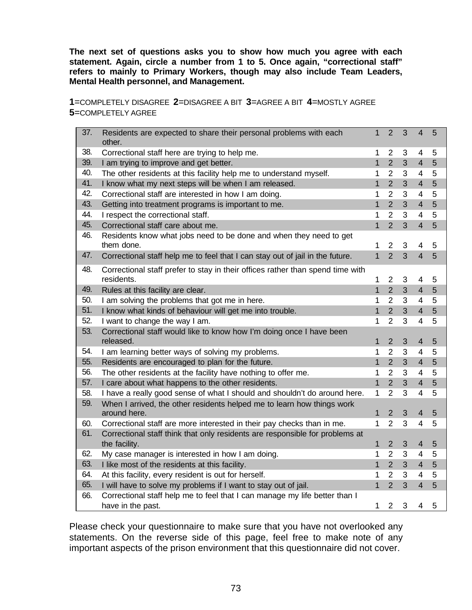**The next set of questions asks you to show how much you agree with each statement. Again, circle a number from 1 to 5. Once again, "correctional staff" refers to mainly to Primary Workers, though may also include Team Leaders, Mental Health personnel, and Management.**

**1**=COMPLETELY DISAGREE **2**=DISAGREE A BIT **3**=AGREE A BIT **4**=MOSTLY AGREE **5**=COMPLETELY AGREE

| 37. | Residents are expected to share their personal problems with each<br>other.                   | $\mathbf{1}$ | $\overline{2}$ | 3              | $\overline{4}$           | 5 |
|-----|-----------------------------------------------------------------------------------------------|--------------|----------------|----------------|--------------------------|---|
| 38. | Correctional staff here are trying to help me.                                                | 1            | $\overline{2}$ | 3              | 4                        | 5 |
| 39. | I am trying to improve and get better.                                                        | $\mathbf{1}$ | $\overline{2}$ | $\overline{3}$ | $\overline{4}$           | 5 |
| 40. | The other residents at this facility help me to understand myself.                            | 1            | $\overline{2}$ | 3              | $\overline{\mathcal{A}}$ | 5 |
| 41. | I know what my next steps will be when I am released.                                         | 1            | $\overline{2}$ | 3              | $\overline{4}$           | 5 |
| 42. | Correctional staff are interested in how I am doing.                                          | 1            | $\overline{2}$ | 3              | $\overline{4}$           | 5 |
| 43. | Getting into treatment programs is important to me.                                           | 1            | $\overline{2}$ | 3              | 4                        | 5 |
| 44. | I respect the correctional staff.                                                             | 1            | $\overline{2}$ | 3              | $\overline{4}$           | 5 |
| 45. | Correctional staff care about me.                                                             | $\mathbf{1}$ | $\overline{2}$ | 3              | $\overline{4}$           | 5 |
| 46. | Residents know what jobs need to be done and when they need to get<br>them done.              | 1            | $\overline{2}$ | 3              | 4                        | 5 |
| 47. | Correctional staff help me to feel that I can stay out of jail in the future.                 | $\mathbf{1}$ | $\overline{2}$ | $\overline{3}$ | $\overline{4}$           | 5 |
| 48. | Correctional staff prefer to stay in their offices rather than spend time with<br>residents.  | 1            | $\overline{2}$ | 3              | 4                        | 5 |
| 49. | Rules at this facility are clear.                                                             | $\mathbf{1}$ | $\overline{2}$ | 3              | $\overline{4}$           | 5 |
| 50. | I am solving the problems that got me in here.                                                | 1            | $\overline{2}$ | 3              | $\overline{4}$           | 5 |
| 51. | I know what kinds of behaviour will get me into trouble.                                      | $\mathbf{1}$ | $\overline{2}$ | 3              | $\overline{4}$           | 5 |
| 52. | I want to change the way I am.                                                                | 1            | $\overline{2}$ | 3              | $\overline{4}$           | 5 |
| 53. | Correctional staff would like to know how I'm doing once I have been<br>released.             | 1            | $\overline{2}$ | 3              | $\overline{4}$           | 5 |
| 54. | I am learning better ways of solving my problems.                                             | 1            | $\overline{2}$ | 3              | $\overline{4}$           | 5 |
| 55. | Residents are encouraged to plan for the future.                                              | $\mathbf{1}$ | $\overline{2}$ | 3              | $\overline{4}$           | 5 |
| 56. | The other residents at the facility have nothing to offer me.                                 | 1            | $\overline{2}$ | 3              | $\overline{4}$           | 5 |
| 57. | I care about what happens to the other residents.                                             | $\mathbf{1}$ | $\overline{2}$ | 3              | $\overline{4}$           | 5 |
| 58. | I have a really good sense of what I should and shouldn't do around here.                     | 1            | $\overline{2}$ | 3              | $\overline{4}$           | 5 |
| 59. | When I arrived, the other residents helped me to learn how things work<br>around here.        | $\mathbf{1}$ | $\overline{2}$ | 3              | $\overline{4}$           | 5 |
| 60. | Correctional staff are more interested in their pay checks than in me.                        | 1            | $\overline{2}$ | 3              | $\overline{4}$           | 5 |
| 61. | Correctional staff think that only residents are responsible for problems at<br>the facility. | 1            | $\overline{2}$ | 3              | $\overline{4}$           | 5 |
| 62. | My case manager is interested in how I am doing.                                              | 1            | $\overline{2}$ | 3              | $\overline{4}$           | 5 |
| 63. | I like most of the residents at this facility.                                                | $\mathbf{1}$ | $\overline{2}$ | 3              | $\overline{4}$           | 5 |
| 64. | At this facility, every resident is out for herself.                                          | 1            | $\overline{2}$ | 3              | $\overline{4}$           | 5 |
| 65. | I will have to solve my problems if I want to stay out of jail.                               | $\mathbf{1}$ | $\overline{2}$ | 3              | $\overline{4}$           | 5 |
| 66. | Correctional staff help me to feel that I can manage my life better than I                    |              |                |                |                          |   |
|     | have in the past.                                                                             | $\mathbf{1}$ | $\overline{2}$ | 3              | 4                        | 5 |

Please check your questionnaire to make sure that you have not overlooked any statements. On the reverse side of this page, feel free to make note of any important aspects of the prison environment that this questionnaire did not cover.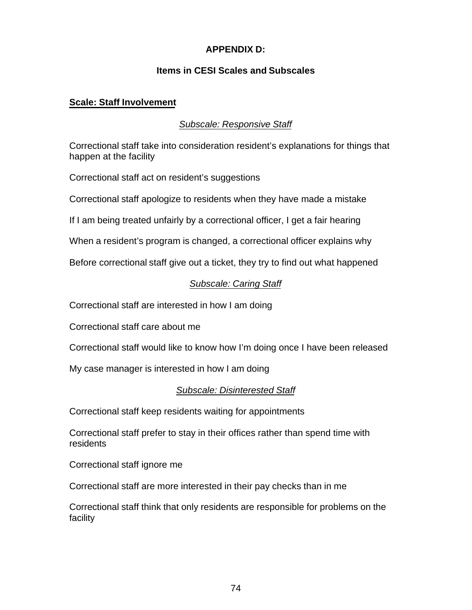# **APPENDIX D:**

## **Items in CESI Scales and Subscales**

#### **Scale: Staff Involvement**

## *Subscale: Responsive Staff*

Correctional staff take into consideration resident's explanations for things that happen at the facility

Correctional staff act on resident's suggestions

Correctional staff apologize to residents when they have made a mistake

If I am being treated unfairly by a correctional officer, I get a fair hearing

When a resident's program is changed, a correctional officer explains why

Before correctional staff give out a ticket, they try to find out what happened

# *Subscale: Caring Staff*

Correctional staff are interested in how I am doing

Correctional staff care about me

Correctional staff would like to know how I'm doing once I have been released

My case manager is interested in how I am doing

# *Subscale: Disinterested Staff*

Correctional staff keep residents waiting for appointments

Correctional staff prefer to stay in their offices rather than spend time with residents

Correctional staff ignore me

Correctional staff are more interested in their pay checks than in me

Correctional staff think that only residents are responsible for problems on the facility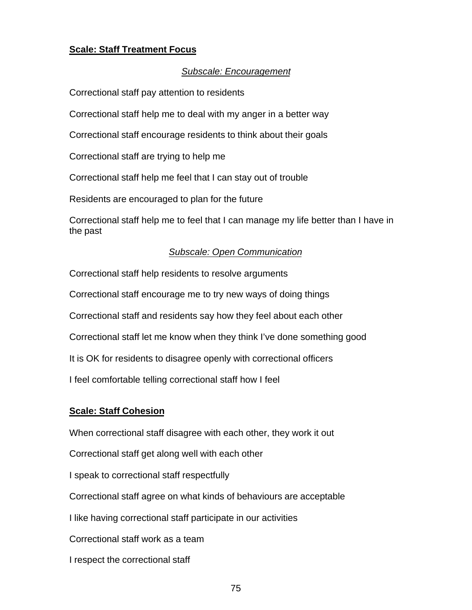## **Scale: Staff Treatment Focus**

#### *Subscale: Encouragement*

Correctional staff pay attention to residents

Correctional staff help me to deal with my anger in a better way

Correctional staff encourage residents to think about their goals

Correctional staff are trying to help me

Correctional staff help me feel that I can stay out of trouble

Residents are encouraged to plan for the future

Correctional staff help me to feel that I can manage my life better than I have in the past

#### *Subscale: Open Communication*

Correctional staff help residents to resolve arguments

Correctional staff encourage me to try new ways of doing things

Correctional staff and residents say how they feel about each other

Correctional staff let me know when they think I've done something good

It is OK for residents to disagree openly with correctional officers

I feel comfortable telling correctional staff how I feel

#### **Scale: Staff Cohesion**

When correctional staff disagree with each other, they work it out

Correctional staff get along well with each other

I speak to correctional staff respectfully

Correctional staff agree on what kinds of behaviours are acceptable

I like having correctional staff participate in our activities

Correctional staff work as a team

I respect the correctional staff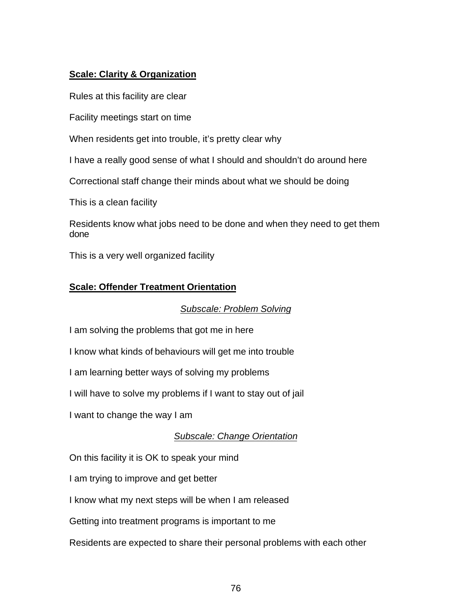# **Scale: Clarity & Organization**

Rules at this facility are clear

Facility meetings start on time

When residents get into trouble, it's pretty clear why

I have a really good sense of what I should and shouldn't do around here

Correctional staff change their minds about what we should be doing

This is a clean facility

Residents know what jobs need to be done and when they need to get them done

This is a very well organized facility

## **Scale: Offender Treatment Orientation**

#### *Subscale: Problem Solving*

I am solving the problems that got me in here

I know what kinds of behaviours will get me into trouble

I am learning better ways of solving my problems

I will have to solve my problems if I want to stay out of jail

I want to change the way I am

# *Subscale: Change Orientation*

On this facility it is OK to speak your mind

I am trying to improve and get better

I know what my next steps will be when I am released

Getting into treatment programs is important to me

Residents are expected to share their personal problems with each other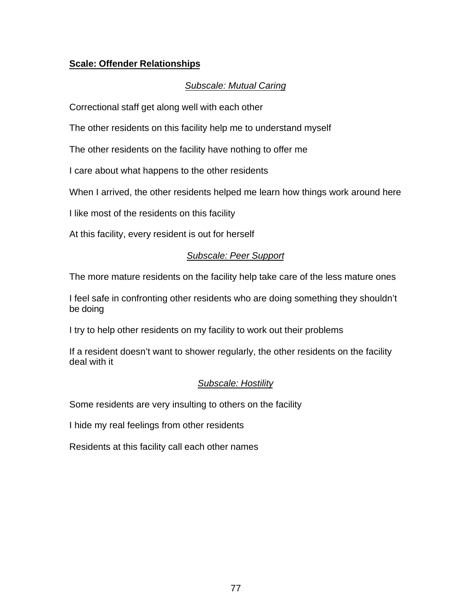# **Scale: Offender Relationships**

# *Subscale: Mutual Caring*

Correctional staff get along well with each other

The other residents on this facility help me to understand myself

The other residents on the facility have nothing to offer me

I care about what happens to the other residents

When I arrived, the other residents helped me learn how things work around here

I like most of the residents on this facility

At this facility, every resident is out for herself

## *Subscale: Peer Support*

The more mature residents on the facility help take care of the less mature ones

I feel safe in confronting other residents who are doing something they shouldn't be doing

I try to help other residents on my facility to work out their problems

If a resident doesn't want to shower regularly, the other residents on the facility deal with it

#### *Subscale: Hostility*

Some residents are very insulting to others on the facility

I hide my real feelings from other residents

Residents at this facility call each other names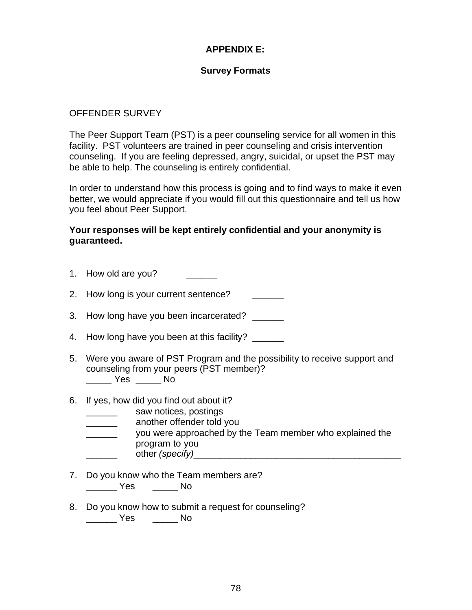# **APPENDIX E:**

#### **Survey Formats**

#### OFFENDER SURVEY

The Peer Support Team (PST) is a peer counseling service for all women in this facility. PST volunteers are trained in peer counseling and crisis intervention counseling. If you are feeling depressed, angry, suicidal, or upset the PST may be able to help. The counseling is entirely confidential.

In order to understand how this process is going and to find ways to make it even better, we would appreciate if you would fill out this questionnaire and tell us how you feel about Peer Support.

#### **Your responses will be kept entirely confidential and your anonymity is guaranteed.**

- 1. How old are you?
- 2. How long is your current sentence? \_\_\_\_\_\_\_
- 3. How long have you been incarcerated?
- 4. How long have you been at this facility? \_\_\_\_\_\_
- 5. Were you aware of PST Program and the possibility to receive support and counseling from your peers (PST member)? \_\_\_\_\_ Yes \_\_\_\_\_ No
- 6. If yes, how did you find out about it?
	- \_\_\_\_\_\_ saw notices, postings
	- \_\_\_\_\_\_ another offender told you
	- \_\_\_\_\_\_ you were approached by the Team member who explained the program to you
		- other *(specify)*
- 7. Do you know who the Team members are? \_\_\_\_\_\_ Yes \_\_\_\_\_ No
- 8. Do you know how to submit a request for counseling? \_\_\_\_\_\_ Yes \_\_\_\_\_ No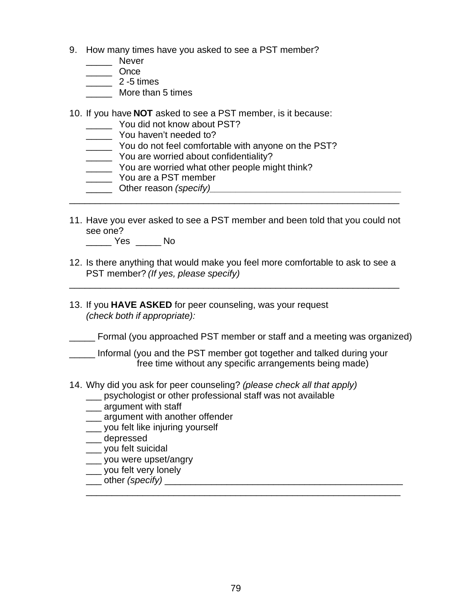- 9. How many times have you asked to see a PST member?
	- \_\_\_\_\_\_ Never
	- \_\_\_\_\_ Once
	- \_\_\_\_\_ 2 -5 times
	- More than 5 times
- 10. If you have **NOT** asked to see a PST member, is it because:
	- \_\_\_\_\_ You did not know about PST?
	- You haven't needed to?
	- \_\_\_\_\_ You do not feel comfortable with anyone on the PST?
	- \_\_\_\_\_ You are worried about confidentiality?
	- \_\_\_\_\_ You are worried what other people might think?
	- \_\_\_\_\_ You are a PST member
- \_\_\_\_\_ Other reason *(specify)\_\_\_\_\_\_\_\_\_\_\_\_\_\_\_\_\_\_\_\_\_\_\_\_\_\_\_\_\_\_\_\_\_\_\_\_\_* \_\_\_\_\_\_\_\_\_\_\_\_\_\_\_\_\_\_\_\_\_\_\_\_\_\_\_\_\_\_\_\_\_\_\_\_\_\_\_\_\_\_\_\_\_\_\_\_\_\_\_\_\_\_\_\_\_\_\_\_\_\_\_\_
- 11. Have you ever asked to see a PST member and been told that you could not see one?
	- \_\_\_\_\_ Yes \_\_\_\_\_ No
- 12. Is there anything that would make you feel more comfortable to ask to see a PST member? *(If yes, please specify)*

\_\_\_\_\_\_\_\_\_\_\_\_\_\_\_\_\_\_\_\_\_\_\_\_\_\_\_\_\_\_\_\_\_\_\_\_\_\_\_\_\_\_\_\_\_\_\_\_\_\_\_\_\_\_\_\_\_\_\_\_\_\_\_\_

- 13. If you **HAVE ASKED** for peer counseling, was your request *(check both if appropriate):*
- \_\_\_\_\_ Formal (you approached PST member or staff and a meeting was organized)
- \_\_\_\_\_ Informal (you and the PST member got together and talked during your free time without any specific arrangements being made)
- 14. Why did you ask for peer counseling? *(please check all that apply)*
	- \_\_\_ psychologist or other professional staff was not available
	- \_\_\_ argument with staff
	- **\_\_\_ argument with another offender**
	- \_\_\_ you felt like injuring yourself
	- \_\_\_ depressed
	- \_\_\_ you felt suicidal
	- \_\_\_ you were upset/angry
	- \_\_\_ you felt very lonely
	- \_\_\_ other *(specify)* \_\_\_\_\_\_\_\_\_\_\_\_\_\_\_\_\_\_\_\_\_\_\_\_\_\_\_\_\_\_\_\_\_\_\_\_\_\_\_\_\_\_\_\_\_\_

\_\_\_\_\_\_\_\_\_\_\_\_\_\_\_\_\_\_\_\_\_\_\_\_\_\_\_\_\_\_\_\_\_\_\_\_\_\_\_\_\_\_\_\_\_\_\_\_\_\_\_\_\_\_\_\_\_\_\_\_\_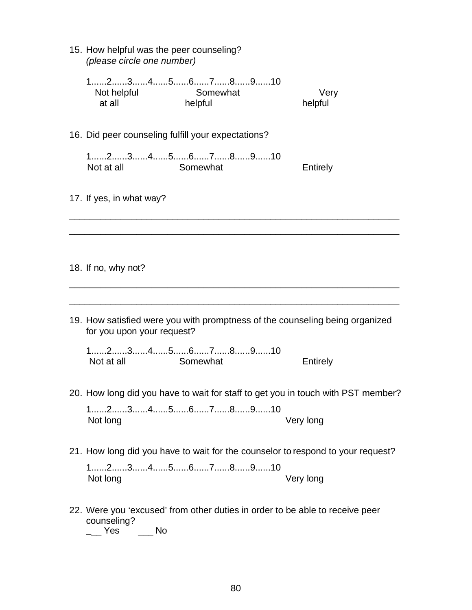| 15. How helpful was the peer counseling?<br>(please circle one number) |                                                                                                                                |                                                                                  |
|------------------------------------------------------------------------|--------------------------------------------------------------------------------------------------------------------------------|----------------------------------------------------------------------------------|
| Not helpful<br>at all                                                  | $1, \ldots, 2, \ldots, 3, \ldots, 4, \ldots, 5, \ldots, 6, \ldots, 7, \ldots, 8, \ldots, 9, \ldots, 10$<br>Somewhat<br>helpful | Very<br>helpful                                                                  |
|                                                                        | 16. Did peer counseling fulfill your expectations?                                                                             |                                                                                  |
| Not at all                                                             | $1, \ldots, 2, \ldots, 3, \ldots, 4, \ldots, 5, \ldots, 6, \ldots, 7, \ldots, 8, \ldots, 9, \ldots, 10$<br>Somewhat            | Entirely                                                                         |
| 17. If yes, in what way?                                               |                                                                                                                                |                                                                                  |
|                                                                        |                                                                                                                                |                                                                                  |
| 18. If no, why not?                                                    |                                                                                                                                |                                                                                  |
| for you upon your request?                                             |                                                                                                                                | 19. How satisfied were you with promptness of the counseling being organized     |
| Not at all                                                             | $1, \ldots, 2, \ldots, 3, \ldots, 4, \ldots, 5, \ldots, 6, \ldots, 7, \ldots, 8, \ldots, 9, \ldots, 10$<br>Somewhat            | Entirely                                                                         |
|                                                                        |                                                                                                                                | 20. How long did you have to wait for staff to get you in touch with PST member? |
| Not long                                                               | $1$ 2345678910                                                                                                                 | Very long                                                                        |
|                                                                        |                                                                                                                                | 21. How long did you have to wait for the counselor to respond to your request?  |
| Not long                                                               | $1$ 2345678910                                                                                                                 | Very long                                                                        |
| counseling?                                                            | 22. Were you 'excused' from other duties in order to be able to receive peer                                                   |                                                                                  |

**\_**\_\_ Yes \_\_\_ No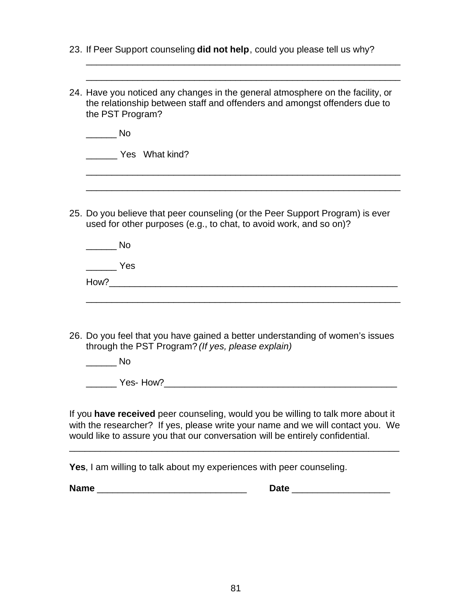|                                            | <b>Date</b>                                                                                                                                                         |                                                                            |
|--------------------------------------------|---------------------------------------------------------------------------------------------------------------------------------------------------------------------|----------------------------------------------------------------------------|
|                                            | would like to assure you that our conversation will be entirely confidential.<br>Yes, I am willing to talk about my experiences with peer counseling.               |                                                                            |
|                                            | If you have received peer counseling, would you be willing to talk more about it<br>with the researcher? If yes, please write your name and we will contact you. We |                                                                            |
| Yes-How?                                   |                                                                                                                                                                     |                                                                            |
| in a No                                    |                                                                                                                                                                     |                                                                            |
|                                            | 26. Do you feel that you have gained a better understanding of women's issues<br>through the PST Program? (If yes, please explain)                                  |                                                                            |
|                                            |                                                                                                                                                                     |                                                                            |
| $\frac{1}{\sqrt{1-\frac{1}{2}}}\text{Yes}$ |                                                                                                                                                                     |                                                                            |
| <b>Solution</b> No                         |                                                                                                                                                                     |                                                                            |
|                                            | 25. Do you believe that peer counseling (or the Peer Support Program) is ever<br>used for other purposes (e.g., to chat, to avoid work, and so on)?                 |                                                                            |
| Yes What kind?                             |                                                                                                                                                                     |                                                                            |
| $\overline{\phantom{a}}$ No                |                                                                                                                                                                     |                                                                            |
| the PST Program?                           | 24. Have you noticed any changes in the general atmosphere on the facility, or<br>the relationship between staff and offenders and amongst offenders due to         |                                                                            |
|                                            |                                                                                                                                                                     |                                                                            |
|                                            |                                                                                                                                                                     | 23. If Peer Support counseling did not help, could you please tell us why? |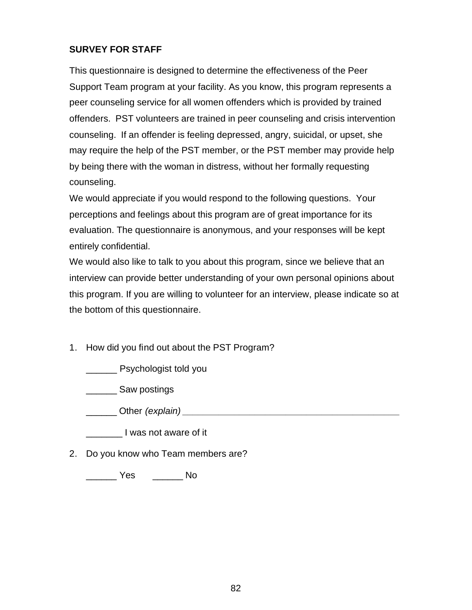# **SURVEY FOR STAFF**

This questionnaire is designed to determine the effectiveness of the Peer Support Team program at your facility. As you know, this program represents a peer counseling service for all women offenders which is provided by trained offenders. PST volunteers are trained in peer counseling and crisis intervention counseling. If an offender is feeling depressed, angry, suicidal, or upset, she may require the help of the PST member, or the PST member may provide help by being there with the woman in distress, without her formally requesting counseling.

We would appreciate if you would respond to the following questions. Your perceptions and feelings about this program are of great importance for its evaluation. The questionnaire is anonymous, and your responses will be kept entirely confidential.

We would also like to talk to you about this program, since we believe that an interview can provide better understanding of your own personal opinions about this program. If you are willing to volunteer for an interview, please indicate so at the bottom of this questionnaire.

1. How did you find out about the PST Program?

\_\_\_\_\_\_ Psychologist told you

\_\_\_\_\_\_ Saw postings

\_\_\_\_\_\_ Other *(explain) \_\_\_\_\_\_\_\_\_\_\_\_\_\_\_\_\_\_\_\_\_\_\_\_\_\_\_\_\_\_\_\_\_\_\_\_\_\_\_\_\_\_*

I was not aware of it

2. Do you know who Team members are?

\_\_\_\_\_\_ Yes \_\_\_\_\_\_ No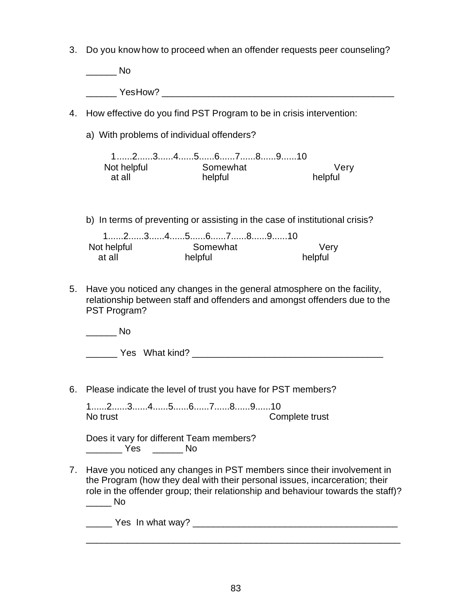3. Do you know how to proceed when an offender requests peer counseling?

 $\overline{\phantom{a}}$  No YesHow?

- 4. How effective do you find PST Program to be in crisis intervention:
	- a) With problems of individual offenders?

 1......2......3......4......5......6......7......8......9......10 Not helpful Somewhat Very at all helpful helpful

b) In terms of preventing or assisting in the case of institutional crisis?

|             | $1$ 2345678910 |          |  |  |         |
|-------------|----------------|----------|--|--|---------|
| Not helpful |                | Somewhat |  |  | Verv    |
| at all      |                | helpful  |  |  | helpful |

5. Have you noticed any changes in the general atmosphere on the facility, relationship between staff and offenders and amongst offenders due to the PST Program?

 $\blacksquare$ 

| Yes | What kind? |  |  |
|-----|------------|--|--|
|-----|------------|--|--|

6. Please indicate the level of trust you have for PST members?

1......2......3......4......5......6......7......8......9......10 No trust Complete trust

Does it vary for different Team members? \_\_\_\_\_\_\_ Yes \_\_\_\_\_\_ No

7. Have you noticed any changes in PST members since their involvement in the Program (how they deal with their personal issues, incarceration; their role in the offender group; their relationship and behaviour towards the staff)?  $\rule{1em}{0.15mm}$  No

\_\_\_\_\_ Yes In what way? \_\_\_\_\_\_\_\_\_\_\_\_\_\_\_\_\_\_\_\_\_\_\_\_\_\_\_\_\_\_\_\_\_\_\_\_\_\_\_\_

\_\_\_\_\_\_\_\_\_\_\_\_\_\_\_\_\_\_\_\_\_\_\_\_\_\_\_\_\_\_\_\_\_\_\_\_\_\_\_\_\_\_\_\_\_\_\_\_\_\_\_\_\_\_\_\_\_\_\_\_\_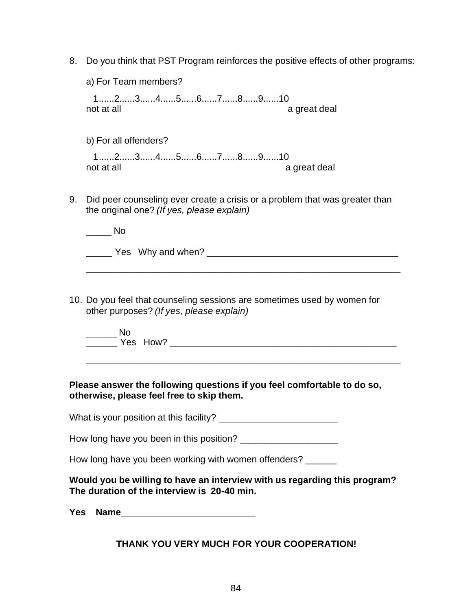8. Do you think that PST Program reinforces the positive effects of other programs:

|    | a) For Team members?                                                                                                      |              |
|----|---------------------------------------------------------------------------------------------------------------------------|--------------|
|    | $1, \ldots, 2, \ldots, 3, \ldots, 4, \ldots, 5, \ldots, 6, \ldots, 7, \ldots, 8, \ldots, 9, \ldots, 10$<br>not at all     | a great deal |
|    | b) For all offenders?                                                                                                     |              |
|    | $1, \ldots, 2, \ldots, 3, \ldots, 4, \ldots, 5, \ldots, 6, \ldots, 7, \ldots, 8, \ldots, 9, \ldots, 10$<br>not at all     | a great deal |
| 9. | Did peer counseling ever create a crisis or a problem that was greater than<br>the original one? (If yes, please explain) |              |
|    | Nο                                                                                                                        |              |
|    | Yes Why and when?                                                                                                         |              |

10. Do you feel that counseling sessions are sometimes used by women for other purposes? *(If yes, please explain)*

\_\_\_\_\_\_ No \_\_\_\_\_\_ Yes How? \_\_\_\_\_\_\_\_\_\_\_\_\_\_\_\_\_\_\_\_\_\_\_\_\_\_\_\_\_\_\_\_\_\_\_\_\_\_\_\_\_\_\_\_

\_\_\_\_\_\_\_\_\_\_\_\_\_\_\_\_\_\_\_\_\_\_\_\_\_\_\_\_\_\_\_\_\_\_\_\_\_\_\_\_\_\_\_\_\_\_\_\_\_\_\_\_\_\_\_\_\_\_\_\_\_

\_\_\_\_\_\_\_\_\_\_\_\_\_\_\_\_\_\_\_\_\_\_\_\_\_\_\_\_\_\_\_\_\_\_\_\_\_\_\_\_\_\_\_\_\_\_\_\_\_\_\_\_\_\_\_\_\_\_\_\_\_

## **Please answer the following questions if you feel comfortable to do so, otherwise, please feel free to skip them.**

What is your position at this facility? \_\_\_\_\_\_\_\_\_\_\_\_\_\_\_\_\_\_\_\_\_\_\_

How long have you been in this position? \_\_\_\_\_\_\_\_\_\_\_\_\_\_\_\_\_\_\_

How long have you been working with women offenders? \_\_\_\_\_\_

**Would you be willing to have an interview with us regarding this program? The duration of the interview is 20-40 min.**

**Yes Name\_\_\_\_\_\_\_\_\_\_\_\_\_\_\_\_\_\_\_\_\_\_\_\_\_\_**

# **THANK YOU VERY MUCH FOR YOUR COOPERATION!**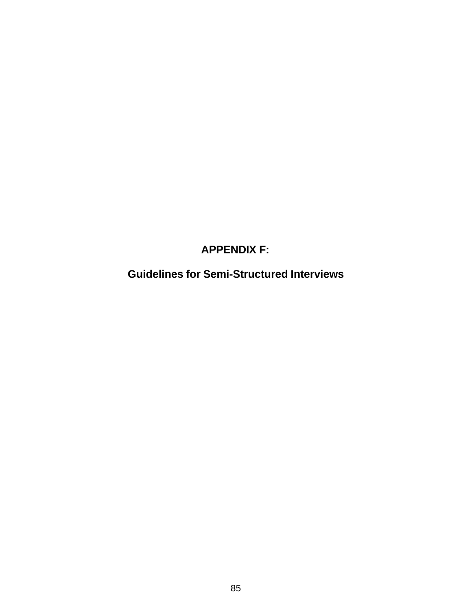# **APPENDIX F:**

**Guidelines for Semi-Structured Interviews**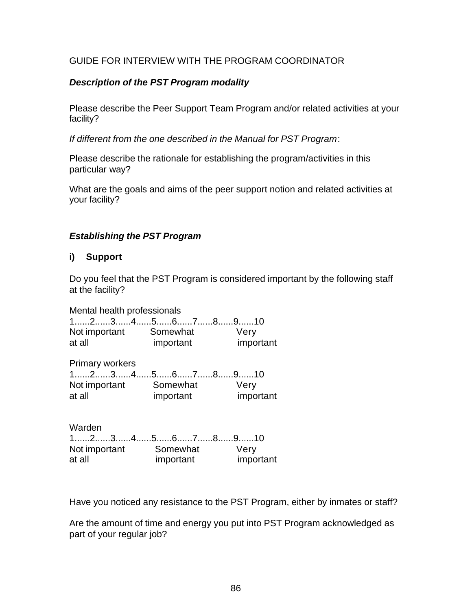## GUIDE FOR INTERVIEW WITH THE PROGRAM COORDINATOR

## *Description of the PST Program modality*

Please describe the Peer Support Team Program and/or related activities at your facility?

*If different from the one described in the Manual for PST Program*:

Please describe the rationale for establishing the program/activities in this particular way?

What are the goals and aims of the peer support notion and related activities at your facility?

#### *Establishing the PST Program*

## **i) Support**

Do you feel that the PST Program is considered important by the following staff at the facility?

Mental health professionals 1......2......3......4......5......6......7......8......9......10 Not important Somewhat Very at all important important

Primary workers 1......2......3......4......5......6......7......8......9......10 Not important Somewhat Very at all important important

Warden 1......2......3......4......5......6......7......8......9......10 Not important Somewhat Very at all important important

Have you noticed any resistance to the PST Program, either by inmates or staff?

Are the amount of time and energy you put into PST Program acknowledged as part of your regular job?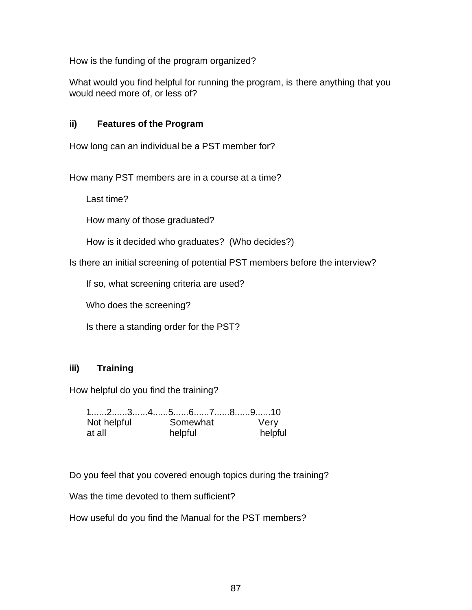How is the funding of the program organized?

What would you find helpful for running the program, is there anything that you would need more of, or less of?

## **ii) Features of the Program**

How long can an individual be a PST member for?

How many PST members are in a course at a time?

Last time?

How many of those graduated?

How is it decided who graduates? (Who decides?)

Is there an initial screening of potential PST members before the interview?

If so, what screening criteria are used?

Who does the screening?

Is there a standing order for the PST?

#### **iii) Training**

How helpful do you find the training?

|             | 12345678910 |         |
|-------------|-------------|---------|
| Not helpful | Somewhat    | Very    |
| at all      | helpful     | helpful |

Do you feel that you covered enough topics during the training?

Was the time devoted to them sufficient?

How useful do you find the Manual for the PST members?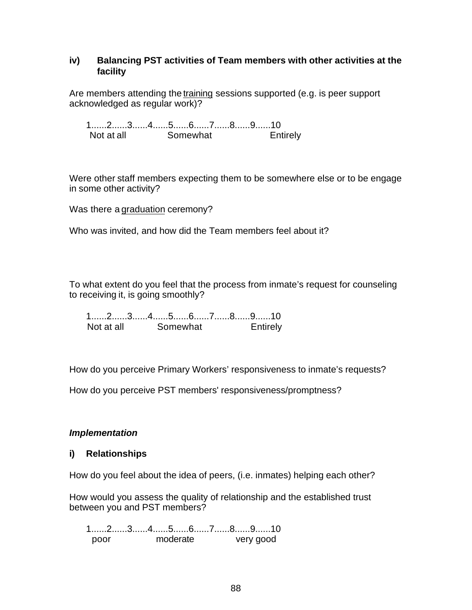#### **iv) Balancing PST activities of Team members with other activities at the facility**

Are members attending the training sessions supported (e.g. is peer support acknowledged as regular work)?

1......2......3......4......5......6......7......8......9......10 Not at all Somewhat **Entirely** 

Were other staff members expecting them to be somewhere else or to be engage in some other activity?

Was there a graduation ceremony?

Who was invited, and how did the Team members feel about it?

To what extent do you feel that the process from inmate's request for counseling to receiving it, is going smoothly?

1......2......3......4......5......6......7......8......9......10 Not at all Somewhat Entirely

How do you perceive Primary Workers' responsiveness to inmate's requests?

How do you perceive PST members' responsiveness/promptness?

#### *Implementation*

#### **i) Relationships**

How do you feel about the idea of peers, (i.e. inmates) helping each other?

How would you assess the quality of relationship and the established trust between you and PST members?

1......2......3......4......5......6......7......8......9......10 poor moderate very good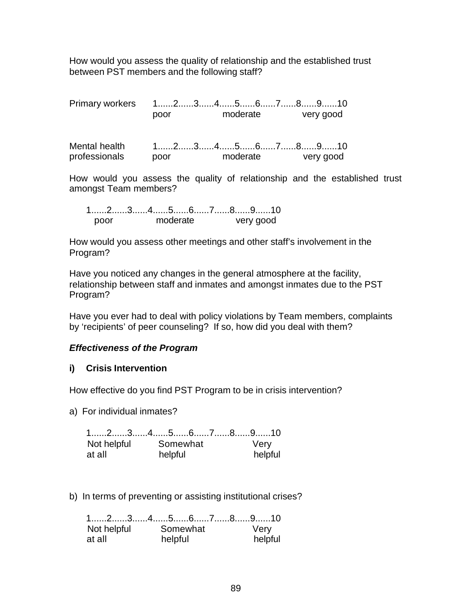How would you assess the quality of relationship and the established trust between PST members and the following staff?

Primary workers 1......2......3......4......5......6......7......8......9......10 poor moderate very good

| Mental health |      | $1$ 2345678910 |          |  |           |  |
|---------------|------|----------------|----------|--|-----------|--|
| professionals | poor |                | moderate |  | very good |  |

How would you assess the quality of relationship and the established trust amongst Team members?

|      |          | 1……2……3……4……5……6……7……8……9……10 |
|------|----------|-------------------------------|
| noor | moderate | very good                     |

How would you assess other meetings and other staff's involvement in the Program?

Have you noticed any changes in the general atmosphere at the facility, relationship between staff and inmates and amongst inmates due to the PST Program?

Have you ever had to deal with policy violations by Team members, complaints by 'recipients' of peer counseling? If so, how did you deal with them?

#### *Effectiveness of the Program*

#### **i) Crisis Intervention**

How effective do you find PST Program to be in crisis intervention?

a) For individual inmates?

|        | $1$ 2345678910 |          |         |  |      |         |
|--------|----------------|----------|---------|--|------|---------|
|        | Not helpful    | Somewhat |         |  | Very |         |
| at all |                |          | helpful |  |      | helpful |

b) In terms of preventing or assisting institutional crises?

|             | $1$ 2345678910 |         |
|-------------|----------------|---------|
| Not helpful | Somewhat       | Very    |
| at all      | helpful        | helpful |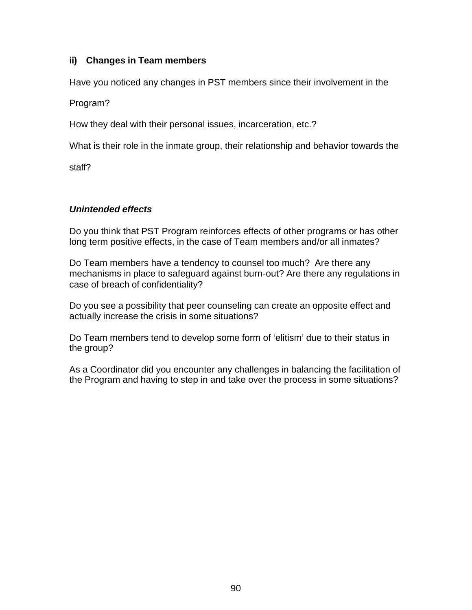# **ii) Changes in Team members**

Have you noticed any changes in PST members since their involvement in the

Program?

How they deal with their personal issues, incarceration, etc.?

What is their role in the inmate group, their relationship and behavior towards the

staff?

# *Unintended effects*

Do you think that PST Program reinforces effects of other programs or has other long term positive effects, in the case of Team members and/or all inmates?

Do Team members have a tendency to counsel too much? Are there any mechanisms in place to safeguard against burn-out? Are there any regulations in case of breach of confidentiality?

Do you see a possibility that peer counseling can create an opposite effect and actually increase the crisis in some situations?

Do Team members tend to develop some form of 'elitism' due to their status in the group?

As a Coordinator did you encounter any challenges in balancing the facilitation of the Program and having to step in and take over the process in some situations?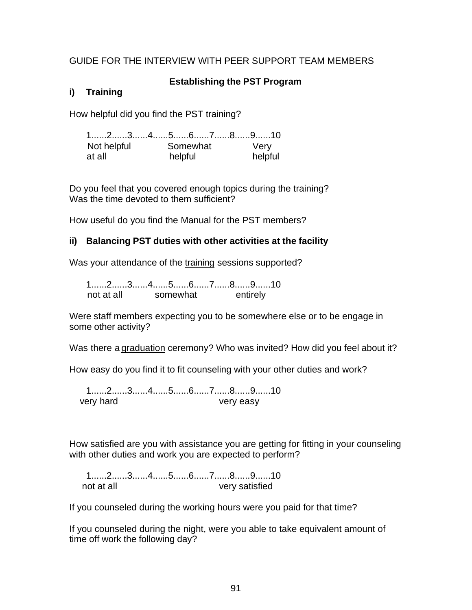## GUIDE FOR THE INTERVIEW WITH PEER SUPPORT TEAM MEMBERS

#### **Establishing the PST Program**

# **i) Training**

How helpful did you find the PST training?

1......2......3......4......5......6......7......8......9......10 Not helpful Somewhat Very at all helpful helpful

Do you feel that you covered enough topics during the training? Was the time devoted to them sufficient?

How useful do you find the Manual for the PST members?

## **ii) Balancing PST duties with other activities at the facility**

Was your attendance of the training sessions supported?

1......2......3......4......5......6......7......8......9......10 not at all somewhat entirely

Were staff members expecting you to be somewhere else or to be engage in some other activity?

Was there a graduation ceremony? Who was invited? How did you feel about it?

How easy do you find it to fit counseling with your other duties and work?

1......2......3......4......5......6......7......8......9......10 very hard very easy

How satisfied are you with assistance you are getting for fitting in your counseling with other duties and work you are expected to perform?

1......2......3......4......5......6......7......8......9......10 not at all very satisfied

If you counseled during the working hours were you paid for that time?

If you counseled during the night, were you able to take equivalent amount of time off work the following day?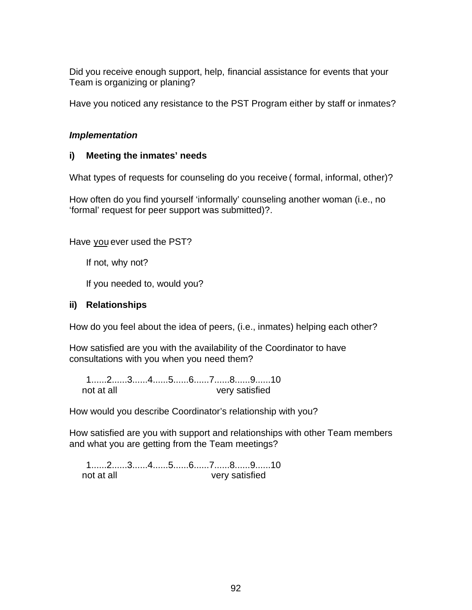Did you receive enough support, help, financial assistance for events that your Team is organizing or planing?

Have you noticed any resistance to the PST Program either by staff or inmates?

## *Implementation*

# **i) Meeting the inmates' needs**

What types of requests for counseling do you receive ( formal, informal, other)?

How often do you find yourself 'informally' counseling another woman (i.e., no 'formal' request for peer support was submitted)?.

Have you ever used the PST?

If not, why not?

If you needed to, would you?

## **ii) Relationships**

How do you feel about the idea of peers, (i.e., inmates) helping each other?

How satisfied are you with the availability of the Coordinator to have consultations with you when you need them?

1......2......3......4......5......6......7......8......9......10 not at all very satisfied

How would you describe Coordinator's relationship with you?

How satisfied are you with support and relationships with other Team members and what you are getting from the Team meetings?

1......2......3......4......5......6......7......8......9......10 not at all very satisfied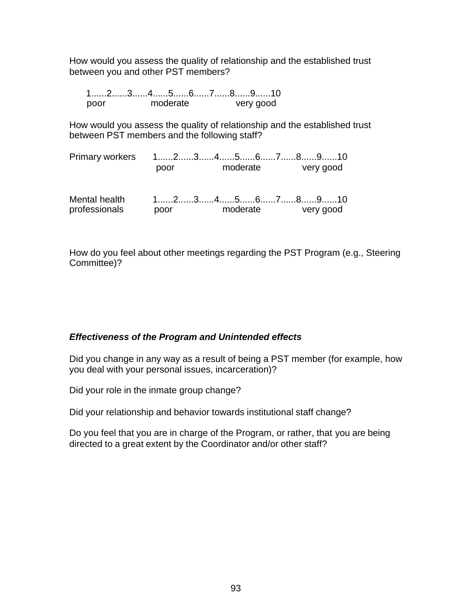How would you assess the quality of relationship and the established trust between you and other PST members?

|      |          | 12345678910 |
|------|----------|-------------|
| nnor | moderate | very good   |

How would you assess the quality of relationship and the established trust between PST members and the following staff?

| <b>Primary workers</b>         | 1……2……3……4……5……6……7……8……9……10                                                                                   |          |  |           |  |
|--------------------------------|-----------------------------------------------------------------------------------------------------------------|----------|--|-----------|--|
|                                | poor                                                                                                            | moderate |  | very good |  |
| Mental health<br>professionals | $1, \ldots, 2, \ldots, 3, \ldots, 4, \ldots, 5, \ldots, 6, \ldots, 7, \ldots, 8, \ldots, 9, \ldots, 10$<br>poor | moderate |  | very good |  |

How do you feel about other meetings regarding the PST Program (e.g., Steering Committee)?

#### *Effectiveness of the Program and Unintended effects*

Did you change in any way as a result of being a PST member (for example, how you deal with your personal issues, incarceration)?

Did your role in the inmate group change?

Did your relationship and behavior towards institutional staff change?

Do you feel that you are in charge of the Program, or rather, that you are being directed to a great extent by the Coordinator and/or other staff?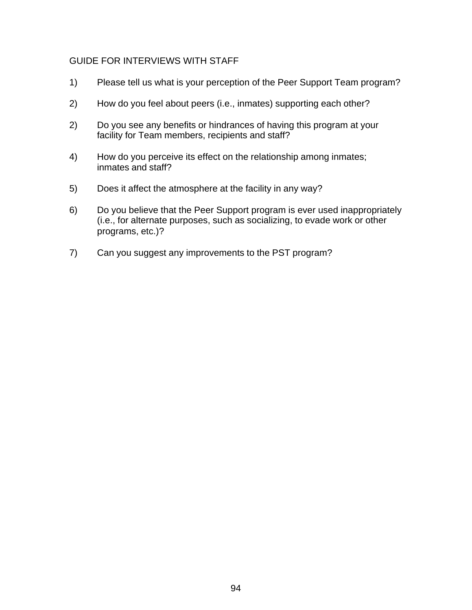#### GUIDE FOR INTERVIEWS WITH STAFF

- 1) Please tell us what is your perception of the Peer Support Team program?
- 2) How do you feel about peers (i.e., inmates) supporting each other?
- 2) Do you see any benefits or hindrances of having this program at your facility for Team members, recipients and staff?
- 4) How do you perceive its effect on the relationship among inmates; inmates and staff?
- 5) Does it affect the atmosphere at the facility in any way?
- 6) Do you believe that the Peer Support program is ever used inappropriately (i.e., for alternate purposes, such as socializing, to evade work or other programs, etc.)?
- 7) Can you suggest any improvements to the PST program?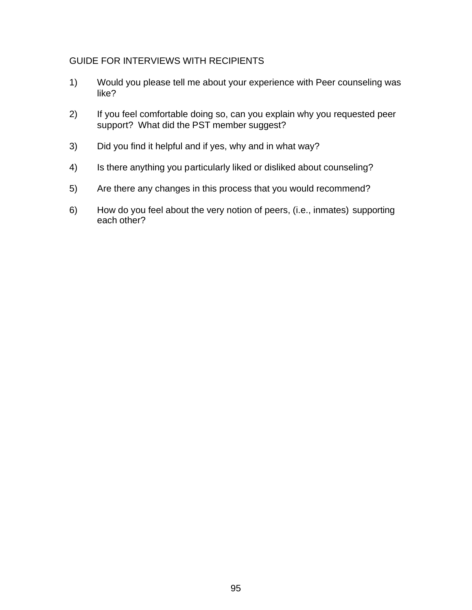#### GUIDE FOR INTERVIEWS WITH RECIPIENTS

- 1) Would you please tell me about your experience with Peer counseling was like?
- 2) If you feel comfortable doing so, can you explain why you requested peer support? What did the PST member suggest?
- 3) Did you find it helpful and if yes, why and in what way?
- 4) Is there anything you particularly liked or disliked about counseling?
- 5) Are there any changes in this process that you would recommend?
- 6) How do you feel about the very notion of peers, (i.e., inmates) supporting each other?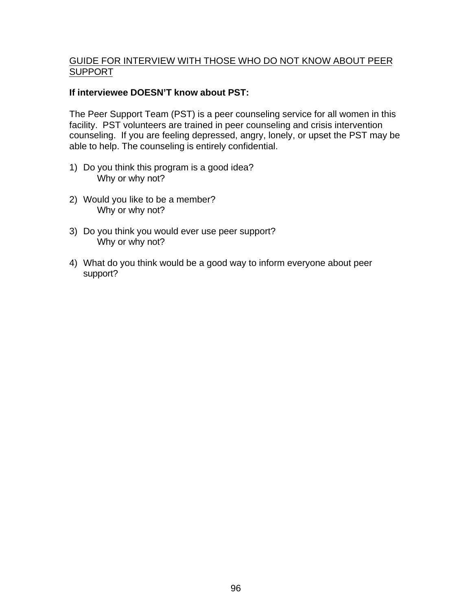#### GUIDE FOR INTERVIEW WITH THOSE WHO DO NOT KNOW ABOUT PEER SUPPORT

#### **If interviewee DOESN'T know about PST:**

The Peer Support Team (PST) is a peer counseling service for all women in this facility. PST volunteers are trained in peer counseling and crisis intervention counseling. If you are feeling depressed, angry, lonely, or upset the PST may be able to help. The counseling is entirely confidential.

- 1) Do you think this program is a good idea? Why or why not?
- 2) Would you like to be a member? Why or why not?
- 3) Do you think you would ever use peer support? Why or why not?
- 4) What do you think would be a good way to inform everyone about peer support?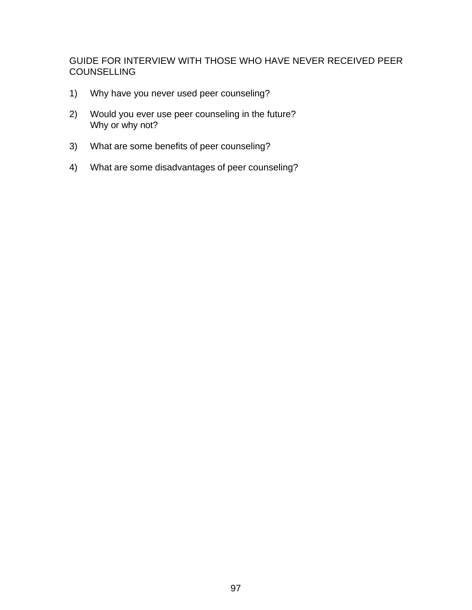GUIDE FOR INTERVIEW WITH THOSE WHO HAVE NEVER RECEIVED PEER **COUNSELLING** 

- 1) Why have you never used peer counseling?
- 2) Would you ever use peer counseling in the future? Why or why not?
- 3) What are some benefits of peer counseling?
- 4) What are some disadvantages of peer counseling?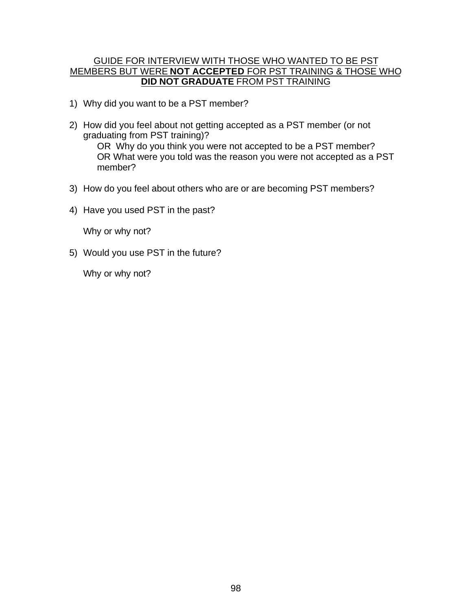#### GUIDE FOR INTERVIEW WITH THOSE WHO WANTED TO BE PST MEMBERS BUT WERE **NOT ACCEPTED** FOR PST TRAINING & THOSE WHO **DID NOT GRADUATE** FROM PST TRAINING

- 1) Why did you want to be a PST member?
- 2) How did you feel about not getting accepted as a PST member (or not graduating from PST training)? OR Why do you think you were not accepted to be a PST member? OR What were you told was the reason you were not accepted as a PST member?
- 3) How do you feel about others who are or are becoming PST members?
- 4) Have you used PST in the past?

Why or why not?

5) Would you use PST in the future?

Why or why not?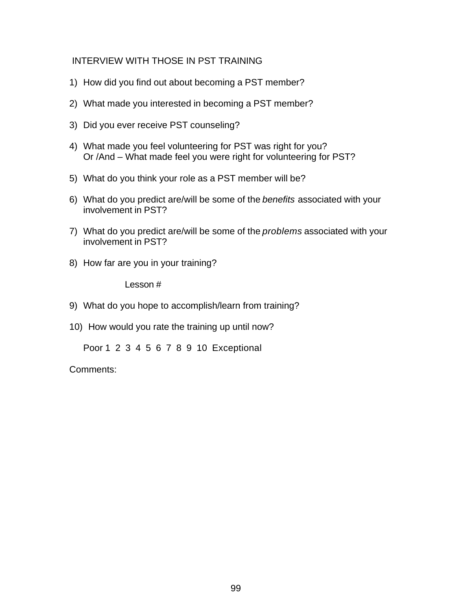## INTERVIEW WITH THOSE IN PST TRAINING

- 1) How did you find out about becoming a PST member?
- 2) What made you interested in becoming a PST member?
- 3) Did you ever receive PST counseling?
- 4) What made you feel volunteering for PST was right for you? Or /And – What made feel you were right for volunteering for PST?
- 5) What do you think your role as a PST member will be?
- 6) What do you predict are/will be some of the *benefits* associated with your involvement in PST?
- 7) What do you predict are/will be some of the *problems* associated with your involvement in PST?
- 8) How far are you in your training?

Lesson #

- 9) What do you hope to accomplish/learn from training?
- 10) How would you rate the training up until now?

Poor 1 2 3 4 5 6 7 8 9 10 Exceptional

Comments: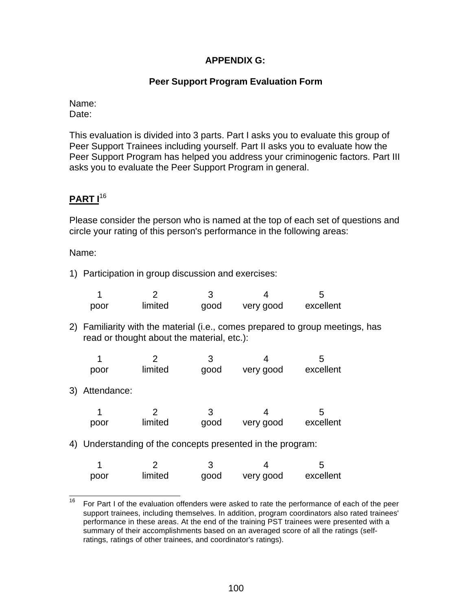## **APPENDIX G:**

#### **Peer Support Program Evaluation Form**

#### Name: Date:

This evaluation is divided into 3 parts. Part I asks you to evaluate this group of Peer Support Trainees including yourself. Part II asks you to evaluate how the Peer Support Program has helped you address your criminogenic factors. Part III asks you to evaluate the Peer Support Program in general.

# **PART I**<sup>16</sup>

Please consider the person who is named at the top of each set of questions and circle your rating of this person's performance in the following areas:

Name:

1) Participation in group discussion and exercises:

| poor | limited | good | very good | excellent |
|------|---------|------|-----------|-----------|

2) Familiarity with the material (i.e., comes prepared to group meetings, has read or thought about the material, etc.):

| poor | limited | good | very good | excellent |
|------|---------|------|-----------|-----------|

3) Attendance:

| poor | limited | good | very good | excellent |
|------|---------|------|-----------|-----------|

4) Understanding of the concepts presented in the program:

| poor | limited | good | very good | excellent |
|------|---------|------|-----------|-----------|

<sup>16</sup> For Part I of the evaluation offenders were asked to rate the performance of each of the peer support trainees, including themselves. In addition, program coordinators also rated trainees' performance in these areas. At the end of the training PST trainees were presented with a summary of their accomplishments based on an averaged score of all the ratings (selfratings, ratings of other trainees, and coordinator's ratings).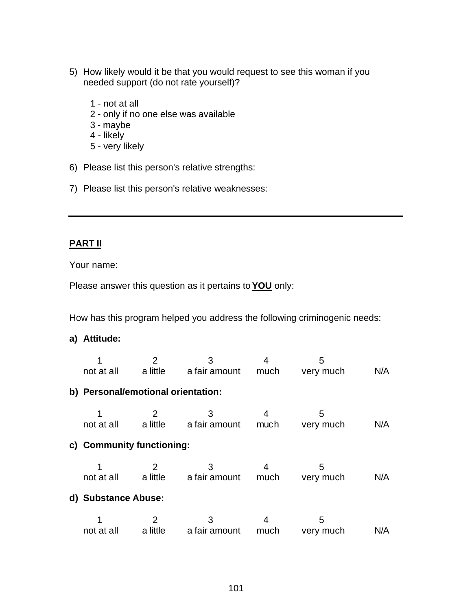- 5) How likely would it be that you would request to see this woman if you needed support (do not rate yourself)?
	- 1 not at all
	- 2 only if no one else was available
	- 3 maybe
	- 4 likely
	- 5 very likely
- 6) Please list this person's relative strengths:
- 7) Please list this person's relative weaknesses:

# **PART II**

Your name:

Please answer this question as it pertains to **YOU** only:

How has this program helped you address the following criminogenic needs:

#### **a) Attitude:**

|                                    | 2                          | 3<br>not at all a little a fair amount much very much |                | 5              | N/A |
|------------------------------------|----------------------------|-------------------------------------------------------|----------------|----------------|-----|
| b) Personal/emotional orientation: |                            |                                                       |                |                |     |
|                                    | $\overline{\phantom{a}}^2$ | 3<br>not at all a little a fair amount much very much |                | 5              | N/A |
| c) Community functioning:          |                            |                                                       |                |                |     |
|                                    | $\overline{2}$             | 3<br>not at all a little a fair amount much very much | $\overline{4}$ | 5              | N/A |
| d) Substance Abuse:                |                            |                                                       |                |                |     |
|                                    | $\overline{\mathbf{2}}$    | 3<br>not at all a little a fair amount                | much           | 5<br>very much | N/A |